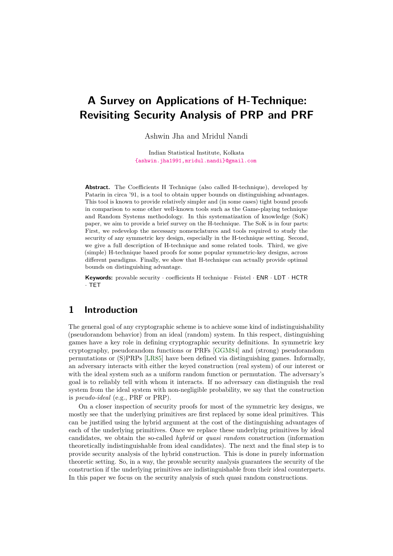# **A Survey on Applications of H-Technique: Revisiting Security Analysis of PRP and PRF**

Ashwin Jha and Mridul Nandi

Indian Statistical Institute, Kolkata [{ashwin.jha1991,mridul.nandi}@gmail.com](mailto:ashwin.jha1991@gmail.com, mridul.nandi@gmail.com)

**Abstract.** The Coefficients H Technique (also called H-technique), developed by Patarin in circa '91, is a tool to obtain upper bounds on distinguishing advantages. This tool is known to provide relatively simpler and (in some cases) tight bound proofs in comparison to some other well-known tools such as the Game-playing technique and Random Systems methodology. In this systematization of knowledge (SoK) paper, we aim to provide a brief survey on the H-technique. The SoK is in four parts: First, we redevelop the necessary nomenclatures and tools required to study the security of any symmetric key design, especially in the H-technique setting. Second, we give a full description of H-technique and some related tools. Third, we give (simple) H-technique based proofs for some popular symmetric-key designs, across different paradigms. Finally, we show that H-technique can actually provide optimal bounds on distinguishing advantage.

**Keywords:** provable security · coefficients H technique · Feistel · ENR · LDT · HCTR · TET

# **1 Introduction**

The general goal of any cryptographic scheme is to achieve some kind of indistinguishability (pseudorandom behavior) from an ideal (random) system. In this respect, distinguishing games have a key role in defining cryptographic security definitions. In symmetric key cryptography, pseudorandom functions or PRFs [\[GGM84\]](#page-39-0) and (strong) pseudorandom permutations or (S)PRPs [\[LR85\]](#page-40-0) have been defined via distinguishing games. Informally, an adversary interacts with either the keyed construction (real system) of our interest or with the ideal system such as a uniform random function or permutation. The adversary's goal is to reliably tell with whom it interacts. If no adversary can distinguish the real system from the ideal system with non-negligible probability, we say that the construction is *pseudo-ideal* (e.g., PRF or PRP).

On a closer inspection of security proofs for most of the symmetric key designs, we mostly see that the underlying primitives are first replaced by some ideal primitives. This can be justified using the hybrid argument at the cost of the distinguishing advantages of each of the underlying primitives. Once we replace these underlying primitives by ideal candidates, we obtain the so-called *hybrid* or *quasi random* construction (information theoretically indistinguishable from ideal candidates). The next and the final step is to provide security analysis of the hybrid construction. This is done in purely information theoretic setting. So, in a way, the provable security analysis guarantees the security of the construction if the underlying primitives are indistinguishable from their ideal counterparts. In this paper we focus on the security analysis of such quasi random constructions.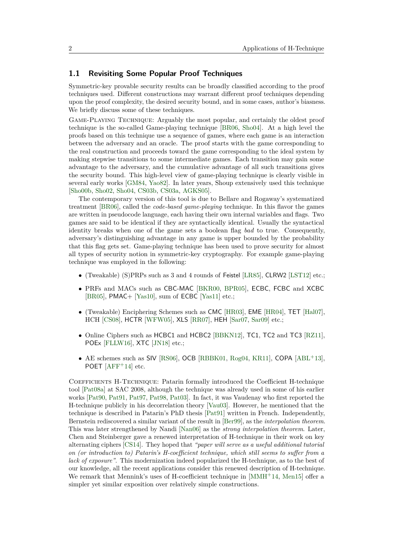## **1.1 Revisiting Some Popular Proof Techniques**

Symmetric-key provable security results can be broadly classified according to the proof techniques used. Different constructions may warrant different proof techniques depending upon the proof complexity, the desired security bound, and in some cases, author's biasness. We briefly discuss some of these techniques.

Game-Playing Technique: Arguably the most popular, and certainly the oldest proof technique is the so-called Game-playing technique [\[BR06,](#page-36-0) [Sho04\]](#page-43-0). At a high level the proofs based on this technique use a sequence of games, where each game is an interaction between the adversary and an oracle. The proof starts with the game corresponding to the real construction and proceeds toward the game corresponding to the ideal system by making stepwise transitions to some intermediate games. Each transition may gain some advantage to the adversary, and the cumulative advantage of all such transitions gives the security bound. This high-level view of game-playing technique is clearly visible in several early works [\[GM84,](#page-39-1) [Yao82\]](#page-44-0). In later years, Shoup extensively used this technique [\[Sho00b,](#page-43-1) [Sho02,](#page-43-2) [Sho04,](#page-43-0) [CS03b,](#page-37-0) [CS03a,](#page-37-1) [AGKS05\]](#page-35-0).

The contemporary version of this tool is due to Bellare and Rogaway's systematized treatment [\[BR06\]](#page-36-0), called the *code-based game-playing* technique. In this flavor the games are written in pseudocode language, each having their own internal variables and flags. Two games are said to be identical if they are syntactically identical. Usually the syntactical identity breaks when one of the game sets a boolean flag *bad* to true. Consequently, adversary's distinguishing advantage in any game is upper bounded by the probability that this flag gets set. Game-playing technique has been used to prove security for almost all types of security notion in symmetric-key cryptography. For example game-playing technique was employed in the following:

- (Tweakable) (S)PRPs such as 3 and 4 rounds of Feistel [\[LR85\]](#page-40-0), CLRW2 [\[LST12\]](#page-40-1) etc.;
- PRFs and MACs such as CBC-MAC [\[BKR00,](#page-36-1) [BPR05\]](#page-36-2), ECBC, FCBC and XCBC [\[BR05\]](#page-36-3), PMAC+ [\[Yas10\]](#page-44-1), sum of ECBC [\[Yas11\]](#page-44-2) etc.;
- (Tweakable) Enciphering Schemes such as CMC [\[HR03\]](#page-39-2), EME [\[HR04\]](#page-39-3), TET [\[Hal07\]](#page-39-4), HCH [\[CS08\]](#page-37-2), HCTR [\[WFW05\]](#page-44-3), XLS [\[RR07\]](#page-43-3), HEH [\[Sar07,](#page-43-4) [Sar09\]](#page-43-5) etc.;
- Online Ciphers such as HCBC1 and HCBC2 [\[BBKN12\]](#page-35-1), TC1, TC2 and TC3 [\[RZ11\]](#page-43-6), POEx [\[FLLW16\]](#page-38-0), XTC [\[JN18\]](#page-40-2) etc.;
- AE schemes such as SIV [\[RS06\]](#page-43-7), OCB [\[RBBK01,](#page-43-8) [Rog04,](#page-43-9) [KR11\]](#page-40-3), COPA [\[ABL](#page-35-2)+13], POET [\[AFF](#page-35-3)<sup>+</sup>14] etc.

Coefficients H-Technique: Patarin formally introduced the Coefficient H-technique tool [\[Pat08a\]](#page-42-0) at SAC 2008, although the technique was already used in some of his earlier works [\[Pat90,](#page-42-1) [Pat91,](#page-42-2) [Pat97,](#page-42-3) [Pat98,](#page-42-4) [Pat03\]](#page-42-5). In fact, it was Vaudenay who first reported the H-technique publicly in his decorrelation theory [\[Vau03\]](#page-44-4). However, he mentioned that the technique is described in Patarin's PhD thesis [\[Pat91\]](#page-42-2) written in French. Independently, Bernstein rediscovered a similar variant of the result in [\[Ber99\]](#page-35-4), as the *interpolation theorem*. This was later strengthened by Nandi [\[Nan06\]](#page-42-6) as the *strong interpolation theorem*. Later, Chen and Steinberger gave a renewed interpretation of H-technique in their work on key alternating ciphers [\[CS14\]](#page-38-1). They hoped that *"paper will serve as a useful additional tutorial on (or introduction to) Patarin's H-coefficient technique, which still seems to suffer from a lack of exposure"*. This modernization indeed popularized the H-technique, as to the best of our knowledge, all the recent applications consider this renewed description of H-technique. We remark that Mennink's uses of H-coefficient technique in [\[MMH](#page-41-0)+14, [Men15\]](#page-40-4) offer a simpler yet similar exposition over relatively simple constructions.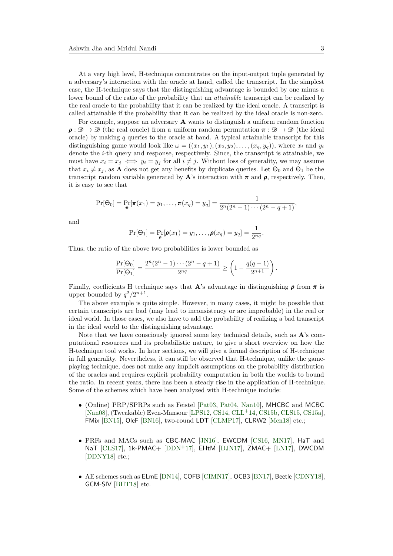At a very high level, H-technique concentrates on the input-output tuple generated by a adversary's interaction with the oracle at hand, called the transcript. In the simplest case, the H-technique says that the distinguishing advantage is bounded by one minus a lower bound of the ratio of the probability that an *attainable* transcript can be realized by the real oracle to the probability that it can be realized by the ideal oracle. A transcript is called attainable if the probability that it can be realized by the ideal oracle is non-zero.

For example, suppose an adversary **A** wants to distinguish a uniform random function  $\rho : \mathcal{D} \to \mathcal{D}$  (the real oracle) from a uniform random permutation  $\pi : \mathcal{D} \to \mathcal{D}$  (the ideal oracle) by making *q* queries to the oracle at hand. A typical attainable transcript for this distinguishing game would look like  $\omega = ((x_1, y_1), (x_2, y_2), \ldots, (x_q, y_q))$ , where  $x_i$  and  $y_i$ denote the *i*-th query and response, respectively. Since, the transcript is attainable, we must have  $x_i = x_j \iff y_i = y_j$  for all  $i \neq j$ . Without loss of generality, we may assume that  $x_i \neq x_j$ , as **A** does not get any benefits by duplicate queries. Let  $\Theta_0$  and  $\Theta_1$  be the transcript random variable generated by  $\mathbf{A}$ 's interaction with  $\pi$  and  $\rho$ , respectively. Then, it is easy to see that

$$
\Pr[\Theta_0] = \Pr_{\pmb{\pi}}[\pmb{\pi}(x_1) = y_1, \dots, \pmb{\pi}(x_q) = y_q] = \frac{1}{2^n(2^n-1)\cdots(2^n-q+1)},
$$

and

$$
\Pr[\Theta_1] = \Pr_{\boldsymbol{\rho}}[\boldsymbol{\rho}(x_1) = y_1, \dots, \boldsymbol{\rho}(x_q) = y_q] = \frac{1}{2^{nq}}.
$$

Thus, the ratio of the above two probabilities is lower bounded as

$$
\frac{\Pr[\Theta_0]}{\Pr[\Theta_1]} = \frac{2^n(2^n - 1)\cdots(2^n - q + 1)}{2^{nq}} \ge \left(1 - \frac{q(q-1)}{2^{n+1}}\right).
$$

Finally, coefficients H technique says that **A**'s advantage in distinguishing **ρ** from **π** is upper bounded by  $q^2/2^{n+1}$ .

The above example is quite simple. However, in many cases, it might be possible that certain transcripts are bad (may lead to inconsistency or are improbable) in the real or ideal world. In those cases, we also have to add the probability of realizing a bad transcript in the ideal world to the distinguishing advantage.

Note that we have consciously ignored some key technical details, such as **A**'s computational resources and its probabilistic nature, to give a short overview on how the H-technique tool works. In later sections, we will give a formal description of H-technique in full generality. Nevertheless, it can still be observed that H-technique, unlike the gameplaying technique, does not make any implicit assumptions on the probability distribution of the oracles and requires explicit probability computation in both the worlds to bound the ratio. In recent years, there has been a steady rise in the application of H-technique. Some of the schemes which have been analyzed with H-technique include:

- (Online) PRP/SPRPs such as Feistel [\[Pat03,](#page-42-5) [Pat04,](#page-42-7) [Nan10\]](#page-42-8), MHCBC and MCBC [\[Nan08\]](#page-42-9), (Tweakable) Even-Mansour [\[LPS12,](#page-40-5) [CS14,](#page-38-1) [CLL](#page-37-3)<sup>+</sup>14, [CS15b,](#page-38-2) [CLS15,](#page-37-4) [CS15a\]](#page-38-3), FMix [\[BN15\]](#page-36-4), OleF [\[BN16\]](#page-36-5), two-round LDT [\[CLMP17\]](#page-37-5), CLRW2 [\[Men18\]](#page-40-6) etc.;
- PRFs and MACs such as CBC-MAC [\[JN16\]](#page-39-5), EWCDM [\[CS16,](#page-38-4) [MN17\]](#page-41-1), HaT and NaT [\[CLS17\]](#page-37-6), 1k-PMAC+ [\[DDN](#page-38-5)<sup>+</sup>17], EHtM [\[DJN17\]](#page-38-6), ZMAC+ [\[LN17\]](#page-40-7), DWCDM [\[DDNY18\]](#page-38-7) etc.;
- AE schemes such as ELmE [\[DN14\]](#page-38-8), COFB [\[CIMN17\]](#page-37-7), OCB3 [\[BN17\]](#page-36-6), Beetle [\[CDNY18\]](#page-37-8), GCM-SIV [\[BHT18\]](#page-35-5) etc.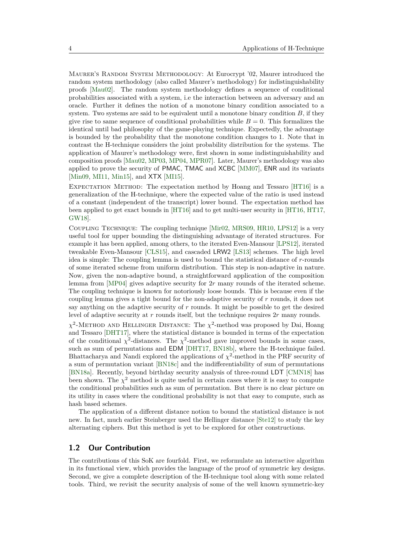MAURER'S RANDOM SYSTEM METHODOLOGY: At Eurocrypt '02, Maurer introduced the random system methodology (also called Maurer's methodology) for indistinguishability proofs [\[Mau02\]](#page-40-8). The random system methodology defines a sequence of conditional probabilities associated with a system, i.e the interaction between an adversary and an oracle. Further it defines the notion of a monotone binary condition associated to a system. Two systems are said to be equivalent until a monotone binary condition *B*, if they give rise to same sequence of conditional probabilities while  $B = 0$ . This formalizes the identical until bad philosophy of the game-playing technique. Expectedly, the advantage is bounded by the probability that the monotone condition changes to 1. Note that in contrast the H-technique considers the joint probability distribution for the systems. The application of Maurer's methodology were, first shown in some indistinguishability and composition proofs [\[Mau02,](#page-40-8) [MP03,](#page-41-2) [MP04,](#page-41-3) [MPR07\]](#page-41-4). Later, Maurer's methodology was also applied to prove the security of PMAC, TMAC and XCBC [\[MM07\]](#page-41-5), ENR and its variants [\[Min09,](#page-41-6) [MI11,](#page-41-7) [Min15\]](#page-41-8), and **XTX** [\[MI15\]](#page-41-9).

Expectation Method: The expectation method by Hoang and Tessaro [\[HT16\]](#page-39-6) is a generalization of the H-technique, where the expected value of the ratio is used instead of a constant (independent of the transcript) lower bound. The expectation method has been applied to get exact bounds in [\[HT16\]](#page-39-6) and to get multi-user security in [\[HT16,](#page-39-6) [HT17,](#page-39-7) [GW18\]](#page-39-8).

Coupling Technique: The coupling technique [\[Mir02,](#page-41-10) [MRS09,](#page-42-10) [HR10,](#page-39-9) [LPS12\]](#page-40-5) is a very useful tool for upper bounding the distinguishing advantage of iterated structures. For example it has been applied, among others, to the iterated Even-Mansour [\[LPS12\]](#page-40-5), iterated tweakable Even-Mansour [\[CLS15\]](#page-37-4), and cascaded LRW2 [\[LS13\]](#page-40-9) schemes. The high level idea is simple: The coupling lemma is used to bound the statistical distance of *r*-rounds of some iterated scheme from uniform distribution. This step is non-adaptive in nature. Now, given the non-adaptive bound, a straightforward application of the composition lemma from [\[MP04\]](#page-41-3) gives adaptive security for 2*r* many rounds of the iterated scheme. The coupling technique is known for notoriously loose bounds. This is because even if the coupling lemma gives a tight bound for the non-adaptive security of *r* rounds, it does not say anything on the adaptive security of *r* rounds. It might be possible to get the desired level of adaptive security at *r* rounds itself, but the technique requires 2*r* many rounds.

 $\chi^2$ -METHOD AND HELLINGER DISTANCE: The  $\chi^2$ -method was proposed by Dai, Hoang and Tessaro [\[DHT17\]](#page-38-9), where the statistical distance is bounded in terms of the expectation of the conditional  $\chi^2$ -distances. The  $\chi^2$ -method gave improved bounds in some cases, such as sum of permutations and EDM [\[DHT17,](#page-38-9) [BN18b\]](#page-36-7), where the H-technique failed. Bhattacharya and Nandi explored the applications of  $\chi^2$ -method in the PRF security of a sum of permutation variant [\[BN18c\]](#page-36-8) and the indifferentiability of sum of permutations [\[BN18a\]](#page-36-9). Recently, beyond birthday security analysis of three-round LDT [\[CMN18\]](#page-37-9) has been shown. The  $\chi^2$  method is quite useful in certain cases where it is easy to compute the conditional probabilities such as sum of permutation. But there is no clear picture on its utility in cases where the conditional probability is not that easy to compute, such as hash based schemes.

The application of a different distance notion to bound the statistical distance is not new. In fact, much earlier Steinberger used the Hellinger distance [\[Ste12\]](#page-44-5) to study the key alternating ciphers. But this method is yet to be explored for other constructions.

### **1.2 Our Contribution**

The contributions of this SoK are fourfold. First, we reformulate an interactive algorithm in its functional view, which provides the language of the proof of symmetric key designs. Second, we give a complete description of the H-technique tool along with some related tools. Third, we revisit the security analysis of some of the well known symmetric-key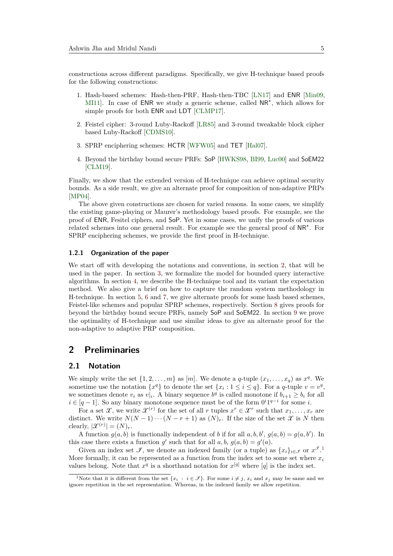constructions across different paradigms. Specifically, we give H-technique based proofs for the following constructions:

- 1. Hash-based schemes: Hash-then-PRF, Hash-then-TBC [\[LN17\]](#page-40-7) and ENR [\[Min09,](#page-41-6) [MI11\]](#page-41-7). In case of **ENR** we study a generic scheme, called  $NR^{\star}$ , which allows for simple proofs for both ENR and LDT [\[CLMP17\]](#page-37-5).
- 2. Feistel cipher: 3-round Luby-Rackoff [\[LR85\]](#page-40-0) and 3-round tweakable block cipher based Luby-Rackoff [\[CDMS10\]](#page-36-10).
- 3. SPRP enciphering schemes: HCTR [\[WFW05\]](#page-44-3) and TET [\[Hal07\]](#page-39-4).
- 4. Beyond the birthday bound secure PRFs: SoP [\[HWKS98,](#page-39-10) [BI99,](#page-36-11) [Luc00\]](#page-40-10) and SoEM22 [\[CLM19\]](#page-37-10).

Finally, we show that the extended version of H-technique can achieve optimal security bounds. As a side result, we give an alternate proof for composition of non-adaptive PRPs [\[MP04\]](#page-41-3).

The above given constructions are chosen for varied reasons. In some cases, we simplify the existing game-playing or Maurer's methodology based proofs. For example, see the proof of ENR, Fesitel ciphers, and SoP. Yet in some cases, we unify the proofs of various related schemes into one general result. For example see the general proof of NR*?* . For SPRP enciphering schemes, we provide the first proof in H-technique.

#### **1.2.1 Organization of the paper**

We start off with developing the notations and conventions, in section [2,](#page-4-0) that will be used in the paper. In section [3,](#page-6-0) we formalize the model for bounded query interactive algorithms. In section [4,](#page-10-0) we describe the H-technique tool and its variant the expectation method. We also give a brief on how to capture the random system methodology in H-technique. In section [5,](#page-13-0) [6](#page-21-0) and [7,](#page-24-0) we give alternate proofs for some hash based schemes, Feistel-like schemes and popular SPRP schemes, respectively. Section [8](#page-28-0) gives proofs for beyond the birthday bound secure PRFs, namely SoP and SoEM22. In section [9](#page-32-0) we prove the optimality of H-technique and use similar ideas to give an alternate proof for the non-adaptive to adaptive PRP composition.

# <span id="page-4-0"></span>**2 Preliminaries**

# **2.1 Notation**

We simply write the set  $\{1, 2, \ldots, m\}$  as  $[m]$ . We denote a *q*-tuple  $(x_1, \ldots, x_q)$  as  $x^q$ . We sometime use the notation  $\{x^q\}$  to denote the set  $\{x_i : 1 \le i \le q\}$ . For a *q*-tuple  $v = v^q$ , we sometimes denote  $v_i$  as  $v|_i$ . A binary sequence  $b^q$  is called monotone if  $b_{i+1} \geq b_i$  for all *i* ∈ [*q* − 1]. So any binary monotone sequence must be of the form  $0^i1^{q-i}$  for some *i*.

For a set  $\mathcal{X}$ , we write  $\mathcal{X}^{(r)}$  for the set of all *r* tuples  $x^r \in \mathcal{X}^r$  such that  $x_1, \ldots, x_r$  are distinct. We write  $N(N-1)\cdots(N-r+1)$  as  $(N)_r$ . If the size of the set  $\mathcal X$  is N then clearly,  $|\mathcal{X}^{(r)}| = (N)_r$ .

A function  $g(a, b)$  is functionally independent of *b* if for all  $a, b, b', g(a, b) = g(a, b')$ . In this case there exists a function  $g'$  such that for all  $a, b, g(a, b) = g'(a)$ .

Given an index set  $\mathcal{I}$ , we denote an indexed family (or a tuple) as  $\{x_i\}_{i\in\mathcal{I}}$  or  $x^{\mathcal{I}}$ . More formally, it can be represented as a function from the index set to some set where  $x_i$ values belong. Note that  $x^q$  is a shorthand notation for  $x^{[q]}$  where  $[q]$  is the index set.

<span id="page-4-1"></span><sup>&</sup>lt;sup>1</sup>Note that it is different from the set  $\{x_i : i \in \mathcal{F}\}\)$ . For some  $i \neq j$ ,  $x_i$  and  $x_j$  may be same and we ignore repetition in the set representation. Whereas, in the indexed family we allow repetition.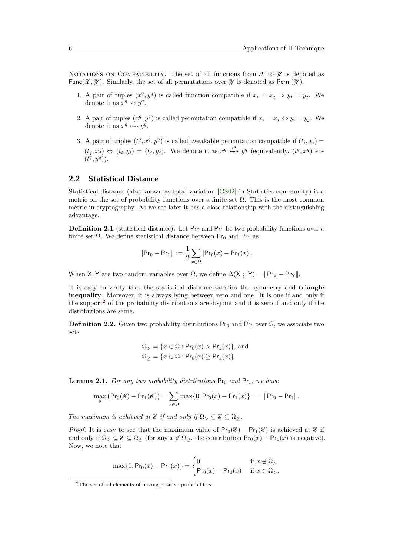NOTATIONS ON COMPATIBILITY. The set of all functions from  $\mathcal X$  to  $\mathcal Y$  is denoted as Func $(\mathcal{X}, \mathcal{Y})$ . Similarly, the set of all permutations over  $\mathcal{Y}$  is denoted as Perm $(\mathcal{Y})$ .

- 1. A pair of tuples  $(x^q, y^q)$  is called function compatible if  $x_i = x_j \Rightarrow y_i = y_j$ . We denote it as  $x^q \leadsto y^q$ .
- 2. A pair of tuples  $(x^q, y^q)$  is called permutation compatible if  $x_i = x_j \Leftrightarrow y_i = y_j$ . We denote it as  $x^q \leftrightarrow y^q$ .
- 3. A pair of triples  $(t^q, x^q, y^q)$  is called tweakable permutation compatible if  $(t_i, x_i)$  $(t_j, x_j) \Leftrightarrow (t_i, y_i) = (t_j, y_j)$ . We denote it as  $x^q \stackrel{t^q}{\leftrightsquigarrow} y^q$  (equivalently,  $(t^q, x^q) \rightsquigarrow$  $(t^q, y^q)$ .

# **2.2 Statistical Distance**

Statistical distance (also known as total variation [\[GS02\]](#page-39-11) in Statistics community) is a metric on the set of probability functions over a finite set  $\Omega$ . This is the most common metric in cryptography. As we see later it has a close relationship with the distinguishing advantage.

**Definition 2.1** (statistical distance). Let  $Pr_0$  and  $Pr_1$  be two probability functions over a finite set  $\Omega$ . We define statistical distance between Pr<sub>0</sub> and Pr<sub>1</sub> as

$$
||Pr_0 - Pr_1|| := \frac{1}{2} \sum_{x \in \Omega} |Pr_0(x) - Pr_1(x)|.
$$

When X, Y are two random variables over  $\Omega$ , we define  $\Delta(X; Y) = ||P_{YX} - P_{YY}||$ .

It is easy to verify that the statistical distance satisfies the symmetry and **triangle inequality**. Moreover, it is always lying between zero and one. It is one if and only if the support<sup>[2](#page-5-0)</sup> of the probability distributions are disjoint and it is zero if and only if the distributions are same.

<span id="page-5-2"></span>**Definition 2.2.** Given two probability distributions  $Pr_0$  and  $Pr_1$  over  $\Omega$ , we associate two sets

$$
\Omega_{>} = \{x \in \Omega : \mathsf{Pr}_0(x) > \mathsf{Pr}_1(x)\}, \text{ and}
$$
  

$$
\Omega_{\geq} = \{x \in \Omega : \mathsf{Pr}_0(x) \geq \mathsf{Pr}_1(x)\}.
$$

<span id="page-5-1"></span>**Lemma 2.1.** For any two probability distributions  $Pr_0$  and  $Pr_1$ , we have

$$
\max_{g} (Pr_0(g) - Pr_1(g)) = \sum_{x \in \Omega} \max\{0, Pr_0(x) - Pr_1(x)\} = ||Pr_0 - Pr_1||.
$$

*The maximum is achieved at*  $\mathscr E$  *if and only if*  $\Omega$ <sup>*></sup></sup>*  $\subset \mathscr E \subset \Omega$ *<sup><i>>*</sup>.</sup>

*Proof.* It is easy to see that the maximum value of  $Pr_0(\mathscr{E}) - Pr_1(\mathscr{E})$  is achieved at  $\mathscr{E}$  if and only if  $\Omega$ <sub>></sub>  $\subseteq$   $\mathscr{E} \subseteq \Omega$ <sub>></sub> (for any  $x \notin \Omega$ <sub>></sub>, the contribution  $Pr_0(x) - Pr_1(x)$  is negative). Now, we note that

$$
\max\{0, \Pr_0(x) - \Pr_1(x)\} = \begin{cases} 0 & \text{if } x \notin \Omega_> \\ \Pr_0(x) - \Pr_1(x) & \text{if } x \in \Omega_>. \end{cases}
$$

<span id="page-5-0"></span><sup>&</sup>lt;sup>2</sup>The set of all elements of having positive probabilities.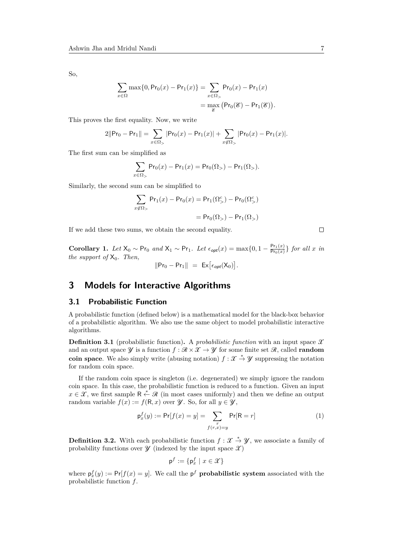So,

$$
\sum_{x \in \Omega} \max\{0, \Pr_0(x) - \Pr_1(x)\} = \sum_{x \in \Omega_>} \Pr_0(x) - \Pr_1(x)
$$

$$
= \max_{\mathcal{C}} (\Pr_0(\mathcal{C}) - \Pr_1(\mathcal{C})).
$$

This proves the first equality. Now, we write

$$
2\|\mathsf{Pr}_0-\mathsf{Pr}_1\| = \sum_{x \in \Omega_{>}} |\mathsf{Pr}_0(x)-\mathsf{Pr}_1(x)| + \sum_{x \notin \Omega_{>}} |\mathsf{Pr}_0(x)-\mathsf{Pr}_1(x)|.
$$

The first sum can be simplified as

$$
\sum_{x \in \Omega_{>}} \Pr_{0}(x) - \Pr_{1}(x) = \Pr_{0}(\Omega_{>}) - \Pr_{1}(\Omega_{>}).
$$

Similarly, the second sum can be simplified to

$$
\sum_{x \notin \Omega_{>}} \Pr_1(x) - \Pr_0(x) = \Pr_1(\Omega_{>}^c) - \Pr_0(\Omega_{>}^c)
$$

$$
= \Pr_0(\Omega_{>}) - \Pr_1(\Omega_{>})
$$

If we add these two sums, we obtain the second equality.

**Corollary 1.** *Let*  $X_0 \sim Pr_0$  *and*  $X_1 \sim Pr_1$ *. Let*  $\epsilon_{opt}(x) = \max\{0, 1 - \frac{Pr_1(x)}{Pr_0(x)}\}$  $\frac{\Pr_1(x)}{\Pr_0(x)}$  *for all x in the support of*  $X_0$ *. Then,*  $||Pr_0 - Pr_1|| = Ex[\epsilon_{opt}(X_0)].$ 

# <span id="page-6-0"></span>**3 Models for Interactive Algorithms**

# **3.1 Probabilistic Function**

A probabilistic function (defined below) is a mathematical model for the black-box behavior of a probabilistic algorithm. We also use the same object to model probabilistic interactive algorithms.

**Definition 3.1** (probabilistic function). A *probabilistic function* with an input space  $\mathcal{X}$ and an output space  $\mathcal{Y}$  is a function  $f : \mathcal{R} \times \mathcal{X} \to \mathcal{Y}$  for some finite set  $\mathcal{R}$ , called **random coin space**. We also simply write (abusing notation)  $f: \mathcal{X} \stackrel{*}{\to} \mathcal{Y}$  suppressing the notation for random coin space.

If the random coin space is singleton (i.e. degenerated) we simply ignore the random coin space. In this case, the probabilistic function is reduced to a function. Given an input  $x \in \mathcal{X}$ , we first sample  $R \stackrel{*}{\leftarrow} \mathcal{R}$  (in most cases uniformly) and then we define an output random variable  $f(x) := f(R, x)$  over  $\mathcal{Y}$ . So, for all  $y \in \mathcal{Y}$ ,

$$
\mathsf{p}^{f}_{x}(y) := \mathsf{Pr}[f(x) = y] = \sum_{\substack{r \\ f(r,x) = y}} \mathsf{Pr}[\mathsf{R} = r] \tag{1}
$$

<span id="page-6-1"></span>**Definition 3.2.** With each probabilistic function  $f: \mathcal{X} \stackrel{*}{\to} \mathcal{Y}$ , we associate a family of probability functions over  $\mathscr Y$  (indexed by the input space  $\mathscr X$ )

$$
\mathsf{p}^f:=\{\mathsf{p}^f_x\mid x\in\mathcal{X}\}
$$

where  $p_x^f(y) := Pr[f(x) = y]$ . We call the  $p^f$  **probabilistic system** associated with the probabilistic function *f*.

 $\Box$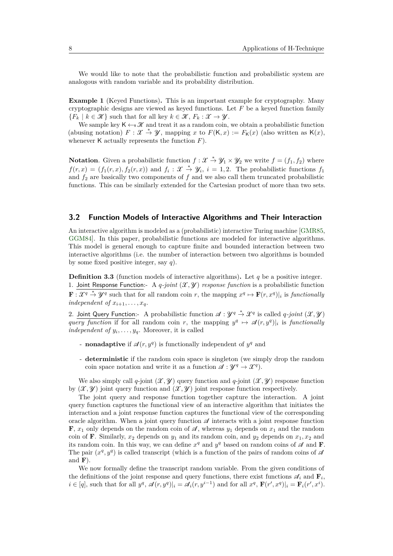We would like to note that the probabilistic function and probabilistic system are analogous with random variable and its probability distribution.

**Example 1** (Keyed Functions)**.** This is an important example for cryptography. Many cryptographic designs are viewed as keyed functions. Let *F* be a keyed function family  ${F_k \mid k \in \mathcal{K}}$  such that for all key  $k \in \mathcal{K}, F_k : \mathcal{X} \to \mathcal{Y}$ .

We sample key  $\mathsf{K} \leftarrow \mathcal{K}$  and treat it as a random coin, we obtain a probabilistic function (abusing notation)  $F: \mathcal{X} \stackrel{*}{\to} \mathcal{Y}$ , mapping  $x$  to  $F(K, x) := F_K(x)$  (also written as  $K(x)$ , whenever K actually represents the function *F*).

**Notation**. Given a probabilistic function  $f: \mathcal{X} \stackrel{*}{\to} \mathcal{Y}_1 \times \mathcal{Y}_2$  we write  $f = (f_1, f_2)$  where  $f(r, x) = (f_1(r, x), f_2(r, x))$  and  $f_i: \mathcal{X} \stackrel{*}{\to} \mathcal{Y}_i$ ,  $i = 1, 2$ . The probabilistic functions  $f_1$ and  $f_2$  are basically two components of  $f$  and we also call them truncated probabilistic functions. This can be similarly extended for the Cartesian product of more than two sets.

### **3.2 Function Models of Interactive Algorithms and Their Interaction**

An interactive algorithm is modeled as a (probabilistic) interactive Turing machine [\[GMR85,](#page-39-12) [GGM84\]](#page-39-0). In this paper, probabilistic functions are modeled for interactive algorithms. This model is general enough to capture finite and bounded interaction between two interactive algorithms (i.e. the number of interaction between two algorithms is bounded by some fixed positive integer, say *q*).

**Definition 3.3** (function models of interactive algorithms)**.** Let *q* be a positive integer. 1. Joint Response Function:- A *q*-joint  $(\mathcal{X}, \mathcal{Y})$  *response function* is a probabilistic function  $\mathbf{F}: \mathcal{X}^q \stackrel{*}{\to} \mathcal{Y}^q$  such that for all random coin *r*, the mapping  $x^q \mapsto \mathbf{F}(r, x^q)|_i$  is *functionally independent of*  $x_{i+1}, \ldots, x_q$ *.* 

2. Joint Query Function:- A probabilistic function  $\mathscr{A}: \mathscr{Y}^q \stackrel{*}{\to} \mathscr{X}^q$  is called *q-joint*  $(\mathscr{X}, \mathscr{Y})$ *query function* if for all random coin *r*, the mapping  $y^q \mapsto \mathcal{A}(r, y^q)|_i$  is functionally *independent of*  $y_i, \ldots, y_q$ . Moreover, it is called

- **nonadaptive** if  $\mathcal{A}(r, y^q)$  is functionally independent of  $y^q$  and
- **deterministic** if the random coin space is singleton (we simply drop the random coin space notation and write it as a function  $\mathscr{A} : \mathscr{Y}^q \to \mathscr{X}^q$ .

We also simply call q-joint  $(\mathcal{X}, \mathcal{Y})$  query function and q-joint  $(\mathcal{X}, \mathcal{Y})$  response function by  $(\mathcal{X}, \mathcal{Y})$  joint query function and  $(\mathcal{X}, \mathcal{Y})$  joint response function respectively.

The joint query and response function together capture the interaction. A joint query function captures the functional view of an interactive algorithm that initiates the interaction and a joint response function captures the functional view of the corresponding oracle algorithm. When a joint query function  $\mathscr A$  interacts with a joint response function **F**,  $x_1$  only depends on the random coin of  $\mathcal{A}$ , whereas  $y_1$  depends on  $x_1$  and the random coin of **F**. Similarly,  $x_2$  depends on  $y_1$  and its random coin, and  $y_2$  depends on  $x_1, x_2$  and its random coin. In this way, we can define  $x^q$  and  $y^q$  based on random coins of  $\mathscr A$  and **F**. The pair  $(x^q, y^q)$  is called transcript (which is a function of the pairs of random coins of  $\mathscr A$ and **F**).

We now formally define the transcript random variable. From the given conditions of the definitions of the joint response and query functions, there exist functions  $\mathcal{A}_i$  and  $\mathbf{F}_i$ ,  $i \in [q]$ , such that for all  $y^q$ ,  $\mathscr{A}(r, y^q)|_i = \mathscr{A}_i(r, y^{i-1})$  and for all  $x^q$ ,  $\mathbf{F}(r', x^q)|_i = \mathbf{F}_i(r', x^i)$ .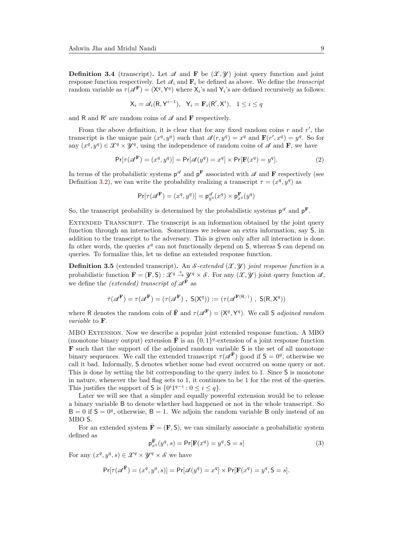**Definition 3.4** (transcript). Let  $\mathscr A$  and **F** be  $(\mathscr X, \mathscr Y)$  joint query function and joint response function respectively. Let  $\mathcal{A}_i$  and  $\mathbf{F}_i$  be defined as above. We define the *transcript* random variable as  $\tau(\mathscr{A}^{\mathbf{F}}) = (\mathsf{X}^q, \mathsf{Y}^q)$  where  $\mathsf{X}_i$ 's and  $\mathsf{Y}_i$ 's are defined recursively as follows:

$$
\mathsf{X}_i = \mathscr{A}_i(\mathsf{R}, \mathsf{Y}^{i-1}), \quad \mathsf{Y}_i = \mathbf{F}_i(\mathsf{R}', \mathsf{X}^i), \quad 1 \le i \le q
$$

and  $R$  and  $R'$  are random coins of  $\mathcal A$  and  $\mathbf F$  respectively.

From the above definition, it is clear that for any fixed random coins  $r$  and  $r'$ , the transcript is the unique pair  $(x^q, y^q)$  such that  $\mathcal{A}(r, y^q) = x^q$  and  $\mathbf{F}(r', x^q) = y^q$ . So for any  $(x^q, y^q) \in \mathcal{X}^q \times \mathcal{Y}^q$ , using the independence of random coins of  $\mathcal A$  and **F**, we have

$$
\Pr[\tau(\mathcal{A}^{\mathbf{F}}) = (x^q, y^q)] = \Pr[\mathcal{A}(y^q) = x^q] \times \Pr[\mathbf{F}(x^q) = y^q]. \tag{2}
$$

In terms of the probabilistic systems  $p^{\mathscr{A}}$  and  $p^{\mathbf{F}}$  associated with  $\mathscr{A}$  and  $\mathbf{F}$  respectively (see Definition [3.2\)](#page-6-1), we can write the probability realizing a transcript  $\tau = (x^q, y^q)$  as

$$
\Pr[\tau(\mathscr{A}^{\mathbf{F}}) = (x^q, y^q)] = \mathsf{p}_{y^q}^{\mathscr{A}}(x^q) \times \mathsf{p}_{x^q}^{\mathbf{F}}(y^q)
$$

So, the transcript probability is determined by the probabilistic systems  $p^{\mathscr{A}}$  and  $p^{\mathbf{F}}$ .

Extended Transcript. The transcript is an information obtained by the joint query function through an interaction. Sometimes we release an extra information, say S, in addition to the transcript to the adversary. This is given only after all interaction is done. In other words, the queries  $x^q$  can not functionally depend on  $S$ , whereas  $S$  can depend on queries. To formalize this, let us define an extended response function.

**Definition 3.5** (extended transcript). An  $\mathcal{S}\text{-extended }(\mathcal{X}, \mathcal{Y})$  *joint response function* is a probabilistic function  $\bar{\mathbf{F}} = (\mathbf{F}, \mathbf{S}) : \mathcal{X}^q \to \mathcal{Y}^q \times \mathcal{S}$ . For any  $(\mathcal{X}, \mathcal{Y})$  joint query function  $\mathcal{A}$ , we define the *(extended)* transcript of  $\mathscr{A}^{\bar{\mathbf{F}}}$  as

$$
\bar{\tau}(\mathscr{A}^{\mathbf{F}}) = \tau(\mathscr{A}^{\bar{\mathbf{F}}}) = (\tau(\mathscr{A}^{\mathbf{F}}), S(X^q)) := (\tau(\mathscr{A}^{\mathbf{F}(R,\cdot)}), S(R, X^q))
$$

where R denotes the random coin of  $\bar{\mathbf{F}}$  and  $\tau(\mathcal{A}^{\mathbf{F}}) = (\mathsf{X}^q, \mathsf{Y}^q)$ . We call S *adjoined random variable* to **F**.

MBO Extension. Now we describe a popular joint extended response function. A MBO (monotone binary output) extension  $\bar{\mathbf{F}}$  is an  $\{0,1\}^q$ -extension of a joint response function **F** such that the support of the adjoined random variable S is the set of all monotone binary sequences. We call the extended transcript  $\tau(\mathscr{A}^{\mathbf{F}})$  good if  $\mathsf{S} = 0^q$ , otherwise we call it bad. Informally, S denotes whether some bad event occurred on some query or not. This is done by setting the bit corresponding to the query index to 1. Since S is monotone in nature, whenever the bad flag sets to 1, it continues to be 1 for the rest of the queries. This justifies the support of  $S$  is  $\{0^i1^{q-i}: 0 \le i \le q\}.$ 

Later we will see that a simpler and equally powerful extension would be to release a binary variable B to denote whether bad happened or not in the whole transcript. So  $B = 0$  if  $S = 0<sup>q</sup>$ , otherwise,  $B = 1$ . We adjoin the random variable B only instead of an MBO S.

For an extended system  $\bar{\mathbf{F}} = (\mathbf{F}, \mathbf{S})$ , we can similarly associate a probabilistic system defined as

$$
\mathbf{p}_{xq}^{\overline{\mathbf{F}}}(y^q, s) = \Pr[\mathbf{F}(x^q) = y^q, \mathbf{S} = s]
$$
\n(3)

For any  $(x^q, y^q, s) \in \mathcal{X}^q \times \mathcal{Y}^q \times \mathcal{S}$  we have

$$
\Pr[\tau(\mathscr{A}^{\bar{\mathbf{F}}}) = (x^q, y^q, s)] = \Pr[\mathscr{A}(y^q) = x^q] \times \Pr[\mathbf{F}(x^q) = y^q, \mathbf{S} = s].
$$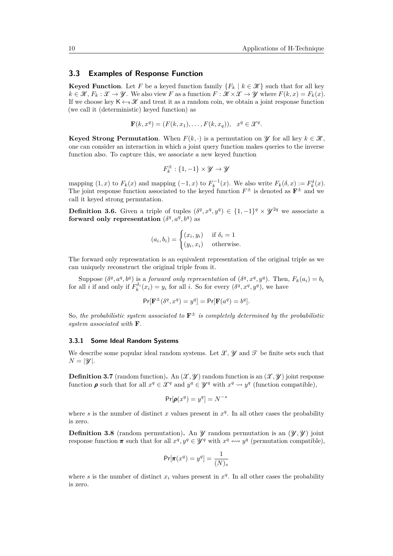#### **3.3 Examples of Response Function**

**Keyed Function**. Let *F* be a keyed function family  ${F_k | k \in \mathcal{K}}$  such that for all key  $k \in \mathcal{K}, F_k : \mathcal{X} \to \mathcal{Y}$ . We also view *F* as a function  $F : \mathcal{K} \times \mathcal{X} \to \mathcal{Y}$  where  $F(k, x) = F_k(x)$ . If we choose key  $K \leftarrow \mathcal{K}$  and treat it as a random coin, we obtain a joint response function (we call it (deterministic) keyed function) as

$$
\mathbf{F}(k, x^q) = (F(k, x_1), \dots, F(k, x_q)), \quad x^q \in \mathcal{X}^q.
$$

**Keyed Strong Permutation**. When  $F(k, \cdot)$  is a permutation on  $\mathcal{Y}$  for all key  $k \in \mathcal{K}$ , one can consider an interaction in which a joint query function makes queries to the inverse function also. To capture this, we associate a new keyed function

$$
F_k^{\pm}:\{1,-1\}\times\mathcal{Y}\to\mathcal{Y}
$$

mapping  $(1, x)$  to  $F_k(x)$  and mapping  $(-1, x)$  to  $F_k^{-1}(x)$ . We also write  $F_k(\delta, x) := F_k^{\delta}(x)$ . The joint response function associated to the keyed function  $F^{\pm}$  is denoted as  $\mathbf{F}^{\pm}$  and we call it keyed strong permutation.

**Definition 3.6.** Given a triple of tuples  $(\delta^q, x^q, y^q) \in \{1, -1\}^q \times \mathcal{Y}^{2q}$  we associate a forward only representation  $(\delta^q, a^q, b^q)$  as

$$
(a_i, b_i) = \begin{cases} (x_i, y_i) & \text{if } \delta_i = 1\\ (y_i, x_i) & \text{otherwise.} \end{cases}
$$

The forward only representation is an equivalent representation of the original triple as we can uniquely reconstruct the original triple from it.

Suppose  $(\delta^q, a^q, b^q)$  is a forward only representation of  $(\delta^q, x^q, y^q)$ . Then,  $F_k(a_i) = b_i$ for all *i* if and only if  $F_k^{\delta_i}(x_i) = y_i$  for all *i*. So for every  $(\delta^q, x^q, y^q)$ , we have

$$
\Pr[\mathbf{F}^{\pm}(\delta^q, x^q) = y^q] = \Pr[\mathbf{F}(a^q) = b^q].
$$

So, the probabilistic system associated to  $\mathbf{F}^{\pm}$  is completely determined by the probabilistic *system associated with* **F***.*

#### **3.3.1 Some Ideal Random Systems**

We describe some popular ideal random systems. Let  $\mathcal{X}, \mathcal{Y}$  and  $\mathcal{T}$  be finite sets such that  $N = |\mathcal{Y}|$ .

**Definition 3.7** (random function)**.** An  $(\mathcal{X}, \mathcal{Y})$  random function is an  $(\mathcal{X}, \mathcal{Y})$  joint response function  $\rho$  such that for all  $x^q \in \mathcal{X}^q$  and  $y^q \in \mathcal{Y}^q$  with  $x^q \leadsto y^q$  (function compatible),

$$
\Pr[\pmb{\rho}(x^q) = y^q] = N^{-s}
$$

where *s* is the number of distinct *x* values present in  $x^q$ . In all other cases the probability is zero.

**Definition 3.8** (random permutation). An  $\mathcal{Y}$  random permutation is an  $(\mathcal{Y}, \mathcal{Y})$  joint response function  $\pi$  such that for all  $x^q, y^q \in \mathscr{Y}^q$  with  $x^q \leftrightarrow y^q$  (permutation compatible),

$$
\Pr[\pi(x^q) = y^q] = \frac{1}{(N)_s}
$$

where *s* is the number of distinct  $x_i$  values present in  $x^q$ . In all other cases the probability is zero.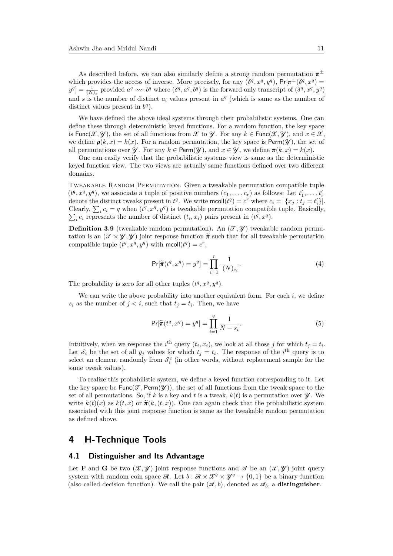As described before, we can also similarly define a strong random permutation *π* ± which provides the access of inverse. More precisely, for any  $(\delta^q, x^q, y^q)$ ,  $Pr[\pi^{\pm}(\delta^q, x^q) =$  $y^q$  =  $\frac{1}{(N)_s}$  provided  $a^q \leftrightarrow b^q$  where  $(\delta^q, a^q, b^q)$  is the forward only transcript of  $(\delta^q, x^q, y^q)$ and *s* is the number of distinct  $a_i$  values present in  $a^q$  (which is same as the number of distinct values present in  $b^q$ ).

We have defined the above ideal systems through their probabilistic systems. One can define these through deterministic keyed functions. For a random function, the key space is Func $(\mathcal{X}, \mathcal{Y})$ , the set of all functions from X to  $\mathcal{Y}$ . For any  $k \in \text{Func}(\mathcal{X}, \mathcal{Y})$ , and  $x \in \mathcal{X}$ , we define  $\rho(k, x) = k(x)$ . For a random permutation, the key space is Perm( $\mathscr{U}$ ), the set of all permutations over  $\mathcal{Y}$ . For any  $k \in \text{Perm}(\mathcal{Y})$ , and  $x \in \mathcal{Y}$ , we define  $\pi(k, x) = k(x)$ .

One can easily verify that the probabilistic systems view is same as the deterministic keyed function view. The two views are actually same functions defined over two different domains.

Tweakable Random Permutation. Given a tweakable permutation compatible tuple  $(t^q, x^q, y^q)$ , we associate a tuple of positive numbers  $(c_1, \ldots, c_r)$  as follows: Let  $t'_1, \ldots, t'_r$ denote the distinct tweaks present in  $t^q$ . We write  $\text{mcoll}(t^q) = c^r$  where  $c_i = |\{x_j : t_j = t'_i\}|$ . Clearly,  $\sum_i c_i = q$  when  $(t^q, x^q, y^q)$  is tweakable permutation compatible tuple. Basically,  $\sum_i c_i$  represents the number of distinct  $(t_i, x_i)$  pairs present in  $(t^q, x^q)$ .

**Definition 3.9** (tweakable random permutation). An  $(\mathcal{T}, \mathcal{Y})$  tweakable random permutation is an  $(\mathcal{T} \times \mathcal{Y}, \mathcal{Y})$  joint response function  $\tilde{\pi}$  such that for all tweakable permutation compatible tuple  $(t^q, x^q, y^q)$  with  $\text{mcoll}(t^q) = c^r$ ,

<span id="page-10-1"></span>
$$
\Pr[\widetilde{\pi}(t^q, x^q) = y^q] = \prod_{i=1}^r \frac{1}{(N)_{c_i}}.\tag{4}
$$

The probability is zero for all other tuples  $(t^q, x^q, y^q)$ .

We can write the above probability into another equivalent form. For each  $i$ , we define *s*<sup>*i*</sup> as the number of  $j < i$ , such that  $t_j = t_i$ . Then, we have

$$
\Pr[\widetilde{\pi}(t^q, x^q) = y^q] = \prod_{i=1}^q \frac{1}{N - s_i}.\tag{5}
$$

Intuitively, when we response the *i*<sup>th</sup> query  $(t_i, x_i)$ , we look at all those *j* for which  $t_j = t_i$ . Let  $\mathcal{S}_i$  be the set of all  $y_j$  values for which  $t_j = t_i$ . The response of the *i*<sup>th</sup> query is to select an element randomly from  $\mathcal{S}_i^c$  (in other words, without replacement sample for the same tweak values).

To realize this probabilistic system, we define a keyed function corresponding to it. Let the key space be  $Func(\mathcal{T}, Perm(\mathcal{Y}))$ , the set of all functions from the tweak space to the set of all permutations. So, if  $k$  is a key and  $t$  is a tweak,  $k(t)$  is a permutation over  $\mathcal{Y}$ . We write  $k(t)(x)$  as  $k(t, x)$  or  $\tilde{\pi}(k, (t, x))$ . One can again check that the probabilistic system associated with this joint response function is same as the tweakable random permutation as defined above.

# <span id="page-10-0"></span>**4 H-Technique Tools**

# **4.1 Distinguisher and Its Advantage**

Let **F** and **G** be two  $(\mathcal{X}, \mathcal{Y})$  joint response functions and  $\mathcal{A}$  be an  $(\mathcal{X}, \mathcal{Y})$  joint query system with random coin space  $\mathcal{R}$ . Let  $b : \mathcal{R} \times \mathcal{X}^q \times \mathcal{Y}^q \to \{0,1\}$  be a binary function (also called decision function). We call the pair  $(\mathcal{A}, b)$ , denoted as  $\mathcal{A}_b$ , a **distinguisher**.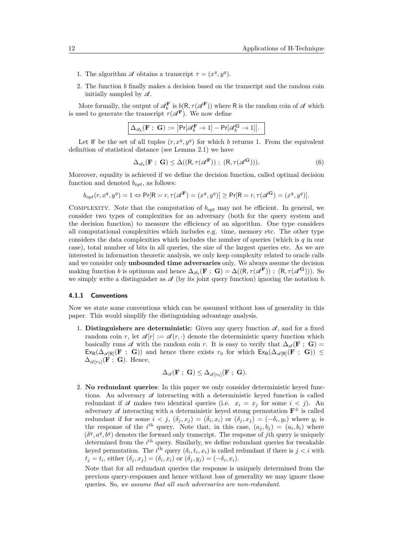- 1. The algorithm  $\mathscr A$  obtains a transcript  $\tau = (x^q, y^q)$ .
- 2. The function *b* finally makes a decision based on the transcript and the random coin initially sampled by  $\mathscr A$ .

More formally, the output of  $\mathscr{A}_{b}^{\mathbf{F}}$  is  $\underline{b}(\mathsf{R}, \tau(\mathscr{A}^{\mathbf{F}}))$  where R is the random coin of  $\mathscr{A}$  which is used to generate the transcript  $\tau(\mathscr{A}^{\mathbf{F}})$ . We now define

|  | $\big \,\Delta_{\mathscr A_b}(\mathbf F\ ; \ \mathbf G) := \big \mathsf{Pr}[\mathscr A_b^{\mathbf F} \rightarrow 1] - \mathsf{Pr}[\mathscr A_b^{\mathbf G} \rightarrow 1]\big .$ |  |
|--|----------------------------------------------------------------------------------------------------------------------------------------------------------------------------------|--|
|--|----------------------------------------------------------------------------------------------------------------------------------------------------------------------------------|--|

Let  $\mathscr E$  be the set of all tuples  $(r, x^q, y^q)$  for which *b* returns 1. From the equivalent definition of statistical distance (see Lemma [2.1\)](#page-5-1) we have

$$
\Delta_{\mathscr{A}_b}(\mathbf{F} \; ; \; \mathbf{G}) \le \Delta((\mathbf{R}, \tau(\mathscr{A}^{\mathbf{F}})) \; ; \; (\mathbf{R}, \tau(\mathscr{A}^{\mathbf{G}}))). \tag{6}
$$

Moreover, equality is achieved if we define the decision function, called optimal decision function and denoted *bopt*, as follows:

$$
b_{opt}(r, x^q, y^q) = 1 \Leftrightarrow \Pr[\mathsf{R} = r, \tau(\mathcal{A}^{\mathbf{F}}) = (x^q, y^q)] \ge \Pr[\mathsf{R} = r, \tau(\mathcal{A}^{\mathbf{G}}) = (x^q, y^q)].
$$

Complexity. Note that the computation of *bopt* may not be efficient. In general, we consider two types of complexities for an adversary (both for the query system and the decision function) to measure the efficiency of an algorithm. One type considers all computational complexities which includes e.g. time, memory etc. The other type considers the data complexities which includes the number of queries (which is *q* in our case), total number of bits in all queries, the size of the largest queries etc. As we are interested in information theoretic analysis, we only keep complexity related to oracle calls and we consider only **unbounded time adversaries** only. We always assume the decision making function *b* is optimum and hence  $\Delta_{\mathscr{A}_b}(\mathbf{F} ; \mathbf{G}) = \Delta((R, \tau(\mathscr{A}^{\mathbf{F}})) ; (R, \tau(\mathscr{A}^{\mathbf{G}}))).$  So we simply write a distinguisher as  $\mathscr A$  (by its joint query function) ignoring the notation *b*.

#### **4.1.1 Conventions**

Now we state some conventions which can be assumed without loss of generality in this paper. This would simplify the distinguishing advantage analysis.

1. **Distinguishers are deterministic**: Given any query function  $\mathscr{A}$ , and for a fixed random coin *r*, let  $\mathscr{A}[r] := \mathscr{A}(r, \cdot)$  denote the deterministic query function which basically runs  $\mathscr A$  with the random coin *r*. It is easy to verify that  $\Delta_{\mathscr A}(\mathbf F; \mathbf G)$  =  $\mathsf{Ex}_R(\Delta_{\mathscr{A}[R]}(F; G))$  and hence there exists  $r_0$  for which  $\mathsf{Ex}_R(\Delta_{\mathscr{A}[R]}(F; G)) \leq$  $\Delta_{\mathscr{A}[r_0]}(\vec{F};\mathbf{G})$ . Hence,

$$
\Delta_{\mathscr{A}}(\mathbf{F} ; \, \mathbf{G}) \leq \Delta_{\mathscr{A}[r_0]}(\mathbf{F} ; \, \mathbf{G}).
$$

2. **No redundant queries**: In this paper we only consider deterministic keyed functions. An adversary  $\mathscr A$  interacting with a deterministic keyed function is called redundant if A makes two identical queries (i.e.  $x_i = x_j$  for some  $i < j$ ). An adversary  $\mathscr A$  interacting with a deterministic keyed strong permutation  $\mathbf{F}^{\pm}$  is called redundant if for some  $i < j$ ,  $(\delta_j, x_j) = (\delta_i, x_i)$  or  $(\delta_j, x_j) = (-\delta_i, y_i)$  where  $y_i$  is the response of the *i*<sup>th</sup> query. Note that, in this case,  $(a_j, b_j) = (a_i, b_i)$  where  $(\delta^q, a^q, b^q)$  denotes the forward only transcript. The response of *j*th query is uniquely determined from the *i*<sup>th</sup> query. Similarly, we define redundant queries for tweakable keyed permutation. The *i*<sup>th</sup> query  $(\delta_i, t_i, x_i)$  is called redundant if there is  $j < i$  with  $t_j = t_i$ , either  $(\delta_j, x_j) = (\delta_i, x_i)$  or  $(\delta_j, y_j) = (-\delta_i, x_i)$ .

Note that for all redundant queries the response is uniquely determined from the previous query-responses and hence without loss of generality we may ignore those queries. So, *we assume that all such adversaries are non-redundant*.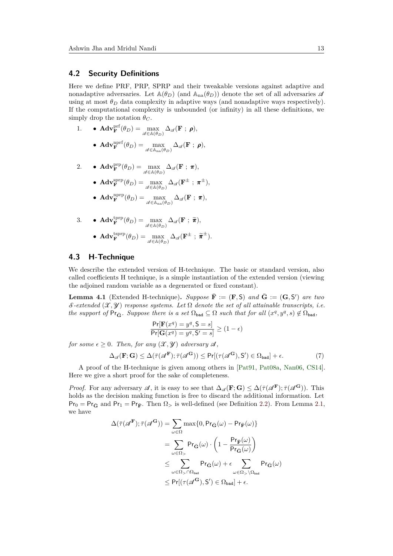### **4.2 Security Definitions**

Here we define PRF, PRP, SPRP and their tweakable versions against adaptive and nonadaptive adversaries. Let  $\mathbb{A}(\theta_D)$  (and  $\mathbb{A}_{na}(\theta_D)$ ) denote the set of all adversaries  $\mathscr A$ using at most  $\theta_D$  data complexity in adaptive ways (and nonadaptive ways respectively). If the computational complexity is unbounded (or infinity) in all these definitions, we simply drop the notation  $\theta_C$ .

- 1. **AdvF**<sup>If</sup>**f** $(\theta_D) = \max_{\mathscr{A} \in \mathbb{A}(\theta_D)} \Delta_{\mathscr{A}}(\mathbf{F} ; \boldsymbol{\rho}),$ 
	- $\bullet \ \operatorname{\mathbf{Adv}}^{\text{nprf}}_{\mathbf{F}}(\theta_D) = \max_{\mathscr{A} \in \mathbb{A}_{\text{na}}(\theta_D)} \Delta_{\mathscr{A}}(\mathbf{F}~;~\boldsymbol{\rho}),$

2. 
$$
\bullet \ \mathbf{Adv}_{\mathbf{F}}^{\text{prp}}(\theta_D) = \max_{\mathscr{A} \in \mathbb{A}(\theta_D)} \Delta_{\mathscr{A}}(\mathbf{F} ; \pi),
$$

- $\bullet \ \operatorname{\mathbf{Adv}}^{\mathrm{sprp}}_{\mathbf{F}}(\theta_D) = \max_{\mathscr{A} \in \mathbb{A}(\theta_D)} \Delta_{\mathscr{A}}(\mathbf{F}^{\pm}\ ;\ \pmb{\pi}^{\pm}),$
- $\bullet \ \textbf{Adv}_{\textbf{F}}^{\text{nprp}}(\theta_D) = \max_{\mathscr{A} \in \mathbb{A}_{\text{na}}(\theta_D)} \Delta_{\mathscr{A}}(\textbf{F}~;~\pmb{\pi}),$

3. 
$$
\bullet \text{ Adv}_{\mathbf{F}}^{\text{tprp}}(\theta_D) = \max_{\mathscr{A} \in \mathbb{A}(\theta_D)} \Delta_{\mathscr{A}}(\mathbf{F} ; \ \widetilde{\boldsymbol{\pi}}),
$$

$$
\bullet \text{ Adv}_{\mathbf{F}}^{\text{tprp}}(\theta_D) = \max_{\mathscr{A} \in \mathbb{A}(\theta_D)} \Delta_{\mathscr{A}}(\mathbf{F}^{\pm} ; \ \widetilde{\boldsymbol{\pi}}^{\pm}).
$$

# **4.3 H-Technique**

We describe the extended version of H-technique. The basic or standard version, also called coefficients H technique, is a simple instantiation of the extended version (viewing the adjoined random variable as a degenerated or fixed constant).

<span id="page-12-0"></span>**Lemma 4.1** (Extended H-technique). Suppose  $\overline{\mathbf{F}} := (\mathbf{F}, \mathsf{S})$  and  $\overline{\mathbf{G}} := (\mathbf{G}, \mathsf{S}')$  are two  $\mathcal{S}\text{-extended }(\mathcal{X},\mathcal{Y})$  response systems. Let  $\Omega$  denote the set of all attainable transcripts, i.e. *the support of*  $Pr_{\bar{G}}$ *. Suppose there is a set*  $\Omega_{bad} \subseteq \Omega$  *such that for all*  $(x^q, y^q, s) \notin \Omega_{bad}$ *,* 

<span id="page-12-1"></span>
$$
\frac{\Pr[\mathbf{F}(x^q) = y^q, \mathbf{S} = s]}{\Pr[\mathbf{G}(x^q) = y^q, \mathbf{S}' = s]} \ge (1 - \epsilon)
$$

*for some*  $\epsilon \geq 0$ *. Then, for any*  $(\mathcal{X}, \mathcal{Y})$  *adversary*  $\mathcal{A}$ *,* 

$$
\Delta_{\mathscr{A}}(\mathbf{F}; \mathbf{G}) \le \Delta(\bar{\tau}(\mathscr{A}^{\mathbf{F}}); \bar{\tau}(\mathscr{A}^{\mathbf{G}})) \le \Pr[(\tau(\mathscr{A}^{\mathbf{G}}), \mathbf{S}') \in \Omega_{\text{bad}}] + \epsilon. \tag{7}
$$

A proof of the H-technique is given among others in [\[Pat91,](#page-42-2) [Pat08a,](#page-42-0) [Nan06,](#page-42-6) [CS14\]](#page-38-1). Here we give a short proof for the sake of completeness.

*Proof.* For any adversary  $\mathscr{A}$ , it is easy to see that  $\Delta_{\mathscr{A}}(\mathbf{F}; \mathbf{G}) \leq \Delta(\bar{\tau}(\mathscr{A}^{\mathbf{F}}); \bar{\tau}(\mathscr{A}^{\mathbf{G}}))$ . This holds as the decision making function is free to discard the additional information. Let  $Pr_0 = Pr_{\bar{G}}$  and  $Pr_1 = Pr_{\bar{F}}$ . Then  $\Omega$ <sub>></sub> is well-defined (see Definition [2.2\)](#page-5-2). From Lemma [2.1,](#page-5-1) we have

$$
\begin{aligned} \Delta(\bar{\tau}(\mathscr{A}^{\mathbf{F}});\bar{\tau}(\mathscr{A}^{\mathbf{G}}))&=\sum_{\omega\in\Omega}\max\{0,\mathsf{Pr}_{\bar{\mathbf{G}}}(\omega)-\mathsf{Pr}_{\bar{\mathbf{F}}}(\omega)\}\\ &=\sum_{\omega\in\Omega_>} \mathsf{Pr}_{\bar{\mathbf{G}}}(\omega)\cdot\left(1-\frac{\mathsf{Pr}_{\bar{\mathbf{F}}}(\omega)}{\mathsf{Pr}_{\bar{\mathbf{G}}}(\omega)}\right)\\ &\leq \sum_{\omega\in\Omega_>\cap\Omega_{\mathrm{bad}}}\mathsf{Pr}_{\bar{\mathbf{G}}}(\omega)+\epsilon\sum_{\omega\in\Omega_>\setminus\Omega_{\mathrm{bad}}}\mathsf{Pr}_{\bar{\mathbf{G}}}(\omega)\\ &\leq \mathsf{Pr}[(\tau(\mathscr{A}^{\mathbf{G}}),\mathsf{S}')\in\Omega_{\mathrm{bad}}]+\epsilon. \end{aligned}
$$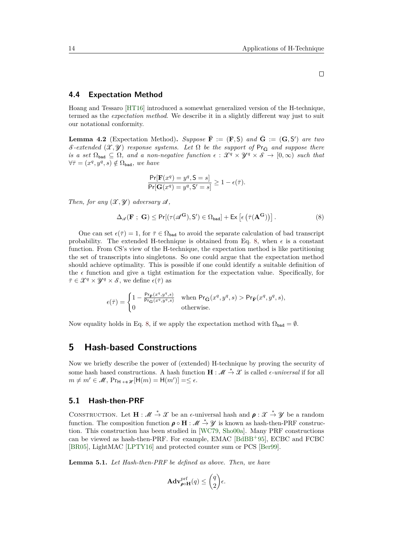### **4.4 Expectation Method**

Hoang and Tessaro [\[HT16\]](#page-39-6) introduced a somewhat generalized version of the H-technique, termed as the *expectation method*. We describe it in a slightly different way just to suit our notational conformity.

<span id="page-13-2"></span>**Lemma 4.2** (Expectation Method). Suppose  $\overline{\mathbf{F}} := (\mathbf{F}, \mathsf{S})$  and  $\overline{\mathbf{G}} := (\mathbf{G}, \mathsf{S}')$  are two S-extended  $(\mathcal{X}, \mathcal{Y})$  *response systems.* Let  $\Omega$  be the support of Pr<sub>G</sub> and suppose there *is a set*  $\Omega_{bad} \subseteq \Omega$ *, and a non-negative function*  $\epsilon : \mathcal{X}^q \times \mathcal{Y}^q \times \mathcal{S} \to [0,\infty)$  such that  $\forall \bar{\tau} = (x^q, y^q, s) \notin \Omega_{\text{bad}}, \text{ we have}$ 

$$
\frac{\Pr[\mathbf{F}(x^q) = y^q, \mathbf{S} = s]}{\Pr[\mathbf{G}(x^q) = y^q, \mathbf{S}' = s]} \ge 1 - \epsilon(\overline{\tau}).
$$

*Then, for any*  $(\mathcal{X}, \mathcal{Y})$  *adversary*  $\mathcal{A}$ *,* 

$$
\Delta_{\mathscr{A}}(\mathbf{F} \; ; \; \mathbf{G}) \le \Pr[(\tau(\mathscr{A}^{\mathbf{G}}), \mathbf{S}') \in \Omega_{\text{bad}}] + \text{Ex}\left[\epsilon\left(\bar{\tau}(\mathbf{A}^{\mathbf{G}})\right)\right].\tag{8}
$$

One can set  $\epsilon(\bar{\tau}) = 1$ , for  $\bar{\tau} \in \Omega_{bad}$  to avoid the separate calculation of bad transcript probability. The extended H-technique is obtained from Eq. [8,](#page-13-1) when  $\epsilon$  is a constant function. From CS's view of the H-technique, the expectation method is like partitioning the set of transcripts into singletons. So one could argue that the expectation method should achieve optimality. This is possible if one could identify a suitable definition of the  $\epsilon$  function and give a tight estimation for the expectation value. Specifically, for  $\bar{\tau} \in \mathcal{X}^q \times \mathcal{Y}^q \times \mathcal{S}$ , we define  $\epsilon(\bar{\tau})$  as

$$
\epsilon(\bar{\tau}) = \begin{cases} 1 - \frac{\Pr_{\bar{\mathbf{F}}}(\boldsymbol{x}^q, \boldsymbol{y}^q, \boldsymbol{s})}{\Pr_{\bar{\mathbf{G}}}(\boldsymbol{x}^q, \boldsymbol{y}^q, \boldsymbol{s})} & \text{when } \Pr_{\bar{\mathbf{G}}}(\boldsymbol{x}^q, \boldsymbol{y}^q, \boldsymbol{s}) > \Pr_{\bar{\mathbf{F}}}(\boldsymbol{x}^q, \boldsymbol{y}^q, \boldsymbol{s}), \\ 0 & \text{otherwise.} \end{cases}
$$

Now equality holds in Eq. [8,](#page-13-1) if we apply the expectation method with  $\Omega_{bad} = \emptyset$ .

# <span id="page-13-0"></span>**5 Hash-based Constructions**

Now we briefly describe the power of (extended) H-technique by proving the security of some hash based constructions. A hash function  $\mathbf{H} : \mathcal{M} \stackrel{*}{\to} \mathcal{X}$  is called  $\epsilon$ -universal if for all  $m \neq m' \in \mathcal{M}, \Pr_{\mathsf{H} \leftrightarrow \mathscr{H}}[\mathsf{H}(m) = \mathsf{H}(m')] = \leq \epsilon.$ 

### **5.1 Hash-then-PRF**

CONSTRUCTION. Let  $\mathbf{H} : \mathcal{M} \stackrel{*}{\to} \mathcal{X}$  be an  $\epsilon$ -universal hash and  $\rho : \mathcal{X} \stackrel{*}{\to} \mathcal{Y}$  be a random function. The composition function  $\rho \circ H : \mathcal{M} \stackrel{*}{\rightarrow} \mathcal{Y}$  is known as hash-then-PRF construction. This construction has been studied in [\[WC79,](#page-44-6) [Sho00a\]](#page-43-10). Many PRF constructions can be viewed as hash-then-PRF. For example, EMAC [\[BdBB](#page-35-6)<sup>+</sup>95], ECBC and FCBC [\[BR05\]](#page-36-3), LightMAC [\[LPTY16\]](#page-40-11) and protected counter sum or PCS [\[Ber99\]](#page-35-4).

**Lemma 5.1.** *Let Hash-then-PRF be defined as above. Then, we have*

$$
\mathbf{Adv}_{\rho\circ\mathbf{H}}^{\mathrm{prf}}(q) \le \binom{q}{2}\epsilon.
$$

<span id="page-13-1"></span> $\Box$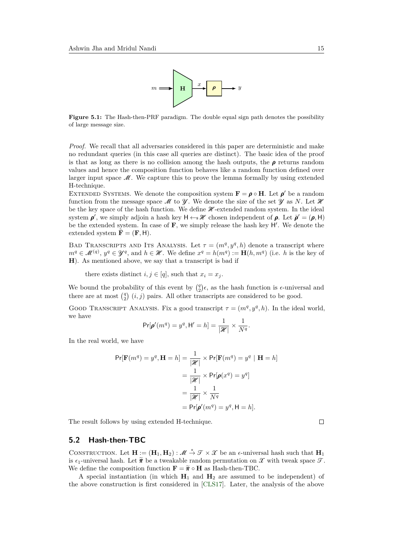

Figure 5.1: The Hash-then-PRF paradigm. The double equal sign path denotes the possibility of large message size.

*Proof.* We recall that all adversaries considered in this paper are deterministic and make no redundant queries (in this case all queries are distinct). The basic idea of the proof is that as long as there is no collision among the hash outputs, the  $\rho$  returns random values and hence the composition function behaves like a random function defined over larger input space  $\mathcal{M}$ . We capture this to prove the lemma formally by using extended H-technique.

EXTENDED SYSTEMS. We denote the composition system  $\mathbf{F} = \boldsymbol{\rho} \circ \mathbf{H}$ . Let  $\boldsymbol{\rho}'$  be a random function from the message space  $\mathcal M$  to  $\mathcal Y$ . We denote the size of the set  $\mathcal Y$  as *N*. Let  $\mathcal X$ be the key space of the hash function. We define  $\mathcal{H}\text{-extended random system}$ . In the ideal system  $\rho'$ , we simply adjoin a hash key  $H \leftarrow \mathcal{H}$  chosen independent of  $\rho$ . Let  $\bar{\rho}' = (\rho, H)$ be the extended system. In case of  $\mathbf{F}$ , we simply release the hash key  $H'$ . We denote the extended system  $\mathbf{F} = (\mathbf{F}, \mathbf{H}).$ 

BAD TRANSCRIPTS AND ITS ANALYSIS. Let  $\tau = (m^q, y^q, h)$  denote a transcript where  $m^q \in \mathcal{M}^{(q)}$ ,  $y^q \in \mathcal{Y}^q$ , and  $h \in \mathcal{H}$ . We define  $x^q = h(m^q) := \mathbf{H}(h, m^q)$  (i.e. *h* is the key of **H**). As mentioned above, we say that a transcript is bad if

there exists distinct  $i, j \in [q]$ , such that  $x_i = x_j$ .

We bound the probability of this event by  $\binom{q}{2}\epsilon$ , as the hash function is  $\epsilon$ -universal and there are at most  $\binom{q}{2}$   $(i, j)$  pairs. All other transcripts are considered to be good.

GOOD TRANSCRIPT ANALYSIS. Fix a good transcript  $\tau = (m^q, y^q, h)$ . In the ideal world, we have

$$
\Pr[\pmb{\rho}'(m^q) = y^q, \mathsf{H}' = h] = \frac{1}{|\mathcal{H}|} \times \frac{1}{N^q}.
$$

In the real world, we have

$$
\Pr[\mathbf{F}(m^q) = y^q, \mathbf{H} = h] = \frac{1}{|\mathcal{H}|} \times \Pr[\mathbf{F}(m^q) = y^q | \mathbf{H} = h]
$$

$$
= \frac{1}{|\mathcal{H}|} \times \Pr[\boldsymbol{\rho}(x^q) = y^q]
$$

$$
= \frac{1}{|\mathcal{H}|} \times \frac{1}{N^q}
$$

$$
= \Pr[\boldsymbol{\rho}'(m^q) = y^q, \mathbf{H} = h].
$$

The result follows by using extended H-technique.

### **5.2 Hash-then-TBC**

CONSTRUCTION. Let  $\mathbf{H} := (\mathbf{H}_1, \mathbf{H}_2) : \mathcal{M} \stackrel{*}{\to} \mathcal{T} \times \mathcal{X}$  be an  $\epsilon$ -universal hash such that  $\mathbf{H}_1$ is  $\epsilon_1$ -universal hash. Let  $\tilde{\pi}$  be a tweakable random permutation on X with tweak space  $\mathcal{T}$ . We define the composition function  $\mathbf{F} = \tilde{\boldsymbol{\pi}} \circ \mathbf{H}$  as Hash-then-TBC.

A special instantiation (in which  $H_1$  and  $H_2$  are assumed to be independent) of the above construction is first considered in [\[CLS17\]](#page-37-6). Later, the analysis of the above

 $\Box$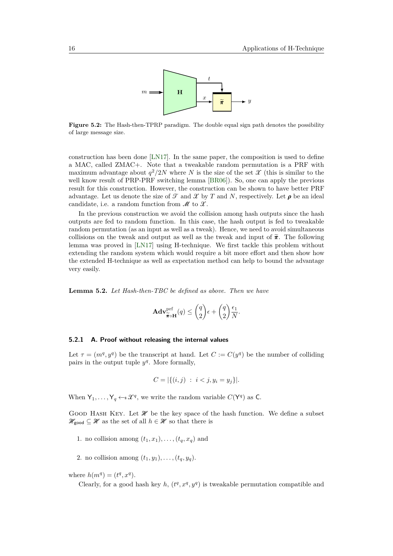

**Figure 5.2:** The Hash-then-TPRP paradigm. The double equal sign path denotes the possibility of large message size.

construction has been done [\[LN17\]](#page-40-7). In the same paper, the composition is used to define a MAC, called ZMAC+. Note that a tweakable random permutation is a PRF with maximum advantage about  $q^2/2N$  where N is the size of the set  $\mathcal X$  (this is similar to the well know result of PRP-PRF switching lemma [\[BR06\]](#page-36-0)). So, one can apply the previous result for this construction. However, the construction can be shown to have better PRF advantage. Let us denote the size of  $\mathcal T$  and  $\mathcal X$  by  $T$  and  $N$ , respectively. Let  $\rho$  be an ideal candidate, i.e. a random function from  $\mathcal M$  to  $\mathcal X$ .

In the previous construction we avoid the collision among hash outputs since the hash outputs are fed to random function. In this case, the hash output is fed to tweakable random permutation (as an input as well as a tweak). Hence, we need to avoid simultaneous collisions on the tweak and output as well as the tweak and input of  $\tilde{\pi}$ . The following lemma was proved in [\[LN17\]](#page-40-7) using H-technique. We first tackle this problem without extending the random system which would require a bit more effort and then show how the extended H-technique as well as expectation method can help to bound the advantage very easily.

**Lemma 5.2.** *Let Hash-then-TBC be defined as above. Then we have*

$$
\mathbf{Adv}_{\widetilde{\pi}\circ\mathbf{H}}^{\text{prf}}(q) \leq {q \choose 2} \epsilon + {q \choose 2} \frac{\epsilon_1}{N}.
$$

#### **5.2.1 A. Proof without releasing the internal values**

Let  $\tau = (m^q, y^q)$  be the transcript at hand. Let  $C := C(y^q)$  be the number of colliding pairs in the output tuple  $y^q$ . More formally,

$$
C = |\{(i, j) : i < j, y_i = y_j\}|.
$$

When  $Y_1, \ldots, Y_q \leftarrow \mathcal{X}^q$ , we write the random variable  $C(Y^q)$  as C.

GOOD HASH KEY. Let  $\mathcal{H}$  be the key space of the hash function. We define a subset  $\mathcal{H}_{\text{good}} \subseteq \mathcal{H}$  as the set of all  $h \in \mathcal{H}$  so that there is

- 1. no collision among  $(t_1, x_1), \ldots, (t_a, x_a)$  and
- 2. no collision among  $(t_1, y_1), \ldots, (t_a, y_a)$ .

where  $h(m^q) = (t^q, x^q)$ .

Clearly, for a good hash key  $h$ ,  $(t^q, x^q, y^q)$  is tweakable permutation compatible and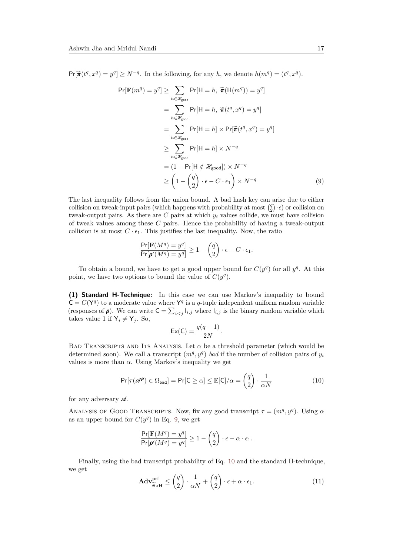$Pr[\tilde{\pi}(t^q, x^q) = y^q] \ge N^{-q}$ . In the following, for any *h*, we denote  $h(m^q) = (t^q, x^q)$ .

$$
\Pr[\mathbf{F}(m^{q}) = y^{q}] \ge \sum_{h \in \mathcal{H}_{\text{good}}} \Pr[\mathbf{H} = h, \ \widetilde{\pi}(\mathbf{H}(m^{q})) = y^{q}]
$$
  
\n
$$
= \sum_{h \in \mathcal{H}_{\text{good}}} \Pr[\mathbf{H} = h, \ \widetilde{\pi}(t^{q}, x^{q}) = y^{q}]
$$
  
\n
$$
= \sum_{h \in \mathcal{H}_{\text{good}}} \Pr[\mathbf{H} = h] \times \Pr[\widetilde{\pi}(t^{q}, x^{q}) = y^{q}]
$$
  
\n
$$
\ge \sum_{h \in \mathcal{H}_{\text{good}}} \Pr[\mathbf{H} = h] \times N^{-q}
$$
  
\n
$$
= (1 - \Pr[\mathbf{H} \notin \mathcal{H}_{\text{good}}]) \times N^{-q}
$$
  
\n
$$
\ge \left(1 - \binom{q}{2} \cdot \epsilon - C \cdot \epsilon_{1}\right) \times N^{-q}
$$
  
\n(9)

The last inequality follows from the union bound. A bad hash key can arise due to either collision on tweak-input pairs (which happens with probability at most  $q_2(\cdot \epsilon)$  or collision on tweak-output pairs. As there are  $C$  pairs at which  $y_i$  values collide, we must have collision of tweak values among these *C* pairs. Hence the probability of having a tweak-output collision is at most  $C \cdot \epsilon_1$ . This justifies the last inequality. Now, the ratio

<span id="page-16-0"></span>
$$
\frac{\Pr[\mathbf{F}(M^q) = y^q]}{\Pr[\pmb{\rho}'(M^q) = y^q]} \ge 1 - \binom{q}{2} \cdot \epsilon - C \cdot \epsilon_1.
$$

To obtain a bound, we have to get a good upper bound for  $C(y^q)$  for all  $y^q$ . At this point, we have two options to bound the value of  $C(y^q)$ .

**(1) Standard H-Technique:** In this case we can use Markov's inequality to bound  $C = C(Y^q)$  to a moderate value where  $Y^q$  is a *q*-tuple independent uniform random variable (responses of  $\rho$ ). We can write  $C = \sum_{i < j} I_{i,j}$  where  $I_{i,j}$  is the binary random variable which takes value 1 if  $Y_i \neq Y_j$ . So,

$$
\mathsf{Ex}(\mathsf{C}) = \frac{q(q-1)}{2N}.
$$

BAD TRANSCRIPTS AND ITS ANALYSIS. Let  $\alpha$  be a threshold parameter (which would be determined soon). We call a transcript  $(m<sup>q</sup>, y<sup>q</sup>)$  *bad* if the number of collision pairs of  $y<sub>i</sub>$ values is more than  $\alpha$ . Using Markov's inequality we get

<span id="page-16-1"></span>
$$
\Pr[\tau(\mathscr{A}^{\rho}) \in \Omega_{\text{bad}}] = \Pr[\mathsf{C} \ge \alpha] \le \mathbb{E}[\mathsf{C}]/\alpha = \binom{q}{2} \cdot \frac{1}{\alpha N} \tag{10}
$$

for any adversary  $\mathscr A$ .

ANALYSIS OF GOOD TRANSCRIPTS. Now, fix any good transcript  $\tau = (m^q, y^q)$ . Using  $\alpha$ as an upper bound for  $C(y^q)$  in Eq. [9,](#page-16-0) we get

$$
\frac{\Pr[\mathbf{F}(M^q) = y^q]}{\Pr[\boldsymbol{\rho}'(M^q) = y^q]} \ge 1 - \binom{q}{2} \cdot \epsilon - \alpha \cdot \epsilon_1.
$$

Finally, using the bad transcript probability of Eq. [10](#page-16-1) and the standard H-technique, we get

$$
\mathbf{Adv}_{\widetilde{\pi}\circ\mathbf{H}}^{\text{prf}} \leq \begin{pmatrix} q \\ 2 \end{pmatrix} \cdot \frac{1}{\alpha N} + \begin{pmatrix} q \\ 2 \end{pmatrix} \cdot \epsilon + \alpha \cdot \epsilon_1. \tag{11}
$$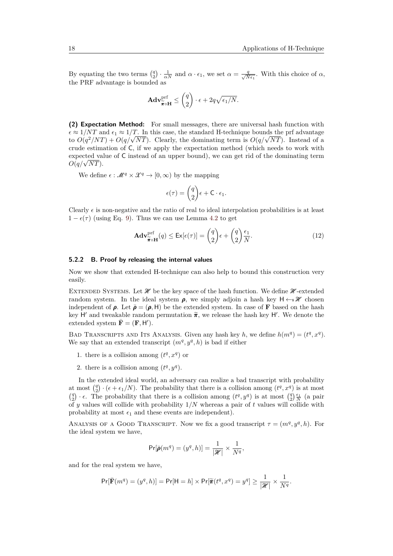By equating the two terms  $\left(\frac{q}{2}\right) \cdot \frac{1}{\alpha N}$  and  $\alpha \cdot \epsilon_1$ , we set  $\alpha = \frac{q}{\sqrt{N\epsilon_1}}$ . With this choice of  $\alpha$ , the PRF advantage is bounded as

$$
\mathbf{Adv}_{\widetilde{\boldsymbol{\pi}}\circ\mathbf{H}}^{\text{prf}} \leq \binom{q}{2}\cdot\epsilon + 2q\sqrt{\epsilon_1/N}.
$$

**(2) Expectation Method:** For small messages, there are universal hash function with  $\epsilon \approx 1/NT$  and  $\epsilon_1 \approx 1/T$ . In this case, the standard H-technique bounds the prf advantage  $\epsilon \approx 1/N$  and  $\epsilon_1 \approx 1/T$ . In this case, the standard H-technique bounds the pri-advantage<br>to  $O(q^2/NT) + O(q/\sqrt{NT})$ . Clearly, the dominating term is  $O(q/\sqrt{NT})$ . Instead of a crude estimation of C, if we apply the expectation method (which needs to work with expected value of C instead of an upper bound), we can get rid of the dominating term *O*(*q/*<sup>√</sup> *NT*).

We define  $\epsilon : \mathcal{M}^q \times \mathcal{X}^q \to [0, \infty)$  by the mapping

$$
\epsilon(\tau) = \binom{q}{2} \epsilon + \mathsf{C} \cdot \epsilon_1.
$$

Clearly  $\epsilon$  is non-negative and the ratio of real to ideal interpolation probabilities is at least  $1 - \epsilon(\tau)$  (using Eq. [9\)](#page-16-0). Thus we can use Lemma [4.2](#page-13-2) to get

$$
\mathbf{Adv}_{\widetilde{\pi}\circ\mathbf{H}}^{\text{prf}}(q) \leq \mathsf{Ex}[\epsilon(\tau)] = \binom{q}{2} \epsilon + \binom{q}{2} \frac{\epsilon_1}{N}.\tag{12}
$$

#### **5.2.2 B. Proof by releasing the internal values**

Now we show that extended H-technique can also help to bound this construction very easily.

EXTENDED SYSTEMS. Let  $\mathcal{H}$  be the key space of the hash function. We define  $\mathcal{H}$ -extended random system. In the ideal system  $\rho$ , we simply adjoin a hash key  $H \leftarrow \mathcal{H}$  chosen independent of  $\rho$ . Let  $\bar{\rho} = (\rho, H)$  be the extended system. In case of **F** based on the hash key H' and tweakable random permutation  $\tilde{\pi}$ , we release the hash key H'. We denote the extended system  $\tilde{\mathbf{F}} = (\mathbf{F} \ \mathbf{H}')$ extended system  $\bar{\mathbf{F}} = (\mathbf{F}, \mathbf{H}')$ .

BAD TRANSCRIPTS AND ITS ANALYSIS. Given any hash key *h*, we define  $h(m^q) = (t^q, x^q)$ . We say that an extended transcript  $(m<sup>q</sup>, y<sup>q</sup>, h)$  is bad if either

- 1. there is a collision among  $(t^q, x^q)$  or
- 2. there is a collision among  $(t^q, y^q)$ .

In the extended ideal world, an adversary can realize a bad transcript with probability at most  $\binom{q}{2} \cdot (\epsilon + \epsilon_1/N)$ . The probability that there is a collision among  $(t^q, x^q)$  is at most  $q$ <sup>2</sup>)  $\cdot$  *c*. The probability that there is a collision among  $(t^q, y^q)$  is at most  $\left(\frac{q}{2}\right) \frac{\epsilon_1}{N}$  (a pair of *y* values will collide with probability 1*/N* whereas a pair of *t* values will collide with probability at most  $\epsilon_1$  and these events are independent).

ANALYSIS OF A GOOD TRANSCRIPT. Now we fix a good transcript  $\tau = (m^q, y^q, h)$ . For the ideal system we have,

$$
\Pr[\bar{\pmb{\rho}}(m^q) = (y^q, h)] = \frac{1}{|\mathcal{H}|} \times \frac{1}{N^q},
$$

and for the real system we have,

$$
\Pr[\bar{\mathbf{F}}(m^q) = (y^q, h)] = \Pr[\mathsf{H} = h] \times \Pr[\widetilde{\pi}(t^q, x^q) = y^q] \ge \frac{1}{|\mathcal{H}|} \times \frac{1}{N^q}.
$$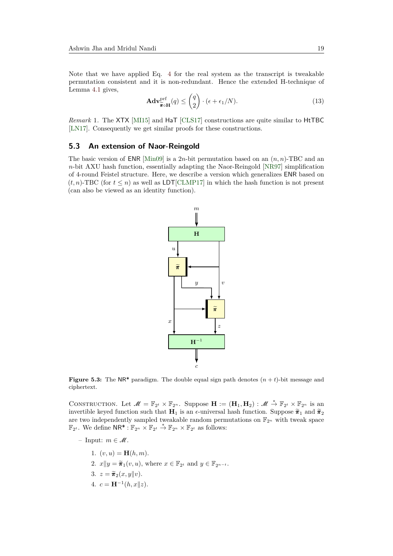Note that we have applied Eq. [4](#page-10-1) for the real system as the transcript is tweakable permutation consistent and it is non-redundant. Hence the extended H-technique of Lemma [4.1](#page-12-0) gives,

$$
\mathbf{Adv}_{\widetilde{\pi}\circ\mathbf{H}}^{\text{prf}}(q) \leq {q \choose 2} \cdot (\epsilon + \epsilon_1/N). \tag{13}
$$

*Remark* 1*.* The XTX [\[MI15\]](#page-41-9) and HaT [\[CLS17\]](#page-37-6) constructions are quite similar to HtTBC [\[LN17\]](#page-40-7). Consequently we get similar proofs for these constructions.

#### **5.3 An extension of Naor-Reingold**

The basic version of **ENR** [\[Min09\]](#page-41-6) is a 2*n*-bit permutation based on an  $(n, n)$ -TBC and an *n*-bit AXU hash function, essentially adapting the Naor-Reingold [\[NR97\]](#page-42-11) simplification of 4-round Feistel structure. Here, we describe a version which generalizes ENR based on  $(t, n)$ -TBC (for  $t \leq n$ ) as well as LDT[\[CLMP17\]](#page-37-5) in which the hash function is not present (can also be viewed as an identity function).



**Figure 5.3:** The NR<sup>\*</sup> paradigm. The double equal sign path denotes  $(n + t)$ -bit message and ciphertext.

CONSTRUCTION. Let  $\mathcal{M} = \mathbb{F}_{2^t} \times \mathbb{F}_{2^n}$ . Suppose  $\mathbf{H} := (\mathbf{H}_1, \mathbf{H}_2) : \mathcal{M} \stackrel{*}{\to} \mathbb{F}_{2^t} \times \mathbb{F}_{2^n}$  is an invertible keyed function such that **H**<sub>1</sub> is an  $\epsilon$ -universal hash function. Suppose  $\tilde{\pi}_1$  and  $\tilde{\pi}_2$ are two independently sampled tweakable random permutations on  $\mathbb{F}_{2^n}$  with tweak space  $\mathbb{F}_{2^t}$ . We define  $\mathsf{NR}^* : \mathbb{F}_{2^n} \times \mathbb{F}_{2^t} \stackrel{*}{\to} \mathbb{F}_{2^n} \times \mathbb{F}_{2^t}$  as follows:

- Input: *m* ∈ M.
	- 1.  $(v, u) = \mathbf{H}(h, m)$ .
	- 2.  $x||y = \tilde{\pi}_1(v, u)$ , where  $x \in \mathbb{F}_{2^t}$  and  $y \in \mathbb{F}_{2^{n-t}}$ .
	- 3.  $z = \widetilde{\pi}_2(x, y||v)$ .
	- 4.  $c = \mathbf{H}^{-1}(h, x||z)$ .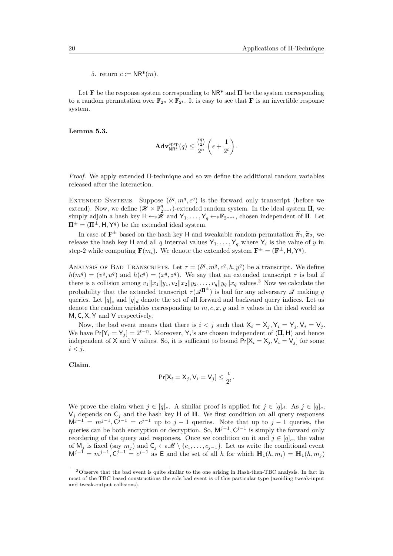5. return  $c := \mathsf{NR}^*(m)$ .

Let **F** be the response system corresponding to  $NR^*$  and  $\Pi$  be the system corresponding to a random permutation over  $\mathbb{F}_{2^n} \times \mathbb{F}_{2^t}$ . It is easy to see that **F** is an invertible response system.

**Lemma 5.3.**

$$
\mathbf{Adv}_{\mathsf{NR}^*}^{\mathrm{sprp}}(q)\leq \frac{\binom{q}{2}}{2^n}\left(\epsilon+\frac{1}{2^t}\right).
$$

*Proof.* We apply extended H-technique and so we define the additional random variables released after the interaction.

EXTENDED SYSTEMS. Suppose  $(\delta^q, m^q, c^q)$  is the forward only transcript (before we extend). Now, we define  $(\mathscr{H} \times \mathbb{F}_{2^{n-t}}^q)$ -extended random system. In the ideal system  $\Pi$ , we simply adjoin a hash key  $H \leftarrow \mathscr{H}$  and  $Y_1, \ldots, Y_q \leftarrow \mathbb{F}_{2^{n-t}}$ , chosen independent of  $\Pi$ . Let  $\bar{\mathbf{H}}^{\pm} = (\mathbf{\Pi}^{\pm}, \mathbf{H}, \mathbf{Y}^q)$  be the extended ideal system.

In case of  $\mathbf{F}^{\pm}$  based on the hash key H and tweakable random permutation  $\tilde{\pi}_1, \tilde{\pi}_2$ , we release the hash key H and all *q* internal values  $Y_1, \ldots, Y_q$  where  $Y_i$  is the value of *y* in step-2 while computing  $\mathbf{F}(m_i)$ . We denote the extended system  $\overline{\mathbf{F}^{\pm}} = (\mathbf{F}^{\pm}, \mathsf{H}, \mathsf{Y}^q)$ .

ANALYSIS OF BAD TRANSCRIPTS. Let  $\tau = (\delta^q, m^q, c^q, h, y^q)$  be a transcript. We define  $h(m^q) = (v^q, u^q)$  and  $h(c^q) = (x^q, z^q)$ . We say that an extended transcript *τ* is bad if there is a collision among  $v_1||x_1||y_1, v_2||x_2||y_2, \ldots, v_q||y_q||x_q$  values.<sup>[3](#page-19-0)</sup> Now we calculate the probability that the extended transcript  $\bar{\tau}(\mathscr{A}^{\Pi^{\pm}})$  is bad for any adversary  $\mathscr A$  making q queries. Let  $[q]_e$  and  $[q]_d$  denote the set of all forward and backward query indices. Let us denote the random variables corresponding to *m, c, x, y* and *v* values in the ideal world as M*,* C*,* X*,* Y and V respectively.

Now, the bad event means that there is  $i < j$  such that  $X_i = X_j, Y_i = Y_j, V_i = V_j$ . We have  $Pr[Y_i = Y_j] = 2^{t-n}$ . Moreover, Y<sub>i</sub>'s are chosen independent of  $(\Pi, H)$  and hence independent of X and V values. So, it is sufficient to bound  $Pr[X_i = X_j, V_i = V_j]$  for some *i < j*.

**Claim**.

$$
\Pr[X_i = X_j, V_i = V_j] \le \frac{\epsilon}{2^t}.
$$

We prove the claim when  $j \in [q]_e$ . A similar proof is applied for  $j \in [q]_d$ . As  $j \in [q]_e$ ,  $V_j$  depends on  $C_j$  and the hash key H of **H**. We first condition on all query responses  $M^{j-1} = m^{j-1}, C^{j-1} = c^{j-1}$  up to  $j-1$  queries. Note that up to  $j-1$  queries, the queries can be both encryption or decryption. So,  $M^{j-1}$ ,  $C^{j-1}$  is simply the forward only reordering of the query and responses. Once we condition on it and  $j \in [q]_e$ , the value of  $M_j$  is fixed (say  $m_j$ ) and  $C_j \leftarrow \mathcal{M} \setminus \{c_1, \ldots, c_{j-1}\}$ . Let us write the conditional event  $M^{j-1} = m^{j-1}, C^{j-1} = c^{j-1}$  as E and the set of all *h* for which  $H_1(h, m_i) = H_1(h, m_j)$ 

<span id="page-19-0"></span><sup>3</sup>Observe that the bad event is quite similar to the one arising in Hash-then-TBC analysis. In fact in most of the TBC based constructions the sole bad event is of this particular type (avoiding tweak-input and tweak-output collisions).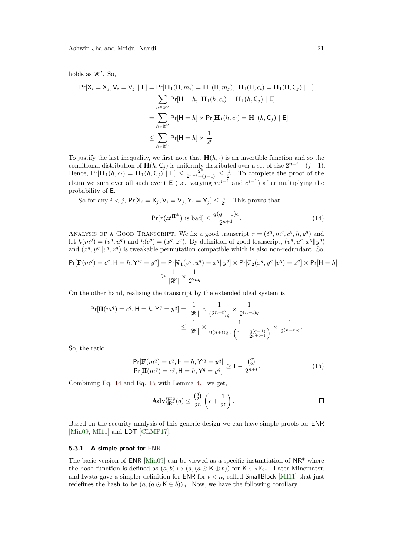holds as  $\mathcal{H}'$ . So,

$$
\Pr[X_i = X_j, V_i = V_j \mid E] = \Pr[\mathbf{H}_1(\mathsf{H}, m_i) = \mathbf{H}_1(\mathsf{H}, m_j), \ \mathbf{H}_1(\mathsf{H}, c_i) = \mathbf{H}_1(\mathsf{H}, C_j) \mid E]
$$
  
\n
$$
= \sum_{h \in \mathcal{H}'} \Pr[\mathsf{H} = h, \ \mathbf{H}_1(h, c_i) = \mathbf{H}_1(h, C_j) \mid E]
$$
  
\n
$$
= \sum_{h \in \mathcal{H}'} \Pr[\mathsf{H} = h] \times \Pr[\mathbf{H}_1(h, c_i) = \mathbf{H}_1(h, C_j) \mid E]
$$
  
\n
$$
\leq \sum_{h \in \mathcal{H}'} \Pr[\mathsf{H} = h] \times \frac{1}{2^t}
$$

To justify the last inequality, we first note that  $\mathbf{H}(h, \cdot)$  is an invertible function and so the conditional distribution of  $\mathbf{H}(h, \mathsf{C}_j)$  is uniformly distributed over a set of size  $2^{n+t} - (j-1)$ . Hence,  $Pr[\mathbf{H}_1(h, c_i) = \mathbf{H}_1(h, c_j) \mid E] \le \frac{2^{n}}{2^{n+t} - (j-1)} \le \frac{1}{2^t}$ . To complete the proof of the claim we sum over all such event E (i.e. varying  $m^{j-1}$  and  $c^{j-1}$ ) after multiplying the probability of E.

So for any  $i < j$ ,  $Pr[X_i = X_j, V_i = V_j, Y_i = Y_j] \le \frac{\epsilon}{2^n}$ . This proves that

<span id="page-20-0"></span>
$$
\Pr[\bar{\tau}(\mathscr{A}^{\Pi^{\pm}}) \text{ is bad}] \le \frac{q(q-1)\epsilon}{2^{n+1}}.\tag{14}
$$

ANALYSIS OF A GOOD TRANSCRIPT. We fix a good transcript  $\tau = (\delta^q, m^q, c^q, h, y^q)$  and let  $h(m^q) = (v^q, u^q)$  and  $h(c^q) = (x^q, z^q)$ . By definition of good transcript,  $(v^q, u^q, x^q || y^q)$ and  $(x^q, y^q || v^q, z^q)$  is tweakable permutation compatible which is also non-redundant. So,

$$
\Pr[\mathbf{F}(m^q) = c^q, \mathbf{H} = h, \mathbf{Y}'^q = y^q] = \Pr[\tilde{\pi}_1(v^q, u^q) = x^q || y^q] \times \Pr[\tilde{\pi}_2(x^q, y^q || v^q) = z^q] \times \Pr[\mathbf{H} = h]
$$

$$
\geq \frac{1}{|\mathcal{H}|} \times \frac{1}{2^{2nq}}.
$$

On the other hand, realizing the transcript by the extended ideal system is

$$
\Pr[\Pi(m^q) = c^q, \mathsf{H} = h, \mathsf{Y}^q = y^q] = \frac{1}{|\mathcal{H}|} \times \frac{1}{(2^{n+t})_q} \times \frac{1}{2^{(n-t)q}} \times \frac{1}{2^{(n-t)q}} \times \frac{1}{2^{(n-t)q}} \times \frac{1}{2^{(n-t)q}}.
$$

So, the ratio

$$
\frac{\Pr[\mathbf{F}(m^q) = c^q, \mathbf{H} = h, \mathbf{Y}'^q = y^q]}{\Pr[\mathbf{H}(m^q) = c^q, \mathbf{H} = h, \mathbf{Y}^q = y^q]} \ge 1 - \frac{\binom{q}{2}}{2^{n+t}}.
$$
\n(15)

Combining Eq. [14](#page-20-0) and Eq. [15](#page-20-1) with Lemma [4.1](#page-12-0) we get,

<span id="page-20-1"></span>
$$
\mathbf{Adv}_{\mathsf{NR}^{\star}}^{\text{srpp}}(q) \le \frac{\binom{q}{2}}{2^n} \left( \epsilon + \frac{1}{2^t} \right).
$$

Based on the security analysis of this generic design we can have simple proofs for ENR [\[Min09,](#page-41-6) [MI11\]](#page-41-7) and LDT [\[CLMP17\]](#page-37-5).

#### **5.3.1 A simple proof for** ENR

The basic version of ENR [\[Min09\]](#page-41-6) can be viewed as a specific instantiation of  $NR^*$  where the hash function is defined as  $(a, b) \mapsto (a, (a \odot K \oplus b))$  for  $K \leftarrow \mathbb{F}_{2^n}$ . Later Minematsu and Iwata gave a simpler definition for ENR for  $t < n$ , called SmallBlock [\[MI11\]](#page-41-7) that just redefines the hash to be  $(a, (a \odot \mathsf{K} \oplus b))_{|t}$ . Now, we have the following corollary.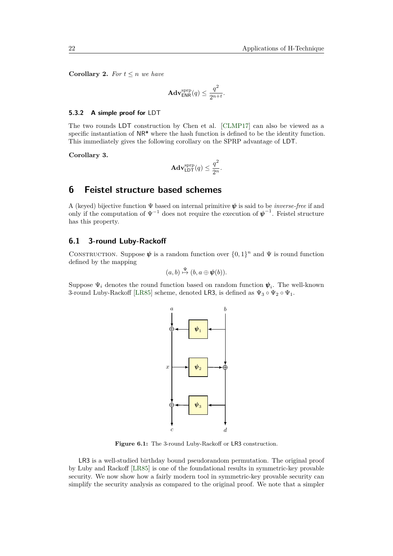**Corollary 2.** *For*  $t \leq n$  *we have* 

$$
\mathbf{Adv}_{\mathsf{ENR}}^{\mathrm{sprp}}(q) \le \frac{q^2}{2^{n+t}}.
$$

#### **5.3.2 A simple proof for** LDT

The two rounds LDT construction by Chen et al. [\[CLMP17\]](#page-37-5) can also be viewed as a specific instantiation of NR\* where the hash function is defined to be the identity function. This immediately gives the following corollary on the SPRP advantage of LDT.

**Corollary 3.**

$$
\mathbf{Adv}_{\mathsf{LDT}}^{\text{sprp}}(q) \le \frac{q^2}{2^n}.
$$

# <span id="page-21-0"></span>**6 Feistel structure based schemes**

A (keyed) bijective function Ψ based on internal primitive *ψ* is said to be *inverse-free* if and only if the computation of  $\Psi^{-1}$  does not require the execution of  $\psi^{-1}$ . Feistel structure has this property.

# **6.1 3-round Luby-Rackoff**

CONSTRUCTION. Suppose  $\psi$  is a random function over  $\{0,1\}^n$  and  $\Psi$  is round function defined by the mapping

$$
(a,b)\stackrel{\Psi}{\mapsto}(b,a\oplus\pmb{\psi}(b)).
$$

Suppose  $\Psi_i$  denotes the round function based on random function  $\psi_i$ . The well-known 3-round Luby-Rackoff [\[LR85\]](#page-40-0) scheme, denoted LR3, is defined as  $\Psi_3 \circ \Psi_2 \circ \Psi_1$ .



**Figure 6.1:** The 3-round Luby-Rackoff or LR3 construction.

LR3 is a well-studied birthday bound pseudorandom permutation. The original proof by Luby and Rackoff [\[LR85\]](#page-40-0) is one of the foundational results in symmetric-key provable security. We now show how a fairly modern tool in symmetric-key provable security can simplify the security analysis as compared to the original proof. We note that a simpler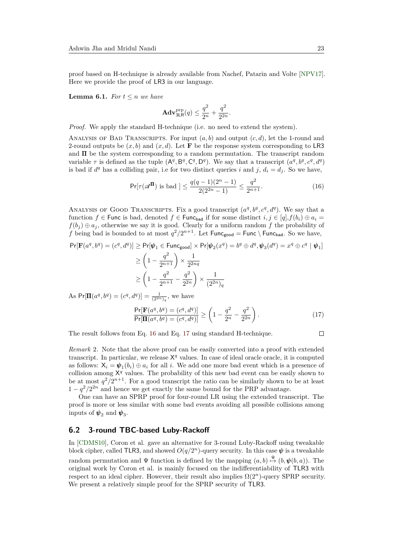proof based on H-technique is already available from Nachef, Patarin and Volte [\[NPV17\]](#page-42-12). Here we provide the proof of LR3 in our language.

**Lemma 6.1.** *For*  $t \leq n$  *we have* 

$$
\mathbf{Adv}_{3\textsf{LR}}^{\textsf{prp}}(q) \le \frac{q^2}{2^n} + \frac{q^2}{2^{2n}}.
$$

*Proof.* We apply the standard H-technique (i.e. no need to extend the system).

ANALYSIS OF BAD TRANSCRIPTS. For input  $(a, b)$  and output  $(c, d)$ , let the 1-round and 2-round outputs be  $(x, b)$  and  $(x, d)$ . Let **F** be the response system corresponding to LR3 and  $\Pi$  be the system corresponding to a random permutation. The transcript random variable  $\tau$  is defined as the tuple  $(A^q, B^q, C^q, D^q)$ . We say that a transcript  $(a^q, b^q, c^q, d^q)$ is bad if  $d^q$  has a colliding pair, i.e for two distinct queries *i* and *j*,  $d_i = d_j$ . So we have,

<span id="page-22-0"></span>
$$
\Pr[\tau(\mathscr{A}^{\Pi}) \text{ is bad }] \le \frac{q(q-1)(2^n-1)}{2(2^{2n}-1)} \le \frac{q^2}{2^{n+1}}.\tag{16}
$$

ANALYSIS OF GOOD TRANSCRIPTS. Fix a good transcript  $(a^q, b^q, c^q, d^q)$ . We say that a function  $f \in$  Func is bad, denoted  $f \in$  Func<sub>bad</sub> if for some distinct  $i, j \in [q], f(b_i) \oplus a_i =$  $f(b_j) \oplus a_j$ , otherwise we say it is good. Clearly for a uniform random *f* the probability of *f* being bad is bounded to at most  $q^2/2^{n+1}$ . Let  $\text{Func}_{\text{good}} = \text{Func} \setminus \text{Func}_{\text{bad}}$ . So we have,

$$
\Pr[\mathbf{F}(a^q, b^q) = (c^q, d^q)] \ge \Pr[\boldsymbol{\psi}_1 \in \mathsf{Func}_{\mathsf{good}}] \times \Pr[\boldsymbol{\psi}_2(x^q) = b^q \oplus d^q, \boldsymbol{\psi}_3(d^q) = x^q \oplus c^q \mid \boldsymbol{\psi}_1]
$$
  
\n
$$
\ge \left(1 - \frac{q^2}{2^{n+1}}\right) \times \frac{1}{2^{2nq}}
$$
  
\n
$$
\ge \left(1 - \frac{q^2}{2^{n+1}} - \frac{q^2}{2^{2n}}\right) \times \frac{1}{(2^{2n})_q}
$$

As  $Pr[\mathbf{\Pi}(a^q, b^q) = (c^q, d^q)] = \frac{1}{(2^{2n})_q}$ , we have

<span id="page-22-1"></span>
$$
\frac{\Pr[\mathbf{F}(a^q, b^q) = (c^q, d^q)]}{\Pr[\mathbf{\Pi}(a^q, b^q) = (c^q, d^q)]} \ge \left(1 - \frac{q^2}{2^n} - \frac{q^2}{2^{2n}}\right). \tag{17}
$$

The result follows from Eq. [16](#page-22-0) and Eq. [17](#page-22-1) using standard H-technique.

 $\Box$ 

*Remark* 2*.* Note that the above proof can be easily converted into a proof with extended transcript. In particular, we release  $X<sup>q</sup>$  values. In case of ideal oracle oracle, it is computed as follows:  $X_i = \psi_1(b_i) \oplus a_i$  for all *i*. We add one more bad event which is a presence of collision among  $X^q$  values. The probability of this new bad event can be easily shown to be at most  $q^2/2^{n+1}$ . For a good transcript the ratio can be similarly shown to be at least  $1 - q^2/2^{2n}$  and hence we get exactly the same bound for the PRP advantage.

One can have an SPRP proof for four-round LR using the extended transcript. The proof is more or less similar with some bad events avoiding all possible collisions among inputs of  $\pmb{\psi}_2$  and  $\pmb{\psi}_3$ .

# **6.2 3-round TBC-based Luby-Rackoff**

In [\[CDMS10\]](#page-36-10), Coron et al. gave an alternative for 3-round Luby-Rackoff using tweakable block cipher, called TLR3, and showed  $O(q/2^n)$ -query security. In this case  $\psi$  is a tweakable random permutation and  $\Psi$  function is defined by the mapping  $(a, b) \stackrel{\Psi}{\mapsto} (b, \psi(b, a))$ . The original work by Coron et al. is mainly focused on the indifferentiability of TLR3 with respect to an ideal cipher. However, their result also implies  $\Omega(2^n)$ -query SPRP security. We present a relatively simple proof for the SPRP security of TLR3.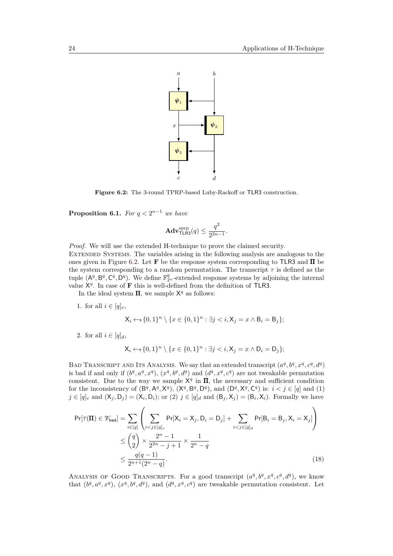<span id="page-23-0"></span>

**Figure 6.2:** The 3-round TPRP-based Luby-Rackoff or TLR3 construction.

**Proposition 6.1.** *For*  $q < 2^{n-1}$  *we have* 

$$
\mathbf{Adv}_{\mathsf{TLR3}}^{\text{sprp}}(q) \le \frac{q^2}{2^{2n-1}}.
$$

*Proof.* We will use the extended H-technique to prove the claimed security. Extended Systems. The variables arising in the following analysis are analogous to the ones given in Figure [6.2.](#page-23-0) Let **F** be the response system corresponding to TLR3 and Π be the system corresponding to a random permutation. The transcript *τ* is defined as the tuple  $(A^q, B^q, C^q, D^q)$ . We define  $\mathbb{F}_{2^n}^q$ -extended response systems by adjoining the internal value  $X<sup>q</sup>$ . In case of **F** this is well-defined from the definition of TLR3.

In the ideal system  $\Pi$ , we sample  $X^q$  as follows:

1. for all  $i \in [q]_e$ ,

$$
\mathsf{X}_{i} \leftarrow_{\mathsf{s}} \{0,1\}^{n} \setminus \{x \in \{0,1\}^{n} : \exists j < i, \mathsf{X}_{j} = x \land \mathsf{B}_{i} = \mathsf{B}_{j}\};
$$

2. for all  $i \in [q]_d$ ,

<span id="page-23-1"></span>
$$
\mathsf{X}_{i} \leftarrow_{\mathsf{s}} \{0,1\}^{n} \setminus \{x \in \{0,1\}^{n} : \exists j < i, \mathsf{X}_{j} = x \land \mathsf{D}_{i} = \mathsf{D}_{j}\};
$$

BAD TRANSCRIPT AND ITS ANALYSIS. We say that an extended transcript  $(a^q, b^q, x^q, c^q, d^q)$ is bad if and only if  $(b^q, a^q, x^q)$ ,  $(x^q, b^q, d^q)$  and  $(d^q, x^q, c^q)$  are not tweakable permutation consistent. Due to the way we sample  $X<sup>q</sup>$  in  $\Pi$ , the necessary and sufficient condition for the inconsistency of  $(\mathsf{B}^q, \mathsf{A}^q, \mathsf{X}^q), (\mathsf{X}^q, \mathsf{B}^q, \mathsf{D}^q),$  and  $(\mathsf{D}^q, \mathsf{X}^q, \mathsf{C}^q)$  is:  $i < j \in [q]$  and (1)  $j \in [q]_e$  and  $(X_j, D_j) = (X_i, D_i)$ ; or  $(2)$   $j \in [q]_d$  and  $(B_j, X_j) = (B_i, X_i)$ . Formally we have

$$
Pr[\bar{\tau}(\mathbf{\Pi}) \in \mathcal{V}_{bad}] = \sum_{i \in [q]} \left( \sum_{i < j \in [q]_e} Pr[X_i = X_j, D_i = D_j] + \sum_{i < j \in [q]_d} Pr[B_i = B_j, X_i = X_j] \right) \\
\leq \binom{q}{2} \times \frac{2^n - 1}{2^{2n} - j + 1} \times \frac{1}{2^n - q} \\
\leq \frac{q(q - 1)}{2^{n+1}(2^n - q)}.\n\tag{18}
$$

ANALYSIS OF GOOD TRANSCRIPTS. For a good transcript  $(a^q, b^q, x^q, c^q, d^q)$ , we know that  $(b^q, a^q, x^q)$ ,  $(x^q, b^q, d^q)$ , and  $(d^q, x^q, c^q)$  are tweakable permutation consistent. Let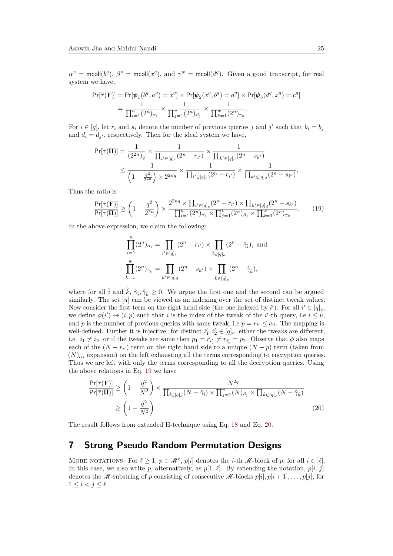$\alpha^u$  = mcoll( $b^q$ ),  $\beta^v$  = mcoll( $x^q$ ), and  $\gamma^w$  = mcoll( $d^q$ ). Given a good transcript, for real system we have,

$$
Pr[\bar{\tau}(\mathbf{F})] = Pr[\psi_1(b^q, a^q) = x^q] \times Pr[\psi_2(x^q, b^q) = d^q] \times Pr[\psi_3(d^q, x^q) = c^q]
$$
  
= 
$$
\frac{1}{\prod_{i=1}^u (2^n)_{\alpha_i}} \times \frac{1}{\prod_{j=1}^v (2^n)_{\beta_j}} \times \frac{1}{\prod_{k=1}^w (2^n)_{\gamma_k}}.
$$

For  $i \in [q]$ , let  $r_i$  and  $s_i$  denote the number of previous queries *j* and *j*' such that  $b_i = b_j$ and  $d_i = d_{j'}$ , respectively. Then for the ideal system we have,

$$
\begin{aligned} \Pr[\bar{\tau}(\pmb{\Pi})] &= \frac{1}{(2^{2n})_q} \times \frac{1}{\prod_{i' \in [q]_e} (2^n - r_{i'})} \times \frac{1}{\prod_{k' \in [q]_d} (2^n - s_{k'})} \\ &\leq \frac{1}{\left(1 - \frac{q^2}{2^{2n}}\right) \times 2^{2nq}} \times \frac{1}{\prod_{i' \in [q]_e} (2^n - r_{i'})} \times \frac{1}{\prod_{k' \in [q]_d} (2^n - s_{k'})}. \end{aligned}
$$

Thus the ratio is

$$
\frac{\Pr[\bar{\tau}(\mathbf{F})]}{\Pr[\bar{\tau}(\mathbf{\Pi})]} \ge \left(1 - \frac{q^2}{2^{2n}}\right) \times \frac{2^{2nq} \times \prod_{i' \in [q]_e} (2^n - r_{i'}) \times \prod_{k' \in [q]_d} (2^n - s_{k'})}{\prod_{i=1}^u (2^n)_{\alpha_i} \times \prod_{j=1}^v (2^n)_{\beta_j} \times \prod_{k=1}^w (2^n)_{\gamma_k}}.
$$
 (19)

In the above expression, we claim the following:

<span id="page-24-1"></span>
$$
\prod_{i=1}^{u} (2^{n})_{\alpha_{i}} = \prod_{i' \in [q]_{e}} (2^{n} - r_{i'}) \times \prod_{\hat{i} \in [q]_{d}} (2^{n} - \hat{\gamma}_{\hat{i}}), \text{ and}
$$

$$
\prod_{k=1}^{w} (2^{n})_{\gamma_{k}} = \prod_{k' \in [q]_{d}} (2^{n} - s_{k'}) \times \prod_{\hat{k} \in [q]_{e}} (2^{n} - \hat{\gamma}_{\hat{k}}),
$$

where for all  $\hat{i}$  and  $\hat{k}$ ,  $\hat{\gamma}_i$ ,  $\hat{\gamma}_k \geq 0$ . We argue the first one and the second can be argued similarly. The set [*u*] can be viewed as an indexing over the set of distinct tweak values. Now consider the first term on the right hand side (the one indexed by  $i'$ ). For all  $i' \in [q]_e$ , we define  $\phi(i') \to (i, p)$  such that *i* is the index of the tweak of the *i*'-th query, i.e  $i \leq u$ , and *p* is the number of previous queries with same tweak, i.e  $p = r_{i'} \leq \alpha_i$ . The mapping is well-defined. Further it is injective: for distinct  $i'_1, i'_2 \in [q]_e$ , either the tweaks are different, i.e.  $i_1 \neq i_2$ , or if the tweaks are same then  $p_1 = r_{i'_1} \neq r_{i'_2} = p_2$ . Observe that  $\phi$  also maps each of the  $(N - r_i)$  term on the right hand side to a unique  $(N - p)$  term (taken from  $(N)_{\alpha_i}$  expansion) on the left exhausting all the terms corresponding to encryption queries. Thus we are left with only the terms corresponding to all the decryption queries. Using the above relations in Eq. [19](#page-24-1) we have

<span id="page-24-2"></span>
$$
\frac{\Pr[\overline{\tau}(\mathbf{F})]}{\Pr[\overline{\tau}(\mathbf{\Pi})]} \ge \left(1 - \frac{q^2}{N^2}\right) \times \frac{N^{2q}}{\prod_{\hat{i} \in [q]_d} (N - \hat{\gamma}_{\hat{i}}) \times \prod_{j=1}^v (N)_{\beta_j} \times \prod_{\hat{k} \in [q]_e} (N - \hat{\gamma}_{\hat{k}})}
$$
\n
$$
\ge \left(1 - \frac{q^2}{N^2}\right) \tag{20}
$$

The result follows from extended H-technique using Eq. [18](#page-23-1) and Eq. [20.](#page-24-2)

# <span id="page-24-0"></span>**7 Strong Pseudo Random Permutation Designs**

MORE NOTATIONS: For  $\ell \geq 1$ ,  $p \in \mathcal{M}^{\ell}$ ,  $p[i]$  denotes the *i*-th  $\mathcal{M}$ -block of *p*, for all  $i \in [\ell]$ . In this case, we also write *p*, alternatively, as  $p[1..\ell]$ . By extending the notation,  $p[i..j]$ denotes the M-substring of *p* consisting of consecutive M-blocks  $p[i], p[i+1], \ldots, p[j]$ , for  $1 \leq i < j \leq \ell$ .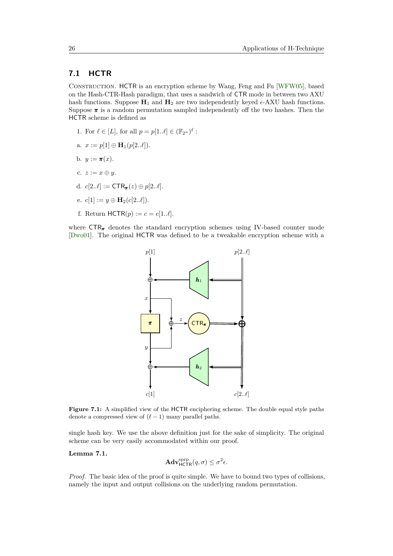# **7.1 HCTR**

Construction. HCTR is an encryption scheme by Wang, Feng and Fu [\[WFW05\]](#page-44-3), based on the Hash-CTR-Hash paradigm, that uses a sandwich of CTR mode in between two AXU hash functions. Suppose  $\mathbf{H}_1$  and  $\mathbf{H}_2$  are two independently keyed  $\epsilon$ -AXU hash functions. Suppose  $\pi$  is a random permutation sampled independently off the two hashes. Then the HCTR scheme is defined as

- 1. For  $\ell \in [L]$ , for all  $p = p[1..\ell] \in (\mathbb{F}_{2^n})^{\ell}$ :
- a.  $x := p[1] \oplus H_1(p[2..\ell]).$
- b.  $y := \pi(x)$ .
- c.  $z := x \oplus y$ .
- d.  $c[2..\ell] := \text{CTR}_{\pi}(z) \oplus p[2..\ell].$
- e.  $c[1] := y \oplus H_2(c[2..\ell]).$
- f. Return  $HCTR(p) := c = c[1..\ell].$

where  $CTR_{\pi}$  denotes the standard encryption schemes using IV-based counter mode [\[Dwo01\]](#page-38-10). The original HCTR was defined to be a tweakable encryption scheme with a



**Figure 7.1:** A simplified view of the HCTR enciphering scheme. The double equal style paths denote a compressed view of  $(\ell - 1)$  many parallel paths.

single hash key. We use the above definition just for the sake of simplicity. The original scheme can be very easily accommodated within our proof.

#### **Lemma 7.1.**

$$
\mathbf{Adv}_{\mathsf{HCTR}}^{\text{sprp}}(q, \sigma) \leq \sigma^2 \epsilon.
$$

*Proof.* The basic idea of the proof is quite simple. We have to bound two types of collisions, namely the input and output collisions on the underlying random permutation.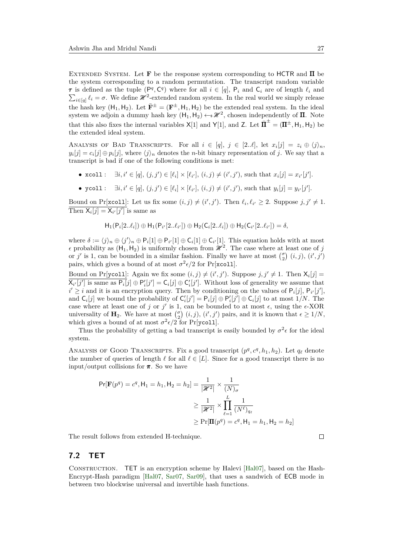Extended System. Let **F** be the response system corresponding to HCTR and Π be the system corresponding to a random permutation. The transcript random variable *τ* is defined as the tuple  $(P^q, C^q)$  where for all  $i \in [q]$ ,  $P_i$  and  $C_i$  are of length  $\ell_i$  and  $\sum_{i\in[q]} \ell_i = \sigma$ . We define  $\mathcal{H}^2$ -extended random system. In the real world we simply release the hash key  $(H_1, H_2)$ . Let  $\bar{\mathbf{F}}^{\pm} = (\mathbf{F}^{\pm}, H_1, H_2)$  be the extended real system. In the ideal system we adjoin a dummy hash key  $(H_1, H_2) \leftarrow \mathcal{H}^2$ , chosen independently of  $\Pi$ . Note that this also fixes the internal variables  $X[1]$  and  $Y[1]$ , and  $Z$ . Let  $\overline{\mathbf{II}}^{\pm} = (\mathbf{II}^{\pm}, \mathsf{H}_1, \mathsf{H}_2)$  be the extended ideal system.

ANALYSIS OF BAD TRANSCRIPTS. For all  $i \in [q], j \in [2..\ell],$  let  $x_i[j] = z_i \oplus \langle j \rangle_n$ ,  $y_i[j] = c_i[j] \oplus p_i[j]$ , where  $\langle j \rangle_n$  denotes the *n*-bit binary representation of *j*. We say that a transcript is bad if one of the following conditions is met:

- $x \text{col1}: \quad \exists i, i' \in [q], (j, j') \in [\ell_i] \times [\ell_{i'}], (i, j) \neq (i', j'), \text{such that } x_i[j] = x_{i'}[j'].$
- ycoll:  $\exists i, i' \in [q], (j, j') \in [\ell_i] \times [\ell_{i'}], (i, j) \neq (i', j'),$  such that  $y_i[j] = y_{i'}[j'].$

Bound on Pr[xcoll]: Let us fix some  $(i, j) \neq (i', j')$ . Then  $\ell_i, \ell_{i'} \geq 2$ . Suppose  $j, j' \neq 1$ . Then  $X_i[j] = X_{i'}[j']$  is same as

$$
\mathsf{H}_1(\mathsf{P}_i[2..\ell_i]) \oplus \mathsf{H}_1(\mathsf{P}_{i'}[2..\ell_{i'}]) \oplus \mathsf{H}_2(\mathsf{C}_i[2..\ell_i]) \oplus \mathsf{H}_2(\mathsf{C}_{i'}[2..\ell_{i'}]) = \delta,
$$

where  $\delta := \langle j \rangle_n \oplus \langle j' \rangle_n \oplus \mathsf{P}_i[1] \oplus \mathsf{P}_{i'}[1] \oplus \mathsf{C}_i[1] \oplus \mathsf{C}_{i'}[1]$ . This equation holds with at most  $\epsilon$  probability as  $(H_1, H_2)$  is uniformly chosen from  $\mathcal{H}^2$ . The case where at least one of *j* or *j'* is 1, can be bounded in a similar fashion. Finally we have at most  $\binom{\sigma}{2}$   $(i, j)$ ,  $(i', j')$ pairs, which gives a bound of at most  $\sigma^2 \epsilon/2$  for Pr[xcoll].

Bound on Pr[ycol1]: Again we fix some  $(i, j) \neq (i', j')$ . Suppose  $j, j' \neq 1$ . Then  $X_i[j]$  $\overline{\mathsf{X}_{i'}[j']}$  is same as  $\overline{\mathsf{P}_i}[j] \oplus \mathsf{P}'_i[j'] = \mathsf{C}_i[j] \oplus \mathsf{C}'_i[j']$ . Without loss of generality we assume that  $i' \geq i$  and it is an encryption query. Then by conditioning on the values of  $P_i[j], P_{i'}[j']$ , and  $C_i[j]$  we bound the probability of  $C'_i[j'] = P_i[j] \oplus P'_i[j'] \oplus C_i[j]$  to at most  $1/N$ . The case where at least one of *j* or *j'* is 1, can be bounded to at most  $\epsilon$ , using the  $\epsilon$ -XOR universality of **H**<sub>2</sub>. We have at most  $\binom{\sigma}{2}$   $(i, j)$ ,  $(i', j')$  pairs, and it is known that  $\epsilon \geq 1/N$ , which gives a bound of at most  $\sigma^2 \epsilon / 2$  for Pr[ycoll].

Thus the probability of getting a bad transcript is easily bounded by  $\sigma^2 \epsilon$  for the ideal system.

ANALYSIS OF GOOD TRANSCRIPTS. Fix a good transcript  $(p^q, c^q, h_1, h_2)$ . Let  $q_\ell$  denote the number of queries of length  $\ell$  for all  $\ell \in [L]$ . Since for a good transcript there is no input/output collisions for *π*. So we have

$$
Pr[\mathbf{F}(p^q) = c^q, \mathsf{H}_1 = h_1, \mathsf{H}_2 = h_2] = \frac{1}{|\mathcal{H}^2|} \times \frac{1}{(N)_{\sigma}}
$$
  
\n
$$
\geq \frac{1}{|\mathcal{H}^2|} \times \prod_{\ell=1}^{L} \frac{1}{(N^{\ell})_{q_{\ell}}}
$$
  
\n
$$
\geq Pr[\mathbf{I}(p^q) = c^q, \mathsf{H}_1 = h_1, \mathsf{H}_2 = h_2]
$$

The result follows from extended H-technique.

# **7.2 TET**

Construction. TET is an encryption scheme by Halevi [\[Hal07\]](#page-39-4), based on the Hash-Encrypt-Hash paradigm [\[Hal07,](#page-39-4) [Sar07,](#page-43-4) [Sar09\]](#page-43-5), that uses a sandwich of ECB mode in between two blockwise universal and invertible hash functions.

 $\Box$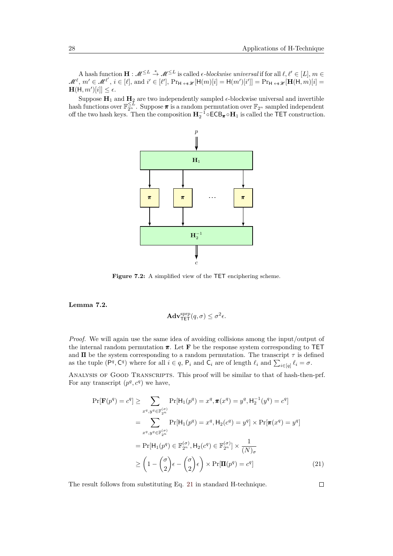A hash function  $\mathbf{H}: \mathcal{M}^{\leq L} \stackrel{*}{\to} \mathcal{M}^{\leq L}$  is called  $\epsilon$ *-blockwise universal* if for all  $\ell, \ell' \in [L], m \in$  $\mathcal{M}^{\ell}, m' \in \mathcal{M}^{\ell'}, i \in [\ell], \text{and } i' \in [\ell'], \text{Pr}_{\mathsf{H} \leftrightarrow \mathscr{R}}[\mathsf{H}(m)[i] = \mathsf{H}(m')[i']) = \text{Pr}_{\mathsf{H} \leftrightarrow \mathscr{R}}[\mathbf{H}(\mathsf{H}, m)[i] = \mathsf{H}(\mathsf{H}, m)[i]$  $\mathbf{H}(\mathsf{H}, m')[i]] \leq \epsilon.$ 

Suppose  $\mathbf{H}_1$  and  $\mathbf{H}_2$  are two independently sampled  $\epsilon$ -blockwise universal and invertible hash functions over  $\mathbb{F}_{2^n}^{\leq L}$ . Suppose  $\pi$  is a random permutation over  $\mathbb{F}_{2^n}$  sampled independent off the two hash keys. Then the composition  $H_2^{-1} \circ ECB_{\pi} \circ H_1$  is called the TET construction.



Figure 7.2: A simplified view of the TET enciphering scheme.

**Lemma 7.2.**

$$
\mathbf{Adv}_{\mathsf{TET}}^{\text{sprp}}(q, \sigma) \leq \sigma^2 \epsilon.
$$

*Proof.* We will again use the same idea of avoiding collisions among the input/output of the internal random permutation *π*. Let **F** be the response system corresponding to TET and  $\Pi$  be the system corresponding to a random permutation. The transcript  $\tau$  is defined as the tuple  $(P^q, C^q)$  where for all  $i \in q$ ,  $P_i$  and  $C_i$  are of length  $\ell_i$  and  $\sum_{i \in [q]} \ell_i = \sigma$ .

Analysis of Good Transcripts. This proof will be similar to that of hash-then-prf. For any transcript  $(p^q, c^q)$  we have,

$$
\Pr[\mathbf{F}(p^q) = c^q] \ge \sum_{x^q, y^q \in \mathbb{F}_{2^n}^{(\sigma)}} \Pr[\mathsf{H}_1(p^q) = x^q, \pi(x^q) = y^q, \mathsf{H}_2^{-1}(y^q) = c^q]
$$
\n
$$
= \sum_{x^q, y^q \in \mathbb{F}_{2^n}^{(\sigma)}} \Pr[\mathsf{H}_1(p^q) = x^q, \mathsf{H}_2(c^q) = y^q] \times \Pr[\pi(x^q) = y^q]
$$
\n
$$
= \Pr[\mathsf{H}_1(p^q) \in \mathbb{F}_{2^n}^{(\sigma)}, \mathsf{H}_2(c^q) \in \mathbb{F}_{2^n}^{(\sigma)}] \times \frac{1}{(N)_{\sigma}}
$$
\n
$$
\ge \left(1 - \binom{\sigma}{2} \epsilon - \binom{\sigma}{2} \epsilon\right) \times \Pr[\mathbf{\Pi}(p^q) = c^q]
$$
\n(21)

The result follows from substituting Eq. [21](#page-27-0) in standard H-technique.

<span id="page-27-0"></span> $\Box$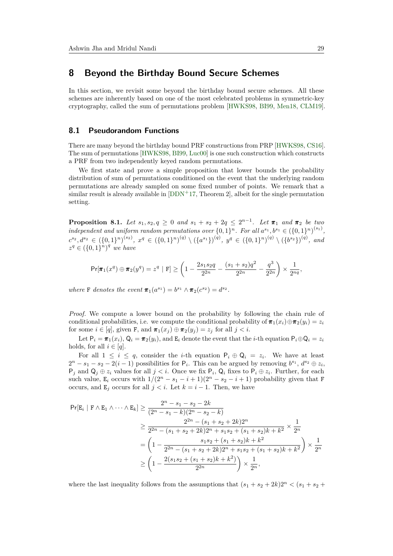# <span id="page-28-0"></span>**8 Beyond the Birthday Bound Secure Schemes**

In this section, we revisit some beyond the birthday bound secure schemes. All these schemes are inherently based on one of the most celebrated problems in symmetric-key cryptography, called the sum of permutations problem [\[HWKS98,](#page-39-10) [BI99,](#page-36-11) [Men18,](#page-40-6) [CLM19\]](#page-37-10).

# **8.1 Pseudorandom Functions**

There are many beyond the birthday bound PRF constructions from PRP [\[HWKS98,](#page-39-10) [CS16\]](#page-38-4). The sum of permutations [\[HWKS98,](#page-39-10) [BI99,](#page-36-11) [Luc00\]](#page-40-10) is one such construction which constructs a PRF from two independently keyed random permutations.

We first state and prove a simple proposition that lower bounds the probability distribution of sum of permutations conditioned on the event that the underlying random permutations are already sampled on some fixed number of points. We remark that a similar result is already available in  $[DDN+17, Theorem 2]$  $[DDN+17, Theorem 2]$ , albeit for the single permutation setting.

<span id="page-28-1"></span>**Proposition 8.1.** *Let*  $s_1, s_2, q \ge 0$  *and*  $s_1 + s_2 + 2q \le 2^{n-1}$ *. Let*  $\pi_1$  *and*  $\pi_2$  *be two independent and uniform random permutations over*  $\{0,1\}^n$ . For all  $a^{s_1}, b^{s_1} \in (\{0,1\}^n)^{(s_1)}$ ,  $c^{s_2},d^{s_2} \in (\{0,1\}^n)^{(s_2)}, x^q \in (\{0,1\}^n)^{(q)} \setminus (\{a^{s_1}\})^{(q)}, y^q \in (\{0,1\}^n)^{(q)} \setminus (\{b^{s_2}\})^{(q)},$  and  $z^q \in (\{0,1\}^n)^q$  *we have* 

$$
\Pr[\pi_1(x^q)\oplus \pi_2(y^q)=z^q \ | \ \mathrm{F}]\geq \left(1-\frac{2s_1s_2q}{2^{2n}}-\frac{(s_1+s_2)q^2}{2^{2n}}-\frac{q^3}{2^{2n}}\right)\times \frac{1}{2^{nq}},
$$

*where* **F** *denotes the event*  $\pi_1(a^{s_1}) = b^{s_1} \wedge \pi_2(c^{s_2}) = d^{s_2}$ .

*Proof.* We compute a lower bound on the probability by following the chain rule of conditional probabilities, i.e. we compute the conditional probability of  $\pi_1(x_i) \oplus \pi_2(y_i) = z_i$ for some  $i \in [q]$ , given **F**, and  $\pi_1(x_j) \oplus \pi_2(y_j) = z_j$  for all  $j < i$ .

Let  $P_i = \pi_1(x_i)$ ,  $Q_i = \pi_2(y_i)$ , and  $E_i$  denote the event that the *i*-th equation  $P_i \oplus Q_i = z_i$ holds, for all  $i \in [q]$ .

For all  $1 \leq i \leq q$ , consider the *i*-th equation  $P_i \oplus Q_i = z_i$ . We have at least  $2^{n} - s_1 - s_2 - 2(i - 1)$  possibilities for  $P_i$ . This can be argued by removing  $b^{s_1}$ ,  $d^{s_2} \oplus z_i$ ,  $P_j$  and  $Q_j \oplus z_i$  values for all  $j < i$ . Once we fix  $P_i$ ,  $Q_i$  fixes to  $P_i \oplus z_i$ . Further, for each such value, E<sub>i</sub> occurs with  $1/(2^n - s_1 - i + 1)(2^n - s_2 - i + 1)$  probability given that F occurs, and  $E_i$  occurs for all  $j < i$ . Let  $k = i - 1$ . Then, we have

$$
\Pr[E_i \mid F \land E_1 \land \dots \land E_k] \ge \frac{2^n - s_1 - s_2 - 2k}{(2^n - s_1 - k)(2^n - s_2 - k)}
$$
  
\n
$$
\ge \frac{2^{2n} - (s_1 + s_2 + 2k)2^n}{2^{2n} - (s_1 + s_2 + 2k)2^n + s_1s_2 + (s_1 + s_2)k + k^2} \times \frac{1}{2^n}
$$
  
\n
$$
= \left(1 - \frac{s_1s_2 + (s_1 + s_2)k + k^2}{2^{2n} - (s_1 + s_2 + 2k)2^n + s_1s_2 + (s_1 + s_2)k + k^2}\right) \times \frac{1}{2^n}
$$
  
\n
$$
\ge \left(1 - \frac{2(s_1s_2 + (s_1 + s_2)k + k^2)}{2^{2n}}\right) \times \frac{1}{2^n},
$$

where the last inequality follows from the assumptions that  $(s_1 + s_2 + 2k)2^n < (s_1 + s_2 + 2k)$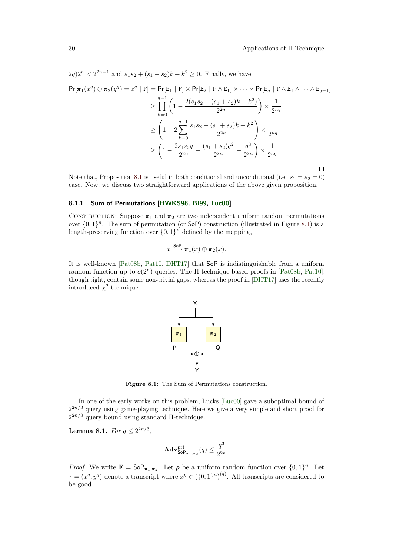$2q$ ) $2^n < 2^{2n-1}$  and  $s_1s_2 + (s_1 + s_2)k + k^2 \geq 0$ . Finally, we have

$$
\Pr[\pi_1(x^q) \oplus \pi_2(y^q) = z^q | \mathbf{F}] = \Pr[\mathbf{E}_1 | \mathbf{F}] \times \Pr[\mathbf{E}_2 | \mathbf{F} \wedge \mathbf{E}_1] \times \dots \times \Pr[\mathbf{E}_q | \mathbf{F} \wedge \mathbf{E}_1 \wedge \dots \wedge \mathbf{E}_{q-1}]
$$
  
\n
$$
\geq \prod_{k=0}^{q-1} \left( 1 - \frac{2(s_1s_2 + (s_1 + s_2)k + k^2)}{2^{2n}} \right) \times \frac{1}{2^{nq}}
$$
  
\n
$$
\geq \left( 1 - 2 \sum_{k=0}^{q-1} \frac{s_1s_2 + (s_1 + s_2)k + k^2}{2^{2n}} \right) \times \frac{1}{2^{nq}}
$$
  
\n
$$
\geq \left( 1 - \frac{2s_1s_2q}{2^{2n}} - \frac{(s_1 + s_2)q^2}{2^{2n}} - \frac{q^3}{2^{2n}} \right) \times \frac{1}{2^{nq}}.
$$

Note that, Proposition [8.1](#page-28-1) is useful in both conditional and unconditional (i.e.  $s_1 = s_2 = 0$ ) case. Now, we discuss two straightforward applications of the above given proposition.

### **8.1.1 Sum of Permutations [\[HWKS98,](#page-39-10) [BI99,](#page-36-11) [Luc00\]](#page-40-10)**

CONSTRUCTION: Suppose  $\pi_1$  and  $\pi_2$  are two independent uniform random permutations over  $\{0,1\}^n$ . The sum of permutation (or SoP) construction (illustrated in Figure [8.1\)](#page-29-0) is a length-preserving function over  $\{0,1\}^n$  defined by the mapping,

$$
x \stackrel{\mathsf{SoP}}{\longmapsto} \pi_1(x) \oplus \pi_2(x).
$$

<span id="page-29-0"></span>It is well-known [\[Pat08b,](#page-43-11) [Pat10,](#page-43-12) [DHT17\]](#page-38-9) that SoP is indistinguishable from a uniform random function up to  $o(2^n)$  queries. The H-technique based proofs in [\[Pat08b,](#page-43-11) [Pat10\]](#page-43-12), though tight, contain some non-trivial gaps, whereas the proof in [\[DHT17\]](#page-38-9) uses the recently introduced  $\chi^2$ -technique.



**Figure 8.1:** The Sum of Permutations construction.

In one of the early works on this problem, Lucks [\[Luc00\]](#page-40-10) gave a suboptimal bound of  $2^{2n/3}$  query using game-playing technique. Here we give a very simple and short proof for  $2^{2n/3}$  query bound using standard H-technique.

**Lemma 8.1.** *For*  $q \leq 2^{2n/3}$ *,* 

$$
\mathbf{Adv}_{\mathsf{SoP}_{\pi_1,\pi_2}}^{\mathrm{prf}}(q) \le \frac{q^3}{2^{2n}}.
$$

*Proof.* We write  $\mathbf{F} = \mathsf{SoP}_{\pi_1, \pi_2}$ . Let  $\rho$  be a uniform random function over  $\{0, 1\}^n$ . Let  $\tau = (x^q, y^q)$  denote a transcript where  $x^q \in (\{0, 1\}^n)^{(q)}$ . All transcripts are considered to be good.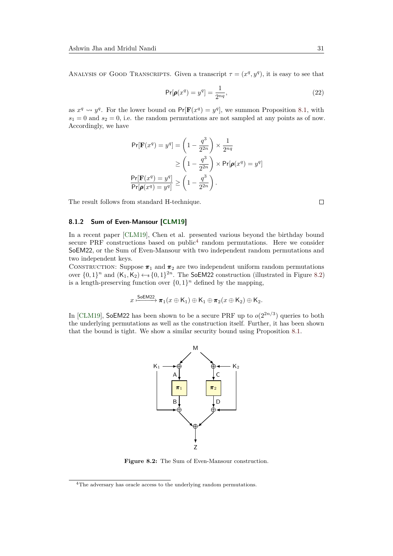ANALYSIS OF GOOD TRANSCRIPTS. Given a transcript  $\tau = (x^q, y^q)$ , it is easy to see that

$$
\Pr[\pmb{\rho}(x^q) = y^q] = \frac{1}{2^{nq}},\tag{22}
$$

as  $x^q \rightsquigarrow y^q$ . For the lower bound on  $Pr[\mathbf{F}(x^q) = y^q]$ , we summon Proposition [8.1,](#page-28-1) with  $s_1 = 0$  and  $s_2 = 0$ , i.e. the random permutations are not sampled at any points as of now. Accordingly, we have

$$
\Pr[\mathbf{F}(x^q) = y^q] = \left(1 - \frac{q^3}{2^{2n}}\right) \times \frac{1}{2^{nq}}
$$

$$
\geq \left(1 - \frac{q^3}{2^{2n}}\right) \times \Pr[\boldsymbol{\rho}(x^q) = y^q]
$$

$$
\frac{\Pr[\mathbf{F}(x^q) = y^q]}{\Pr[\boldsymbol{\rho}(x^q) = y^q]} \geq \left(1 - \frac{q^3}{2^{2n}}\right).
$$

The result follows from standard H-technique.

### **8.1.2 Sum of Even-Mansour [\[CLM19\]](#page-37-10)**

In a recent paper [\[CLM19\]](#page-37-10), Chen et al. presented various beyond the birthday bound secure PRF constructions based on public<sup>[4](#page-30-0)</sup> random permutations. Here we consider SoEM22, or the Sum of Even-Mansour with two independent random permutations and two independent keys.

CONSTRUCTION: Suppose  $\pi_1$  and  $\pi_2$  are two independent uniform random permutations over  $\{0,1\}^n$  and  $(K_1, K_2) \leftarrow \{0,1\}^{2n}$ . The SoEM22 construction (illustrated in Figure [8.2\)](#page-30-1) is a length-preserving function over  $\{0,1\}^n$  defined by the mapping,

$$
x \xrightarrow{\text{SoEM22}} \pi_1(x \oplus K_1) \oplus K_1 \oplus \pi_2(x \oplus K_2) \oplus K_2.
$$

<span id="page-30-1"></span>In [\[CLM19\]](#page-37-10), SoEM22 has been shown to be a secure PRF up to  $o(2^{2n/3})$  queries to both the underlying permutations as well as the construction itself. Further, it has been shown that the bound is tight. We show a similar security bound using Proposition [8.1.](#page-28-1)



**Figure 8.2:** The Sum of Even-Mansour construction.

 $\Box$ 

<span id="page-30-0"></span><sup>4</sup>The adversary has oracle access to the underlying random permutations.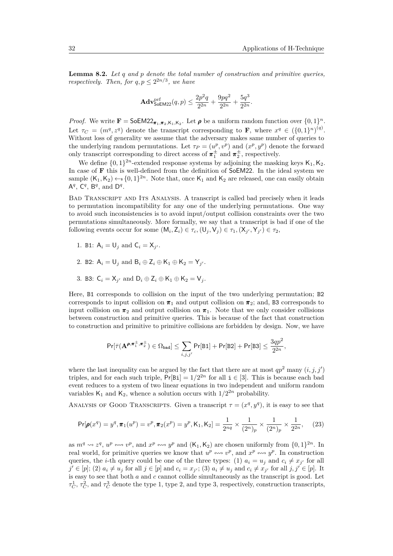**Lemma 8.2.** *Let q and p denote the total number of construction and primitive queries, respectively. Then, for*  $q, p \leq 2^{2n/3}$ *, we have* 

$$
\mathbf{Adv}_{\mathsf{SoEM22}}^{\text{prf}}(q, p) \le \frac{2p^2q}{2^{2n}} + \frac{9pq^2}{2^{2n}} + \frac{5q^3}{2^{2n}}.
$$

*Proof.* We write  $\mathbf{F} = \mathsf{SoEM22}_{\pi_1, \pi_2, K_1, K_2}$ . Let  $\rho$  be a uniform random function over  $\{0, 1\}^n$ . Let  $\tau_C = (m^q, z^q)$  denote the transcript corresponding to **F**, where  $x^q \in (\{0, 1\}^n)^{(q)}$ . Without loss of generality we assume that the adversary makes same number of queries to the underlying random permutations. Let  $\tau_P = (u^p, v^p)$  and  $(x^p, y^p)$  denote the forward only transcript corresponding to direct access of  $\pi_1^{\pm}$  and  $\pi_2^{\pm}$ , respectively.

We define  $\{0,1\}^{2n}$ -extended response systems by adjoining the masking keys  $\mathsf{K}_1, \mathsf{K}_2$ . In case of **F** this is well-defined from the definition of SoEM22. In the ideal system we sample  $(K_1, K_2) \leftarrow \{0, 1\}^{2n}$ . Note that, once  $K_1$  and  $K_2$  are released, one can easily obtain  $A^q$ ,  $C^q$ ,  $B^q$ , and  $D^q$ .

Bad Transcript and Its Analysis. A transcript is called bad precisely when it leads to permutation incompatibility for any one of the underlying permutations. One way to avoid such inconsistencies is to avoid input/output collision constraints over the two permutations simultaneously. More formally, we say that a transcript is bad if one of the following events occur for some  $(M_i, Z_i) \in \tau_c$ ,  $(U_j, V_j) \in \tau_1$ ,  $(X_{j'}, Y_{j'}) \in \tau_2$ ,

- 1. B1:  $A_i = U_j$  and  $C_i = X_{j'}$ .
- 2. B2:  $A_i = U_j$  and  $B_i \oplus Z_i \oplus K_1 \oplus K_2 = Y_{j'}$ .
- 3. B3:  $C_i = X_{j'}$  and  $D_i \oplus Z_i \oplus K_1 \oplus K_2 = V_j$ .

Here, B1 corresponds to collision on the input of the two underlying permutation; B2 corresponds to input collision on  $\pi_1$  and output collision on  $\pi_2$ ; and, B3 corresponds to input collision on  $\pi_2$  and output collision on  $\pi_1$ . Note that we only consider collisions between construction and primitive queries. This is because of the fact that construction to construction and primitive to primitive collisions are forbidden by design. Now, we have

$$
\Pr[\bar{\tau}(\mathbf{A}^{\boldsymbol{\rho}, \boldsymbol{\pi}^{\pm}_1, \boldsymbol{\pi}^{\pm}_2}) \in \Omega_{\mathrm{bad}}] \leq \sum_{i,j,j'} \Pr[\text{B1}] + \Pr[\text{B2}] + \Pr[\text{B3}] \leq \frac{3qp^2}{2^{2n}},
$$

where the last inequality can be argued by the fact that there are at most  $qp^2$  many  $(i, j, j')$ triples, and for each such triple,  $Pr[Bi] = 1/2^{2n}$  for all  $i \in [3]$ . This is because each bad event reduces to a system of two linear equations in two independent and uniform random variables  $K_1$  and  $K_2$ , whence a solution occurs with  $1/2^{2n}$  probability.

ANALYSIS OF GOOD TRANSCRIPTS. Given a transcript  $\tau = (x^q, y^q)$ , it is easy to see that

<span id="page-31-0"></span>
$$
\Pr[\pmb{\rho}(x^q) = y^q, \pmb{\pi}_1(u^p) = v^p, \pmb{\pi}_2(x^p) = y^p, \mathsf{K}_1, \mathsf{K}_2] = \frac{1}{2^{nq}} \times \frac{1}{(2^n)_p} \times \frac{1}{(2^n)_p} \times \frac{1}{2^{2n}},\tag{23}
$$

as  $m^q \rightsquigarrow z^q$ ,  $u^p \leftrightarrow v^p$ , and  $x^p \leftrightarrow v^p$  and  $(K_1, K_2)$  are chosen uniformly from  $\{0, 1\}^{2n}$ . In real world, for primitive queries we know that  $u^p \leftrightarrow v^p$ , and  $x^p \leftrightarrow y^p$ . In construction queries, the *i*-th query could be one of the three types: (1)  $a_i = u_j$  and  $c_i \neq x_{j'}$  for all  $j' \in [p]$ ; (2)  $a_i \neq u_j$  for all  $j \in [p]$  and  $c_i = x_{j'}$ ; (3)  $a_i \neq u_j$  and  $c_i \neq x_{j'}$  for all  $j, j' \in [p]$ . It is easy to see that both *a* and *c* cannot collide simultaneously as the transcript is good. Let  $\tau_C^1$ ,  $\tau_C^2$ , and  $\tau_C^3$  denote the type 1, type 2, and type 3, respectively, construction transcripts,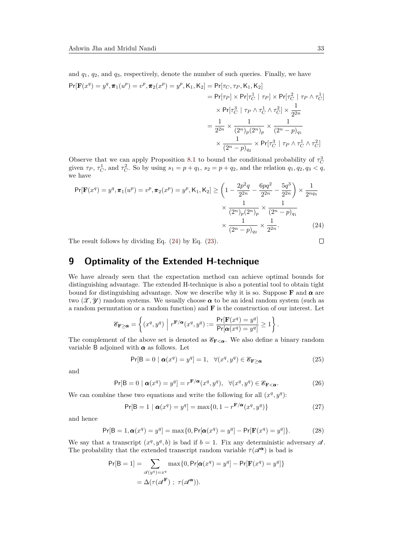and *q*1, *q*2, and *q*3, respectively, denote the number of such queries. Finally, we have

$$
Pr[\mathbf{F}(x^{q}) = y^{q}, \pi_{1}(u^{p}) = v^{p}, \pi_{2}(x^{p}) = y^{p}, K_{1}, K_{2}] = Pr[\tau_{C}, \tau_{P}, K_{1}, K_{2}]
$$
  
\n
$$
= Pr[\tau_{P}] \times Pr[\tau_{C}^{1} | \tau_{P}] \times Pr[\tau_{C}^{2} | \tau_{P} \wedge \tau_{C}^{1}]
$$
  
\n
$$
\times Pr[\tau_{O}^{3} | \tau_{P} \wedge \tau_{C}^{1} \wedge \tau_{C}^{2}] \times \frac{1}{2^{2n}}
$$
  
\n
$$
= \frac{1}{2^{2n}} \times \frac{1}{(2^{n})_{p}(2^{n})_{p}} \times \frac{1}{(2^{n} - p)_{q_{1}}}
$$
  
\n
$$
\times Pr[\tau_{C}^{3} | \tau_{P} \wedge \tau_{C}^{1} \wedge \tau_{C}^{2}]
$$

Observe that we can apply Proposition [8.1](#page-28-1) to bound the conditional probability of  $\tau_C^3$ given  $\tau_P$ ,  $\tau_C^1$ , and  $\tau_C^2$ . So by using  $s_1 = p + q_1$ ,  $s_2 = p + q_2$ , and the relation  $q_1, q_2, q_3 < q$ , we have

$$
\Pr[\mathbf{F}(x^q) = y^q, \pi_1(u^p) = v^p, \pi_2(x^p) = y^p, \mathsf{K}_1, \mathsf{K}_2] \ge \left(1 - \frac{2p^2q}{2^{2n}} - \frac{6pq^2}{2^{2n}} - \frac{5q^3}{2^{2n}}\right) \times \frac{1}{2^{nq_3}}
$$

$$
\times \frac{1}{(2^n)_p (2^n)_p} \times \frac{1}{(2^n - p)_{q_1}}
$$

$$
\times \frac{1}{(2^n - p)_{q_2}} \times \frac{1}{2^{2n}}.
$$
(24)

The result follows by dividing Eq. [\(24\)](#page-32-1) by Eq. [\(23\)](#page-31-0).

# <span id="page-32-0"></span>**9 Optimality of the Extended H-technique**

We have already seen that the expectation method can achieve optimal bounds for distinguishing advantage. The extended H-technique is also a potential tool to obtain tight bound for distinguishing advantage. Now we describe why it is so. Suppose **F** and *α* are two  $(\mathcal{X}, \mathcal{Y})$  random systems. We usually choose  $\alpha$  to be an ideal random system (such as a random permutation or a random function) and **F** is the construction of our interest. Let

$$
\mathcal{E}_{\mathbf{F}\geq \pmb{\alpha}}=\left\{(x^q,y^q) \ \Big| \ r^{\mathbf{F}/\pmb{\alpha}}(x^q,y^q):=\frac{\Pr[\mathbf{F}(x^q)=y^q]}{\Pr[\pmb{\alpha}(x^q)=y^q]}\geq 1\right\}.
$$

The complement of the above set is denoted as  $\mathscr{E}_{\mathbf{F}<\alpha}$ . We also define a binary random variable B adjoined with  $\alpha$  as follows. Let

$$
\Pr[B=0 \mid \pmb{\alpha}(x^q) = y^q] = 1, \quad \forall (x^q, y^q) \in \mathcal{E}_{\mathbf{F} \ge \pmb{\alpha}} \tag{25}
$$

and

$$
\Pr[B=0 \mid \pmb{\alpha}(x^q) = y^q] = r^{\mathbf{F}/\pmb{\alpha}}(x^q, y^q), \ \ \forall (x^q, y^q) \in \mathscr{E}_{\mathbf{F} < \pmb{\alpha}}.\tag{26}
$$

We can combine these two equations and write the following for all  $(x^q, y^q)$ :

$$
\Pr[B=1 \mid \boldsymbol{\alpha}(x^q) = y^q] = \max\{0, 1 - r^{\mathbf{F}/\boldsymbol{\alpha}}(x^q, y^q)\}\
$$
\n(27)

and hence

<span id="page-32-2"></span>
$$
\Pr[B = 1, \alpha(x^q) = y^q] = \max\{0, \Pr[\alpha(x^q) = y^q] - \Pr[\mathbf{F}(x^q) = y^q]\}.
$$
 (28)

We say that a transcript  $(x^q, y^q, b)$  is bad if  $b = 1$ . Fix any deterministic adversary  $\mathscr A$ . The probability that the extended transcript random variable  $\bar{\tau}(\mathscr{A}^{\alpha})$  is bad is

$$
Pr[B = 1] = \sum_{\mathcal{A}(y^q) = x^q} \max\{0, Pr[\boldsymbol{\alpha}(x^q) = y^q] - Pr[F(x^q) = y^q]\}
$$

$$
= \Delta(\tau(\mathcal{A}^F) ; \ \tau(\mathcal{A}^{\boldsymbol{\alpha}})).
$$

<span id="page-32-1"></span> $\Box$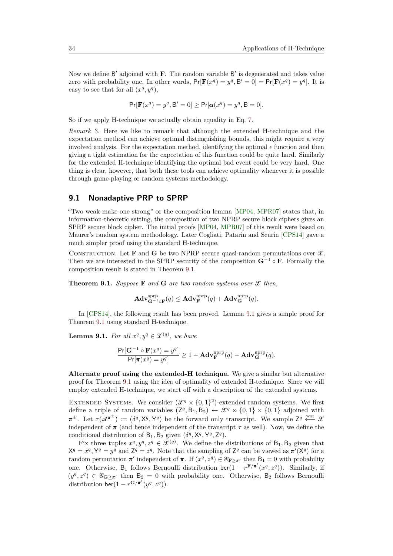Now we define B' adjoined with **F**. The random variable B' is degenerated and takes value zero with probability one. In other words,  $Pr[F(x^q) = y^q, B' = 0] = Pr[F(x^q) = y^q]$ . It is easy to see that for all  $(x^q, y^q)$ ,

$$
Pr[\mathbf{F}(x^q) = y^q, \mathbf{B}' = 0] \geq Pr[\mathbf{\alpha}(x^q) = y^q, \mathbf{B} = 0].
$$

So if we apply H-technique we actually obtain equality in Eq. [7.](#page-12-1)

*Remark* 3*.* Here we like to remark that although the extended H-technique and the expectation method can achieve optimal distinguishing bounds, this might require a very involved analysis. For the expectation method, identifying the optimal  $\epsilon$  function and then giving a tight estimation for the expectation of this function could be quite hard. Similarly for the extended H-technique identifying the optimal bad event could be very hard. One thing is clear, however, that both these tools can achieve optimality whenever it is possible through game-playing or random systems methodology.

## **9.1 Nonadaptive PRP to SPRP**

"Two weak make one strong" or the composition lemma [\[MP04,](#page-41-3) [MPR07\]](#page-41-4) states that, in information-theoretic setting, the composition of two NPRP secure block ciphers gives an SPRP secure block cipher. The initial proofs [\[MP04,](#page-41-3) [MPR07\]](#page-41-4) of this result were based on Maurer's random system methodology. Later Cogliati, Patarin and Seurin [\[CPS14\]](#page-37-11) gave a much simpler proof using the standard H-technique.

CONSTRUCTION. Let **F** and **G** be two NPRP secure quasi-random permutations over  $\mathcal{X}$ . Then we are interested in the SPRP security of the composition  $\mathbf{G}^{-1} \circ \mathbf{F}$ . Formally the composition result is stated in Theorem [9.1.](#page-33-0)

<span id="page-33-0"></span>**Theorem 9.1.** *Suppose* **F** *and* **G** *are two random systems over*  $\mathcal{X}$  *then,* 

$$
\mathbf{Adv}_{\mathbf{G}^{-1}\circ\mathbf{F}}^{\text{sprp}}(q) \leq \mathbf{Adv}_{\mathbf{F}}^{\text{nprp}}(q) + \mathbf{Adv}_{\mathbf{G}}^{\text{nprp}}(q).
$$

In [\[CPS14\]](#page-37-11), the following result has been proved. Lemma [9.1](#page-33-1) gives a simple proof for Theorem [9.1](#page-33-0) using standard H-technique.

<span id="page-33-1"></span>**Lemma 9.1.** *For all*  $x^q, y^q \in \mathcal{X}^{(q)}$ , we have

$$
\frac{\Pr[\mathbf{G}^{-1}\circ \mathbf{F}(x^q) = y^q]}{\Pr[\pi(x^q) = y^q]} \ge 1 - \mathbf{Adv}_{\mathbf{F}}^{\text{nprp}}(q) - \mathbf{Adv}_{\mathbf{G}}^{\text{nprp}}(q).
$$

**Alternate proof using the extended-H technique.** We give a similar but alternative proof for Theorem [9.1](#page-33-0) using the idea of optimality of extended H-technique. Since we will employ extended H-technique, we start off with a description of the extended systems.

EXTENDED SYSTEMS. We consider  $(\mathcal{X}^q \times \{0,1\}^2)$ -extended random systems. We first define a triple of random variables  $(Z^q, B_1, B_2) \leftarrow \mathcal{X}^q \times \{0, 1\} \times \{0, 1\}$  adjoined with  $\pi^{\pm}$ . Let  $\tau(\mathscr{A}^{\pi^{\pm}}) := (\delta^q, X^q, Y^q)$  be the forward only transcript. We sample  $Z^q \stackrel{\text{wor}}{\longleftarrow} \mathscr{X}$ independent of  $\pi$  (and hence independent of the transcript  $\tau$  as well). Now, we define the conditional distribution of  $B_1$ ,  $B_2$  given  $(\delta^q, X^q, Y^q, Z^q)$ .

Fix three tuples  $x^q, y^q, z^q \in \mathcal{X}^{(q)}$ . We define the distributions of  $B_1, B_2$  given that  $X^q = x^q, Y^q = y^q$  and  $Z^q = z^q$ . Note that the sampling of  $Z^q$  can be viewed as  $\pi'(X^q)$  for a random permutation  $\pi'$  independent of  $\pi$ . If  $(x^q, z^q) \in \mathscr{E}_{\mathbf{F} \geq \pi'}$  then  $B_1 = 0$  with probability one. Otherwise, B<sub>1</sub> follows Bernoulli distribution  $\text{ber}(\overline{1} - r^{\textbf{F}/\textbf{\pi}'}(x^q, z^q))$ . Similarly, if  $(y^q, z^q) \in \mathscr{E}_{\mathbf{G}\geq \pi'}$  then  $B_2 = 0$  with probability one. Otherwise,  $B_2$  follows Bernoulli distribution  $\overline{\text{ber}}(1 - r^{\mathbf{G}/\pi'}(y^q, z^q)).$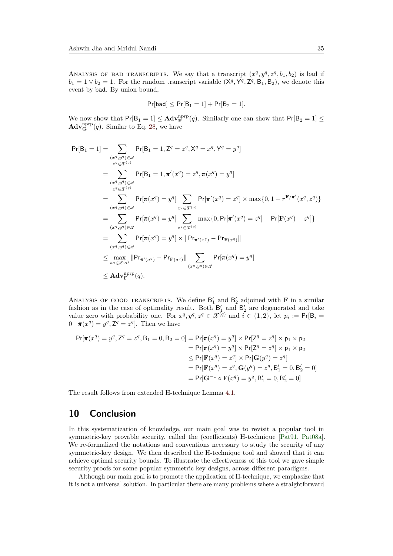ANALYSIS OF BAD TRANSCRIPTS. We say that a transcript  $(x^q, y^q, z^q, b_1, b_2)$  is bad if  $b_1 = 1 \vee b_2 = 1$ . For the random transcript variable  $(X^q, Y^q, Z^q, B_1, B_2)$ , we denote this event by bad. By union bound,

$$
\mathsf{Pr}[\mathtt{bad}] \leq \mathsf{Pr}[B_1 = 1] + \mathsf{Pr}[B_2 = 1].
$$

We now show that  $Pr[B_1 = 1] \leq \mathbf{Adv}_{\mathbf{F}}^{\text{napp}}(q)$ . Similarly one can show that  $Pr[B_2 = 1] \leq$  $\mathbf{Adv}_{\mathbf{G}}^{\text{nprp}}(q)$ . Similar to Eq. [28,](#page-32-2) we have

$$
Pr[B_1 = 1] = \sum_{\substack{(x^q, y^q) \in \mathcal{A} \\ z^q \in \mathcal{X}^{(q)}}} Pr[B_1 = 1, Z^q = z^q, X^q = x^q, Y^q = y^q]
$$
  
\n
$$
= \sum_{\substack{(x^q, y^q) \in \mathcal{A} \\ z^q \in \mathcal{X}^{(q)}}} Pr[B_1 = 1, \pi'(x^q) = z^q, \pi(x^q) = y^q]
$$
  
\n
$$
= \sum_{\substack{(x^q, y^q) \in \mathcal{A} \\ (x^q, y^q) \in \mathcal{A}}} Pr[\pi(x^q) = y^q] \sum_{z^q \in \mathcal{X}^{(q)}} Pr[\pi'(x^q) = z^q] \times \max\{0, 1 - r^{F/\pi'}(x^q, z^q)\}
$$
  
\n
$$
= \sum_{\substack{(x^q, y^q) \in \mathcal{A} \\ (x^q, y^q) \in \mathcal{A}}} Pr[\pi(x^q) = y^q] \sum_{z^q \in \mathcal{X}^{(q)}} \max\{0, Pr[\pi'(x^q) = z^q] - Pr[F(x^q) - z^q]\}
$$
  
\n
$$
= \sum_{\substack{(x^q, y^q) \in \mathcal{A} \\ a^q \in \mathcal{X}^{(q)}}} Pr[\pi(x^q) = y^q] \times ||Pr_{\pi'(x^q)} - Pr_{F(x^q)}||
$$
  
\n
$$
\leq \max_{a^q \in \mathcal{X}^{(q)}} ||Pr_{\pi'(a^q)} - Pr_{F(a^q)}|| \sum_{\substack{(x^q, y^q) \in \mathcal{A} \\ (x^q, y^q) \in \mathcal{A}}} Pr[\pi(x^q) = y^q]
$$
  
\n
$$
\leq \mathbf{Adv}_{\mathbf{F}}^{\text{npp}}(q).
$$

ANALYSIS OF GOOD TRANSCRIPTS. We define  $B'_1$  and  $B'_2$  adjoined with **F** in a similar fashion as in the case of optimality result. Both  $B'_1$  and  $B'_2$  are degenerated and take value zero with probability one. For  $x^q, y^q, z^q \in \mathcal{X}^{(q)}$  and  $i \in \{1, 2\}$ , let  $p_i := \text{Pr}[\mathsf{B}_i =$  $0 \mid \pi(x^q) = y^q, Z^q = z^q$ . Then we have

$$
Pr[\pi(x^q) = y^q, Z^q = z^q, B_1 = 0, B_2 = 0] = Pr[\pi(x^q) = y^q] \times Pr[Z^q = z^q] \times p_1 \times p_2
$$
  
\n
$$
= Pr[\pi(x^q) = y^q] \times Pr[Z^q = z^q] \times p_1 \times p_2
$$
  
\n
$$
\leq Pr[F(x^q) = z^q] \times Pr[G(y^q) = z^q]
$$
  
\n
$$
= Pr[F(x^q) = z^q, G(y^q) = z^q, B'_1 = 0, B'_2 = 0]
$$
  
\n
$$
= Pr[G^{-1} \circ F(x^q) = y^q, B'_1 = 0, B'_2 = 0]
$$

The result follows from extended H-technique Lemma [4.1.](#page-12-0)

# **10 Conclusion**

In this systematization of knowledge, our main goal was to revisit a popular tool in symmetric-key provable security, called the (coefficients) H-technique [\[Pat91,](#page-42-2) [Pat08a\]](#page-42-0). We re-formalized the notations and conventions necessary to study the security of any symmetric-key design. We then described the H-technique tool and showed that it can achieve optimal security bounds. To illustrate the effectiveness of this tool we gave simple security proofs for some popular symmetric key designs, across different paradigms.

Although our main goal is to promote the application of H-technique, we emphasize that it is not a universal solution. In particular there are many problems where a straightforward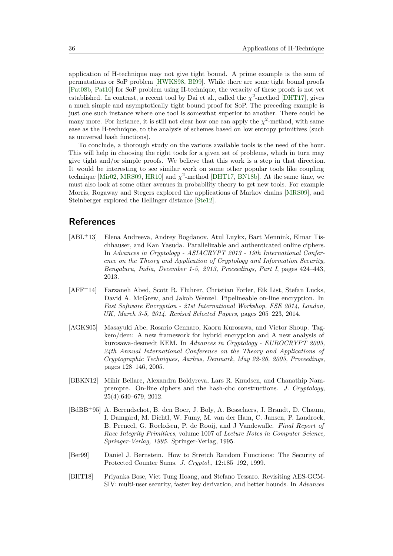application of H-technique may not give tight bound. A prime example is the sum of permutations or SoP problem [\[HWKS98,](#page-39-10) [BI99\]](#page-36-11). While there are some tight bound proofs [\[Pat08b,](#page-43-11) [Pat10\]](#page-43-12) for SoP problem using H-technique, the veracity of these proofs is not yet established. In contrast, a recent tool by Dai et al., called the  $\chi^2$ -method [\[DHT17\]](#page-38-9), gives a much simple and asymptotically tight bound proof for SoP. The preceding example is just one such instance where one tool is somewhat superior to another. There could be many more. For instance, it is still not clear how one can apply the  $\chi^2$ -method, with same ease as the H-technique, to the analysis of schemes based on low entropy primitives (such as universal hash functions).

To conclude, a thorough study on the various available tools is the need of the hour. This will help in choosing the right tools for a given set of problems, which in turn may give tight and/or simple proofs. We believe that this work is a step in that direction. It would be interesting to see similar work on some other popular tools like coupling technique [\[Mir02,](#page-41-10) [MRS09,](#page-42-10) [HR10\]](#page-39-9) and  $\chi^2$ -method [\[DHT17,](#page-38-9) [BN18b\]](#page-36-7). At the same time, we must also look at some other avenues in probability theory to get new tools. For example Morris, Rogaway and Stegers explored the applications of Markov chains [\[MRS09\]](#page-42-10), and Steinberger explored the Hellinger distance [\[Ste12\]](#page-44-5).

# **References**

- <span id="page-35-2"></span>[ABL<sup>+</sup>13] Elena Andreeva, Andrey Bogdanov, Atul Luykx, Bart Mennink, Elmar Tischhauser, and Kan Yasuda. Parallelizable and authenticated online ciphers. In *Advances in Cryptology - ASIACRYPT 2013 - 19th International Conference on the Theory and Application of Cryptology and Information Security, Bengaluru, India, December 1-5, 2013, Proceedings, Part I*, pages 424–443, 2013.
- <span id="page-35-3"></span>[AFF<sup>+</sup>14] Farzaneh Abed, Scott R. Fluhrer, Christian Forler, Eik List, Stefan Lucks, David A. McGrew, and Jakob Wenzel. Pipelineable on-line encryption. In *Fast Software Encryption - 21st International Workshop, FSE 2014, London, UK, March 3-5, 2014. Revised Selected Papers*, pages 205–223, 2014.
- <span id="page-35-0"></span>[AGKS05] Masayuki Abe, Rosario Gennaro, Kaoru Kurosawa, and Victor Shoup. Tagkem/dem: A new framework for hybrid encryption and A new analysis of kurosawa-desmedt KEM. In *Advances in Cryptology - EUROCRYPT 2005, 24th Annual International Conference on the Theory and Applications of Cryptographic Techniques, Aarhus, Denmark, May 22-26, 2005, Proceedings*, pages 128–146, 2005.
- <span id="page-35-1"></span>[BBKN12] Mihir Bellare, Alexandra Boldyreva, Lars R. Knudsen, and Chanathip Namprempre. On-line ciphers and the hash-cbc constructions. *J. Cryptology*, 25(4):640–679, 2012.
- <span id="page-35-6"></span>[BdBB<sup>+</sup>95] A. Berendschot, B. den Boer, J. Boly, A. Bosselaers, J. Brandt, D. Chaum, I. Damgård, M. Dichtl, W. Fumy, M. van der Ham, C. Jansen, P. Landrock, B. Preneel, G. Roelofsen, P. de Rooij, and J Vandewalle. *Final Report of Race Integrity Primitives*, volume 1007 of *Lecture Notes in Computer Science, Springer-Verlag, 1995*. Springer-Verlag, 1995.
- <span id="page-35-4"></span>[Ber99] Daniel J. Bernstein. How to Stretch Random Functions: The Security of Protected Counter Sums. *J. Cryptol.*, 12:185–192, 1999.
- <span id="page-35-5"></span>[BHT18] Priyanka Bose, Viet Tung Hoang, and Stefano Tessaro. Revisiting AES-GCM-SIV: multi-user security, faster key derivation, and better bounds. In *Advances*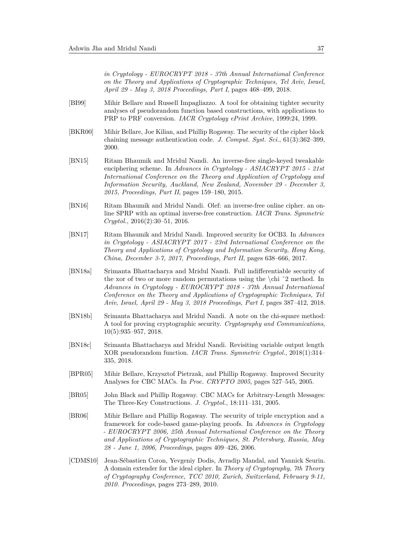*in Cryptology - EUROCRYPT 2018 - 37th Annual International Conference on the Theory and Applications of Cryptographic Techniques, Tel Aviv, Israel, April 29 - May 3, 2018 Proceedings, Part I*, pages 468–499, 2018.

- <span id="page-36-11"></span>[BI99] Mihir Bellare and Russell Impagliazzo. A tool for obtaining tighter security analyses of pseudorandom function based constructions, with applications to PRP to PRF conversion. *IACR Cryptology ePrint Archive*, 1999:24, 1999.
- <span id="page-36-1"></span>[BKR00] Mihir Bellare, Joe Kilian, and Phillip Rogaway. The security of the cipher block chaining message authentication code. *J. Comput. Syst. Sci.*, 61(3):362–399, 2000.
- <span id="page-36-4"></span>[BN15] Ritam Bhaumik and Mridul Nandi. An inverse-free single-keyed tweakable enciphering scheme. In *Advances in Cryptology - ASIACRYPT 2015 - 21st International Conference on the Theory and Application of Cryptology and Information Security, Auckland, New Zealand, November 29 - December 3, 2015, Proceedings, Part II*, pages 159–180, 2015.
- <span id="page-36-5"></span>[BN16] Ritam Bhaumik and Mridul Nandi. Olef: an inverse-free online cipher. an online SPRP with an optimal inverse-free construction. *IACR Trans. Symmetric Cryptol.*, 2016(2):30–51, 2016.
- <span id="page-36-6"></span>[BN17] Ritam Bhaumik and Mridul Nandi. Improved security for OCB3. In *Advances in Cryptology - ASIACRYPT 2017 - 23rd International Conference on the Theory and Applications of Cryptology and Information Security, Hong Kong, China, December 3-7, 2017, Proceedings, Part II*, pages 638–666, 2017.
- <span id="page-36-9"></span>[BN18a] Srimanta Bhattacharya and Mridul Nandi. Full indifferentiable security of the xor of two or more random permutations using the  $\chi$ hi  $\hat{2}$  method. In *Advances in Cryptology - EUROCRYPT 2018 - 37th Annual International Conference on the Theory and Applications of Cryptographic Techniques, Tel Aviv, Israel, April 29 - May 3, 2018 Proceedings, Part I*, pages 387–412, 2018.
- <span id="page-36-7"></span>[BN18b] Srimanta Bhattacharya and Mridul Nandi. A note on the chi-square method: A tool for proving cryptographic security. *Cryptography and Communications*, 10(5):935–957, 2018.
- <span id="page-36-8"></span>[BN18c] Srimanta Bhattacharya and Mridul Nandi. Revisiting variable output length XOR pseudorandom function. *IACR Trans. Symmetric Cryptol.*, 2018(1):314– 335, 2018.
- <span id="page-36-2"></span>[BPR05] Mihir Bellare, Krzysztof Pietrzak, and Phillip Rogaway. Improved Security Analyses for CBC MACs. In *Proc. CRYPTO 2005*, pages 527–545, 2005.
- <span id="page-36-3"></span>[BR05] John Black and Phillip Rogaway. CBC MACs for Arbitrary-Length Messages: The Three-Key Constructions. *J. Cryptol.*, 18:111–131, 2005.
- <span id="page-36-0"></span>[BR06] Mihir Bellare and Phillip Rogaway. The security of triple encryption and a framework for code-based game-playing proofs. In *Advances in Cryptology - EUROCRYPT 2006, 25th Annual International Conference on the Theory and Applications of Cryptographic Techniques, St. Petersburg, Russia, May 28 - June 1, 2006, Proceedings*, pages 409–426, 2006.
- <span id="page-36-10"></span>[CDMS10] Jean-Sébastien Coron, Yevgeniy Dodis, Avradip Mandal, and Yannick Seurin. A domain extender for the ideal cipher. In *Theory of Cryptography, 7th Theory of Cryptography Conference, TCC 2010, Zurich, Switzerland, February 9-11, 2010. Proceedings*, pages 273–289, 2010.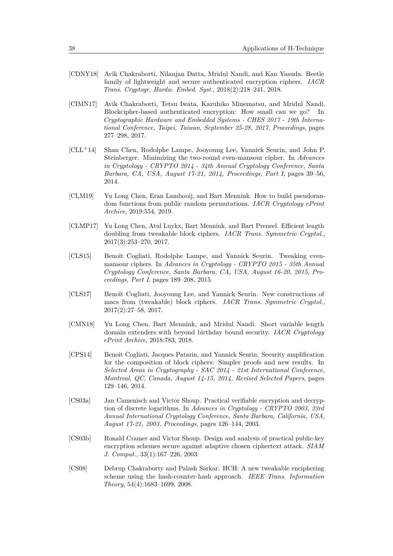- <span id="page-37-8"></span>[CDNY18] Avik Chakraborti, Nilanjan Datta, Mridul Nandi, and Kan Yasuda. Beetle family of lightweight and secure authenticated encryption ciphers. *IACR Trans. Cryptogr. Hardw. Embed. Syst.*, 2018(2):218–241, 2018.
- <span id="page-37-7"></span>[CIMN17] Avik Chakraborti, Tetsu Iwata, Kazuhiko Minematsu, and Mridul Nandi. Blockcipher-based authenticated encryption: How small can we go? In *Cryptographic Hardware and Embedded Systems - CHES 2017 - 19th International Conference, Taipei, Taiwan, September 25-28, 2017, Proceedings*, pages 277–298, 2017.
- <span id="page-37-3"></span>[CLL<sup>+</sup>14] Shan Chen, Rodolphe Lampe, Jooyoung Lee, Yannick Seurin, and John P. Steinberger. Minimizing the two-round even-mansour cipher. In *Advances in Cryptology - CRYPTO 2014 - 34th Annual Cryptology Conference, Santa Barbara, CA, USA, August 17-21, 2014, Proceedings, Part I*, pages 39–56, 2014.
- <span id="page-37-10"></span>[CLM19] Yu Long Chen, Eran Lambooij, and Bart Mennink. How to build pseudorandom functions from public random permutations. *IACR Cryptology ePrint Archive*, 2019:554, 2019.
- <span id="page-37-5"></span>[CLMP17] Yu Long Chen, Atul Luykx, Bart Mennink, and Bart Preneel. Efficient length doubling from tweakable block ciphers. *IACR Trans. Symmetric Cryptol.*, 2017(3):253–270, 2017.
- <span id="page-37-4"></span>[CLS15] Benoit Cogliati, Rodolphe Lampe, and Yannick Seurin. Tweaking evenmansour ciphers. In *Advances in Cryptology - CRYPTO 2015 - 35th Annual Cryptology Conference, Santa Barbara, CA, USA, August 16-20, 2015, Proceedings, Part I*, pages 189–208, 2015.
- <span id="page-37-6"></span>[CLS17] Benoît Cogliati, Jooyoung Lee, and Yannick Seurin. New constructions of macs from (tweakable) block ciphers. *IACR Trans. Symmetric Cryptol.*, 2017(2):27–58, 2017.
- <span id="page-37-9"></span>[CMN18] Yu Long Chen, Bart Mennink, and Mridul Nandi. Short variable length domain extenders with beyond birthday bound security. *IACR Cryptology ePrint Archive*, 2018:783, 2018.
- <span id="page-37-11"></span>[CPS14] Benoit Cogliati, Jacques Patarin, and Yannick Seurin. Security amplification for the composition of block ciphers: Simpler proofs and new results. In *Selected Areas in Cryptography - SAC 2014 - 21st International Conference, Montreal, QC, Canada, August 14-15, 2014, Revised Selected Papers*, pages 129–146, 2014.
- <span id="page-37-1"></span>[CS03a] Jan Camenisch and Victor Shoup. Practical verifiable encryption and decryption of discrete logarithms. In *Advances in Cryptology - CRYPTO 2003, 23rd Annual International Cryptology Conference, Santa Barbara, California, USA, August 17-21, 2003, Proceedings*, pages 126–144, 2003.
- <span id="page-37-0"></span>[CS03b] Ronald Cramer and Victor Shoup. Design and analysis of practical public-key encryption schemes secure against adaptive chosen ciphertext attack. *SIAM J. Comput.*, 33(1):167–226, 2003.
- <span id="page-37-2"></span>[CS08] Debrup Chakraborty and Palash Sarkar. HCH: A new tweakable enciphering scheme using the hash-counter-hash approach. *IEEE Trans. Information Theory*, 54(4):1683–1699, 2008.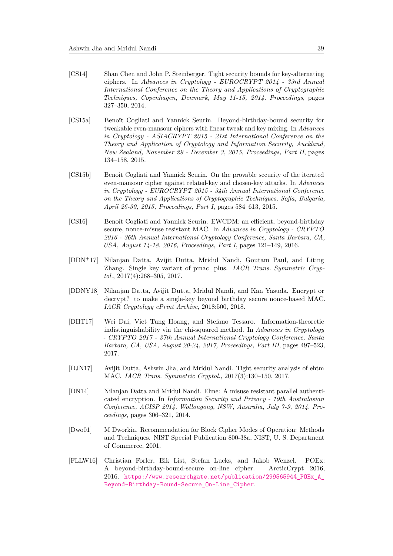- <span id="page-38-1"></span>[CS14] Shan Chen and John P. Steinberger. Tight security bounds for key-alternating ciphers. In *Advances in Cryptology - EUROCRYPT 2014 - 33rd Annual International Conference on the Theory and Applications of Cryptographic Techniques, Copenhagen, Denmark, May 11-15, 2014. Proceedings*, pages 327–350, 2014.
- <span id="page-38-3"></span>[CS15a] Benoît Cogliati and Yannick Seurin. Beyond-birthday-bound security for tweakable even-mansour ciphers with linear tweak and key mixing. In *Advances in Cryptology - ASIACRYPT 2015 - 21st International Conference on the Theory and Application of Cryptology and Information Security, Auckland, New Zealand, November 29 - December 3, 2015, Proceedings, Part II*, pages 134–158, 2015.
- <span id="page-38-2"></span>[CS15b] Benoit Cogliati and Yannick Seurin. On the provable security of the iterated even-mansour cipher against related-key and chosen-key attacks. In *Advances in Cryptology - EUROCRYPT 2015 - 34th Annual International Conference on the Theory and Applications of Cryptographic Techniques, Sofia, Bulgaria, April 26-30, 2015, Proceedings, Part I*, pages 584–613, 2015.
- <span id="page-38-4"></span>[CS16] Benoît Cogliati and Yannick Seurin. EWCDM: an efficient, beyond-birthday secure, nonce-misuse resistant MAC. In *Advances in Cryptology - CRYPTO 2016 - 36th Annual International Cryptology Conference, Santa Barbara, CA, USA, August 14-18, 2016, Proceedings, Part I*, pages 121–149, 2016.
- <span id="page-38-5"></span>[DDN<sup>+</sup>17] Nilanjan Datta, Avijit Dutta, Mridul Nandi, Goutam Paul, and Liting Zhang. Single key variant of pmac\_plus. *IACR Trans. Symmetric Cryptol.*, 2017(4):268–305, 2017.
- <span id="page-38-7"></span>[DDNY18] Nilanjan Datta, Avijit Dutta, Mridul Nandi, and Kan Yasuda. Encrypt or decrypt? to make a single-key beyond birthday secure nonce-based MAC. *IACR Cryptology ePrint Archive*, 2018:500, 2018.
- <span id="page-38-9"></span>[DHT17] Wei Dai, Viet Tung Hoang, and Stefano Tessaro. Information-theoretic indistinguishability via the chi-squared method. In *Advances in Cryptology - CRYPTO 2017 - 37th Annual International Cryptology Conference, Santa Barbara, CA, USA, August 20-24, 2017, Proceedings, Part III*, pages 497–523, 2017.
- <span id="page-38-6"></span>[DJN17] Avijit Dutta, Ashwin Jha, and Mridul Nandi. Tight security analysis of ehtm MAC. *IACR Trans. Symmetric Cryptol.*, 2017(3):130–150, 2017.
- <span id="page-38-8"></span>[DN14] Nilanjan Datta and Mridul Nandi. Elme: A misuse resistant parallel authenticated encryption. In *Information Security and Privacy - 19th Australasian Conference, ACISP 2014, Wollongong, NSW, Australia, July 7-9, 2014. Proceedings*, pages 306–321, 2014.
- <span id="page-38-10"></span>[Dwo01] M Dworkin. Recommendation for Block Cipher Modes of Operation: Methods and Techniques. NIST Special Publication 800-38a, NIST, U. S. Department of Commerce, 2001.
- <span id="page-38-0"></span>[FLLW16] Christian Forler, Eik List, Stefan Lucks, and Jakob Wenzel. POEx: A beyond-birthday-bound-secure on-line cipher. ArcticCrypt 2016, 2016. [https://www.researchgate.net/publication/299565944\\_POEx\\_A\\_](https://www.researchgate.net/publication/299565944_POEx_A_Beyond-Birthday-Bound-Secure_On-Line_Cipher) [Beyond-Birthday-Bound-Secure\\_On-Line\\_Cipher](https://www.researchgate.net/publication/299565944_POEx_A_Beyond-Birthday-Bound-Secure_On-Line_Cipher).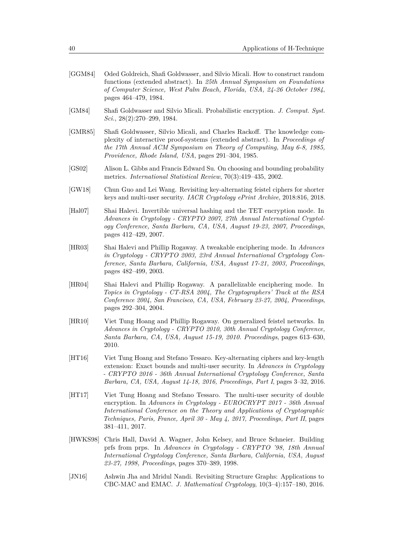- <span id="page-39-0"></span>[GGM84] Oded Goldreich, Shafi Goldwasser, and Silvio Micali. How to construct random functions (extended abstract). In *25th Annual Symposium on Foundations of Computer Science, West Palm Beach, Florida, USA, 24-26 October 1984*, pages 464–479, 1984.
- <span id="page-39-1"></span>[GM84] Shafi Goldwasser and Silvio Micali. Probabilistic encryption. *J. Comput. Syst. Sci.*, 28(2):270–299, 1984.
- <span id="page-39-12"></span>[GMR85] Shafi Goldwasser, Silvio Micali, and Charles Rackoff. The knowledge complexity of interactive proof-systems (extended abstract). In *Proceedings of the 17th Annual ACM Symposium on Theory of Computing, May 6-8, 1985, Providence, Rhode Island, USA*, pages 291–304, 1985.
- <span id="page-39-11"></span>[GS02] Alison L. Gibbs and Francis Edward Su. On choosing and bounding probability metrics. *International Statistical Review*, 70(3):419–435, 2002.
- <span id="page-39-8"></span>[GW18] Chun Guo and Lei Wang. Revisiting key-alternating feistel ciphers for shorter keys and multi-user security. *IACR Cryptology ePrint Archive*, 2018:816, 2018.
- <span id="page-39-4"></span>[Hal07] Shai Halevi. Invertible universal hashing and the TET encryption mode. In *Advances in Cryptology - CRYPTO 2007, 27th Annual International Cryptology Conference, Santa Barbara, CA, USA, August 19-23, 2007, Proceedings*, pages 412–429, 2007.
- <span id="page-39-2"></span>[HR03] Shai Halevi and Phillip Rogaway. A tweakable enciphering mode. In *Advances in Cryptology - CRYPTO 2003, 23rd Annual International Cryptology Conference, Santa Barbara, California, USA, August 17-21, 2003, Proceedings*, pages 482–499, 2003.
- <span id="page-39-3"></span>[HR04] Shai Halevi and Phillip Rogaway. A parallelizable enciphering mode. In *Topics in Cryptology - CT-RSA 2004, The Cryptographers' Track at the RSA Conference 2004, San Francisco, CA, USA, February 23-27, 2004, Proceedings*, pages 292–304, 2004.
- <span id="page-39-9"></span>[HR10] Viet Tung Hoang and Phillip Rogaway. On generalized feistel networks. In *Advances in Cryptology - CRYPTO 2010, 30th Annual Cryptology Conference, Santa Barbara, CA, USA, August 15-19, 2010. Proceedings*, pages 613–630, 2010.
- <span id="page-39-6"></span>[HT16] Viet Tung Hoang and Stefano Tessaro. Key-alternating ciphers and key-length extension: Exact bounds and multi-user security. In *Advances in Cryptology - CRYPTO 2016 - 36th Annual International Cryptology Conference, Santa Barbara, CA, USA, August 14-18, 2016, Proceedings, Part I*, pages 3–32, 2016.
- <span id="page-39-7"></span>[HT17] Viet Tung Hoang and Stefano Tessaro. The multi-user security of double encryption. In *Advances in Cryptology - EUROCRYPT 2017 - 36th Annual International Conference on the Theory and Applications of Cryptographic Techniques, Paris, France, April 30 - May 4, 2017, Proceedings, Part II*, pages 381–411, 2017.
- <span id="page-39-10"></span>[HWKS98] Chris Hall, David A. Wagner, John Kelsey, and Bruce Schneier. Building prfs from prps. In *Advances in Cryptology - CRYPTO '98, 18th Annual International Cryptology Conference, Santa Barbara, California, USA, August 23-27, 1998, Proceedings*, pages 370–389, 1998.
- <span id="page-39-5"></span>[JN16] Ashwin Jha and Mridul Nandi. Revisiting Structure Graphs: Applications to CBC-MAC and EMAC. *J. Mathematical Cryptology*, 10(3–4):157–180, 2016.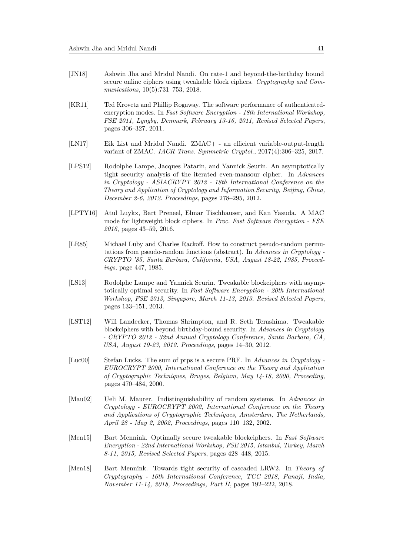- <span id="page-40-2"></span>[JN18] Ashwin Jha and Mridul Nandi. On rate-1 and beyond-the-birthday bound secure online ciphers using tweakable block ciphers. *Cryptography and Communications*, 10(5):731–753, 2018.
- <span id="page-40-3"></span>[KR11] Ted Krovetz and Phillip Rogaway. The software performance of authenticatedencryption modes. In *Fast Software Encryption - 18th International Workshop, FSE 2011, Lyngby, Denmark, February 13-16, 2011, Revised Selected Papers*, pages 306–327, 2011.
- <span id="page-40-7"></span>[LN17] Eik List and Mridul Nandi. ZMAC+ - an efficient variable-output-length variant of ZMAC. *IACR Trans. Symmetric Cryptol.*, 2017(4):306–325, 2017.
- <span id="page-40-5"></span>[LPS12] Rodolphe Lampe, Jacques Patarin, and Yannick Seurin. An asymptotically tight security analysis of the iterated even-mansour cipher. In *Advances in Cryptology - ASIACRYPT 2012 - 18th International Conference on the Theory and Application of Cryptology and Information Security, Beijing, China, December 2-6, 2012. Proceedings*, pages 278–295, 2012.
- <span id="page-40-11"></span>[LPTY16] Atul Luykx, Bart Preneel, Elmar Tischhauser, and Kan Yasuda. A MAC mode for lightweight block ciphers. In *Proc. Fast Software Encryption - FSE 2016*, pages 43–59, 2016.
- <span id="page-40-0"></span>[LR85] Michael Luby and Charles Rackoff. How to construct pseudo-random permutations from pseudo-random functions (abstract). In *Advances in Cryptology - CRYPTO '85, Santa Barbara, California, USA, August 18-22, 1985, Proceedings*, page 447, 1985.
- <span id="page-40-9"></span>[LS13] Rodolphe Lampe and Yannick Seurin. Tweakable blockciphers with asymptotically optimal security. In *Fast Software Encryption - 20th International Workshop, FSE 2013, Singapore, March 11-13, 2013. Revised Selected Papers*, pages 133–151, 2013.
- <span id="page-40-1"></span>[LST12] Will Landecker, Thomas Shrimpton, and R. Seth Terashima. Tweakable blockciphers with beyond birthday-bound security. In *Advances in Cryptology - CRYPTO 2012 - 32nd Annual Cryptology Conference, Santa Barbara, CA, USA, August 19-23, 2012. Proceedings*, pages 14–30, 2012.
- <span id="page-40-10"></span>[Luc00] Stefan Lucks. The sum of prps is a secure PRF. In *Advances in Cryptology - EUROCRYPT 2000, International Conference on the Theory and Application of Cryptographic Techniques, Bruges, Belgium, May 14-18, 2000, Proceeding*, pages 470–484, 2000.
- <span id="page-40-8"></span>[Mau02] Ueli M. Maurer. Indistinguishability of random systems. In *Advances in Cryptology - EUROCRYPT 2002, International Conference on the Theory and Applications of Cryptographic Techniques, Amsterdam, The Netherlands, April 28 - May 2, 2002, Proceedings*, pages 110–132, 2002.
- <span id="page-40-4"></span>[Men15] Bart Mennink. Optimally secure tweakable blockciphers. In *Fast Software Encryption - 22nd International Workshop, FSE 2015, Istanbul, Turkey, March 8-11, 2015, Revised Selected Papers*, pages 428–448, 2015.
- <span id="page-40-6"></span>[Men18] Bart Mennink. Towards tight security of cascaded LRW2. In *Theory of Cryptography - 16th International Conference, TCC 2018, Panaji, India, November 11-14, 2018, Proceedings, Part II*, pages 192–222, 2018.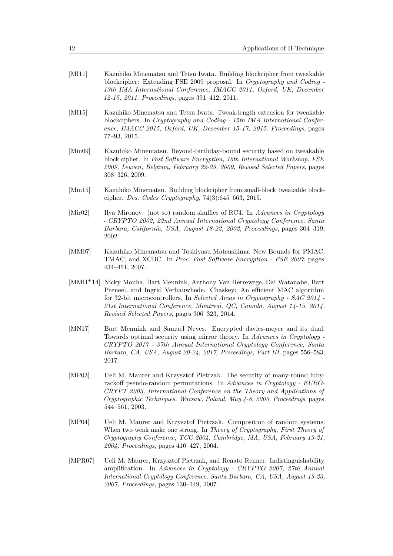- <span id="page-41-7"></span>[MI11] Kazuhiko Minematsu and Tetsu Iwata. Building blockcipher from tweakable blockcipher: Extending FSE 2009 proposal. In *Cryptography and Coding - 13th IMA International Conference, IMACC 2011, Oxford, UK, December 12-15, 2011. Proceedings*, pages 391–412, 2011.
- <span id="page-41-9"></span>[MI15] Kazuhiko Minematsu and Tetsu Iwata. Tweak-length extension for tweakable blockciphers. In *Cryptography and Coding - 15th IMA International Conference, IMACC 2015, Oxford, UK, December 15-17, 2015. Proceedings*, pages 77–93, 2015.
- <span id="page-41-6"></span>[Min09] Kazuhiko Minematsu. Beyond-birthday-bound security based on tweakable block cipher. In *Fast Software Encryption, 16th International Workshop, FSE 2009, Leuven, Belgium, February 22-25, 2009, Revised Selected Papers*, pages 308–326, 2009.
- <span id="page-41-8"></span>[Min15] Kazuhiko Minematsu. Building blockcipher from small-block tweakable blockcipher. *Des. Codes Cryptography*, 74(3):645–663, 2015.
- <span id="page-41-10"></span>[Mir02] Ilya Mironov. (not so) random shuffles of RC4. In *Advances in Cryptology - CRYPTO 2002, 22nd Annual International Cryptology Conference, Santa Barbara, California, USA, August 18-22, 2002, Proceedings*, pages 304–319, 2002.
- <span id="page-41-5"></span>[MM07] Kazuhiko Minematsu and Toshiyasu Matsushima. New Bounds for PMAC, TMAC, and XCBC. In *Proc. Fast Software Encryption - FSE 2007*, pages 434–451, 2007.
- <span id="page-41-0"></span>[MMH<sup>+</sup>14] Nicky Mouha, Bart Mennink, Anthony Van Herrewege, Dai Watanabe, Bart Preneel, and Ingrid Verbauwhede. Chaskey: An efficient MAC algorithm for 32-bit microcontrollers. In *Selected Areas in Cryptography - SAC 2014 - 21st International Conference, Montreal, QC, Canada, August 14-15, 2014, Revised Selected Papers*, pages 306–323, 2014.
- <span id="page-41-1"></span>[MN17] Bart Mennink and Samuel Neves. Encrypted davies-meyer and its dual: Towards optimal security using mirror theory. In *Advances in Cryptology - CRYPTO 2017 - 37th Annual International Cryptology Conference, Santa Barbara, CA, USA, August 20-24, 2017, Proceedings, Part III*, pages 556–583, 2017.
- <span id="page-41-2"></span>[MP03] Ueli M. Maurer and Krzysztof Pietrzak. The security of many-round lubyrackoff pseudo-random permutations. In *Advances in Cryptology - EURO-CRYPT 2003, International Conference on the Theory and Applications of Cryptographic Techniques, Warsaw, Poland, May 4-8, 2003, Proceedings*, pages 544–561, 2003.
- <span id="page-41-3"></span>[MP04] Ueli M. Maurer and Krzysztof Pietrzak. Composition of random systems: When two weak make one strong. In *Theory of Cryptography, First Theory of Cryptography Conference, TCC 2004, Cambridge, MA, USA, February 19-21, 2004, Proceedings*, pages 410–427, 2004.
- <span id="page-41-4"></span>[MPR07] Ueli M. Maurer, Krzysztof Pietrzak, and Renato Renner. Indistinguishability amplification. In *Advances in Cryptology - CRYPTO 2007, 27th Annual International Cryptology Conference, Santa Barbara, CA, USA, August 19-23, 2007, Proceedings*, pages 130–149, 2007.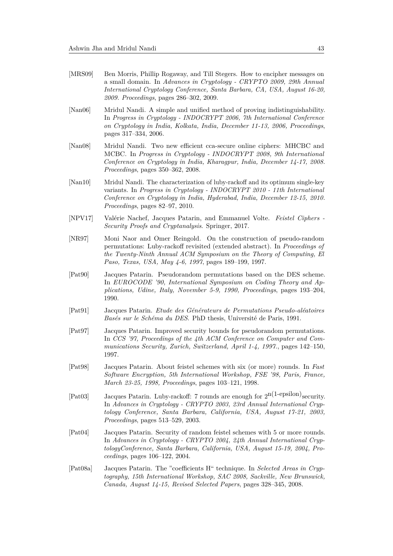- <span id="page-42-10"></span>[MRS09] Ben Morris, Phillip Rogaway, and Till Stegers. How to encipher messages on a small domain. In *Advances in Cryptology - CRYPTO 2009, 29th Annual International Cryptology Conference, Santa Barbara, CA, USA, August 16-20, 2009. Proceedings*, pages 286–302, 2009.
- <span id="page-42-6"></span>[Nan06] Mridul Nandi. A simple and unified method of proving indistinguishability. In *Progress in Cryptology - INDOCRYPT 2006, 7th International Conference on Cryptology in India, Kolkata, India, December 11-13, 2006, Proceedings*, pages 317–334, 2006.
- <span id="page-42-9"></span>[Nan08] Mridul Nandi. Two new efficient cca-secure online ciphers: MHCBC and MCBC. In *Progress in Cryptology - INDOCRYPT 2008, 9th International Conference on Cryptology in India, Kharagpur, India, December 14-17, 2008. Proceedings*, pages 350–362, 2008.
- <span id="page-42-8"></span>[Nan10] Mridul Nandi. The characterization of luby-rackoff and its optimum single-key variants. In *Progress in Cryptology - INDOCRYPT 2010 - 11th International Conference on Cryptology in India, Hyderabad, India, December 12-15, 2010. Proceedings*, pages 82–97, 2010.
- <span id="page-42-12"></span>[NPV17] Valérie Nachef, Jacques Patarin, and Emmanuel Volte. *Feistel Ciphers - Security Proofs and Cryptanalysis*. Springer, 2017.
- <span id="page-42-11"></span>[NR97] Moni Naor and Omer Reingold. On the construction of pseudo-random permutations: Luby-rackoff revisited (extended abstract). In *Proceedings of the Twenty-Ninth Annual ACM Symposium on the Theory of Computing, El Paso, Texas, USA, May 4-6, 1997*, pages 189–199, 1997.
- <span id="page-42-1"></span>[Pat90] Jacques Patarin. Pseudorandom permutations based on the DES scheme. In *EUROCODE '90, International Symposium on Coding Theory and Applications, Udine, Italy, November 5-9, 1990, Proceedings*, pages 193–204, 1990.
- <span id="page-42-2"></span>[Pat91] Jacques Patarin. *Etude des Générateurs de Permutations Pseudo-aléatoires Basés sur le Schéma du DES*. PhD thesis, Université de Paris, 1991.
- <span id="page-42-3"></span>[Pat97] Jacques Patarin. Improved security bounds for pseudorandom permutations. In *CCS '97, Proceedings of the 4th ACM Conference on Computer and Communications Security, Zurich, Switzerland, April 1-4, 1997.*, pages 142–150, 1997.
- <span id="page-42-4"></span>[Pat98] Jacques Patarin. About feistel schemes with six (or more) rounds. In *Fast Software Encryption, 5th International Workshop, FSE '98, Paris, France, March 23-25, 1998, Proceedings*, pages 103–121, 1998.
- <span id="page-42-5"></span>[Pat03] Jacques Patarin. Luby-rackoff: 7 rounds are enough for  $2^{n(1-\text{epsilon})s$  security. In *Advances in Cryptology - CRYPTO 2003, 23rd Annual International Cryptology Conference, Santa Barbara, California, USA, August 17-21, 2003, Proceedings*, pages 513–529, 2003.
- <span id="page-42-7"></span>[Pat04] Jacques Patarin. Security of random feistel schemes with 5 or more rounds. In *Advances in Cryptology - CRYPTO 2004, 24th Annual International CryptologyConference, Santa Barbara, California, USA, August 15-19, 2004, Proceedings*, pages 106–122, 2004.
- <span id="page-42-0"></span>[Pat08a] Jacques Patarin. The "coefficients H" technique. In *Selected Areas in Cryptography, 15th International Workshop, SAC 2008, Sackville, New Brunswick, Canada, August 14-15, Revised Selected Papers*, pages 328–345, 2008.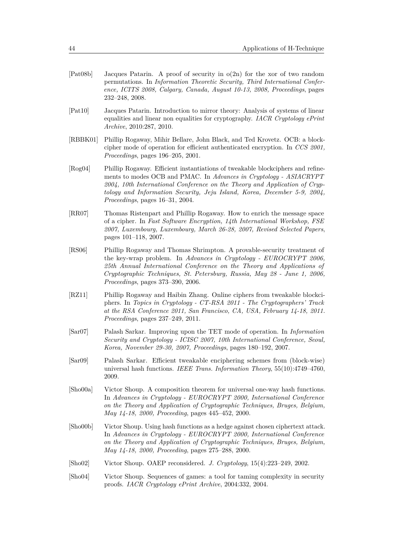<span id="page-43-12"></span><span id="page-43-11"></span><span id="page-43-9"></span><span id="page-43-8"></span><span id="page-43-3"></span>

| [Pat08b] | Jacques Patarin. A proof of security in $o(2n)$ for the xor of two random<br>permutations. In Information Theoretic Security, Third International Confer-<br>ence, ICITS 2008, Calgary, Canada, August 10-13, 2008, Proceedings, pages<br>$232 - 248$ , 2008.                                                                                                 |
|----------|---------------------------------------------------------------------------------------------------------------------------------------------------------------------------------------------------------------------------------------------------------------------------------------------------------------------------------------------------------------|
| [Pat10]  | Jacques Patarin. Introduction to mirror theory: Analysis of systems of linear<br>equalities and linear non equalities for cryptography. IACR Cryptology ePrint<br>Archive, 2010:287, 2010.                                                                                                                                                                    |
| [RBBK01] | Phillip Rogaway, Mihir Bellare, John Black, and Ted Krovetz. OCB: a block-<br>cipher mode of operation for efficient authenticated encryption. In CCS 2001,<br>$Proceedings, pages 196-205, 2001.$                                                                                                                                                            |
| [Rog04]  | Phillip Rogaway. Efficient instantiations of tweakable blockciphers and refine-<br>ments to modes OCB and PMAC. In Advances in Cryptology - ASIACRYPT<br>2004, 10th International Conference on the Theory and Application of Cryp-<br>tology and Information Security, Jeju Island, Korea, December 5-9, 2004,<br><i>Proceedings</i> , pages $16-31$ , 2004. |
| [RR07]   | Thomas Ristenpart and Phillip Rogaway. How to enrich the message space<br>of a cipher. In Fast Software Encryption, 14th International Workshop, FSE<br>2007, Luxembourg, Luxembourg, March 26-28, 2007, Revised Selected Papers,<br>pages 101-118, 2007.                                                                                                     |
| [RS06]   | Phillip Rogaway and Thomas Shrimpton. A provable-security treatment of<br>the key-wrap problem. In Advances in Cryptology - EUROCRYPT 2006,<br>25th Annual International Conference on the Theory and Applications of<br>Cryptographic Techniques, St. Petersburg, Russia, May 28 - June 1, 2006,<br>Proceedings, pages 373-390, 2006.                        |
| [RZ11]   | Phillip Rogaway and Haibin Zhang. Online ciphers from tweakable blockci-<br>phers. In Topics in Cryptology - CT-RSA 2011 - The Cryptographers' Track<br>at the RSA Conference 2011, San Francisco, CA, USA, February 14-18, 2011.<br>Proceedings, pages 237-249, 2011.                                                                                        |
| [Sar07]  | Palash Sarkar. Improving upon the TET mode of operation. In <i>Information</i><br>Security and Cryptology - ICISC 2007, 10th International Conference, Seoul,<br>Korea, November 29-30, 2007, Proceedings, pages 180-192, 2007.                                                                                                                               |
| [Sar09]  | Palash Sarkar. Efficient tweakable enciphering schemes from (block-wise)<br>universal hash functions. IEEE Trans. Information Theory, 55(10):4749-4760,<br>2009.                                                                                                                                                                                              |

- <span id="page-43-10"></span><span id="page-43-7"></span><span id="page-43-6"></span><span id="page-43-5"></span><span id="page-43-4"></span>[Sho00a] Victor Shoup. A composition theorem for universal one-way hash functions. In *Advances in Cryptology - EUROCRYPT 2000, International Conference on the Theory and Application of Cryptographic Techniques, Bruges, Belgium, May 14-18, 2000, Proceeding*, pages 445–452, 2000.
- <span id="page-43-1"></span>[Sho00b] Victor Shoup. Using hash functions as a hedge against chosen ciphertext attack. In *Advances in Cryptology - EUROCRYPT 2000, International Conference on the Theory and Application of Cryptographic Techniques, Bruges, Belgium, May 14-18, 2000, Proceeding*, pages 275–288, 2000.
- <span id="page-43-2"></span>[Sho02] Victor Shoup. OAEP reconsidered. *J. Cryptology*, 15(4):223–249, 2002.
- <span id="page-43-0"></span>[Sho04] Victor Shoup. Sequences of games: a tool for taming complexity in security proofs. *IACR Cryptology ePrint Archive*, 2004:332, 2004.